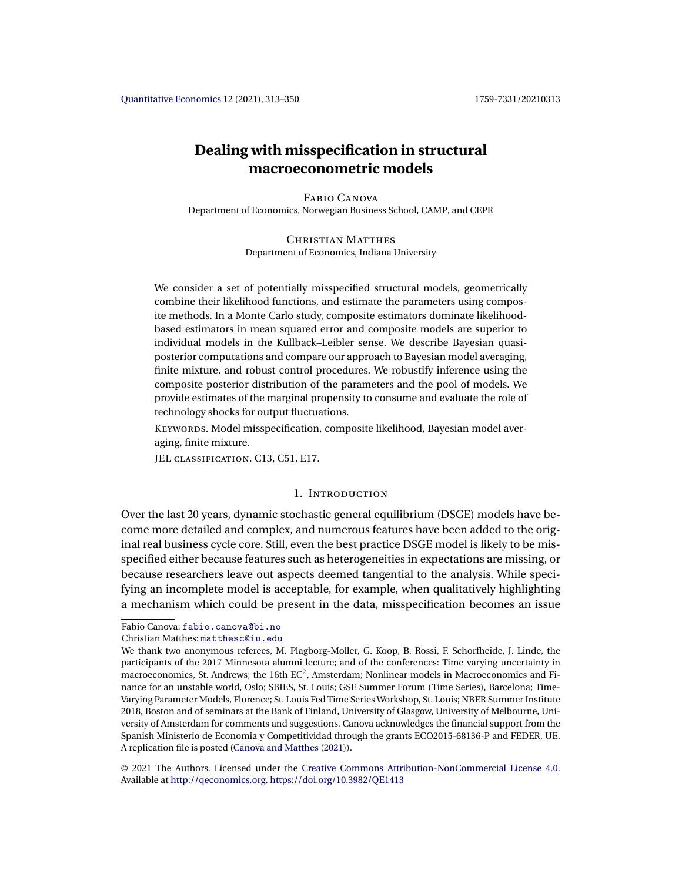# <span id="page-0-0"></span>**Dealing with misspecification in structural macroeconometric models**

Fabio Canova Department of Economics, Norwegian Business School, CAMP, and CEPR

> CHRISTIAN MATTHES Department of Economics, Indiana University

We consider a set of potentially misspecified structural models, geometrically combine their likelihood functions, and estimate the parameters using composite methods. In a Monte Carlo study, composite estimators dominate likelihoodbased estimators in mean squared error and composite models are superior to individual models in the Kullback–Leibler sense. We describe Bayesian quasiposterior computations and compare our approach to Bayesian model averaging, finite mixture, and robust control procedures. We robustify inference using the composite posterior distribution of the parameters and the pool of models. We provide estimates of the marginal propensity to consume and evaluate the role of technology shocks for output fluctuations.

KEYWORDS. Model misspecification, composite likelihood, Bayesian model averaging, finite mixture.

JEL CLASSIFICATION. C13, C51, E17.

# 1. Introduction

Over the last 20 years, dynamic stochastic general equilibrium (DSGE) models have become more detailed and complex, and numerous features have been added to the original real business cycle core. Still, even the best practice DSGE model is likely to be misspecified either because features such as heterogeneities in expectations are missing, or because researchers leave out aspects deemed tangential to the analysis. While specifying an incomplete model is acceptable, for example, when qualitatively highlighting a mechanism which could be present in the data, misspecification becomes an issue

Fabio Canova: [fabio.canova@bi.no](mailto:fabio.canova@bi.no)

Christian Matthes: [matthesc@iu.edu](mailto:matthesc@iu.edu)

© 2021 The Authors. Licensed under the [Creative Commons Attribution-NonCommercial License 4.0](https://creativecommons.org/licenses/by-nc/4.0/legalcode). Available at <http://qeconomics.org>. <https://doi.org/10.3982/QE1413>

We thank two anonymous referees, M. Plagborg-Moller, G. Koop, B. Rossi, F. Schorfheide, J. Linde, the participants of the 2017 Minnesota alumni lecture; and of the conferences: Time varying uncertainty in macroeconomics, St. Andrews; the 16th  $EC^2$ , Amsterdam; Nonlinear models in Macroeconomics and Finance for an unstable world, Oslo; SBIES, St. Louis; GSE Summer Forum (Time Series), Barcelona; Time-Varying Parameter Models, Florence; St. Louis Fed Time Series Workshop, St. Louis; NBER Summer Institute 2018, Boston and of seminars at the Bank of Finland, University of Glasgow, University of Melbourne, University of Amsterdam for comments and suggestions. Canova acknowledges the financial support from the Spanish Ministerio de Economia y Competitividad through the grants ECO2015-68136-P and FEDER, UE. A replication file is posted [\(Canova and Matthes](#page-34-0) [\(2021\)](#page-34-0)).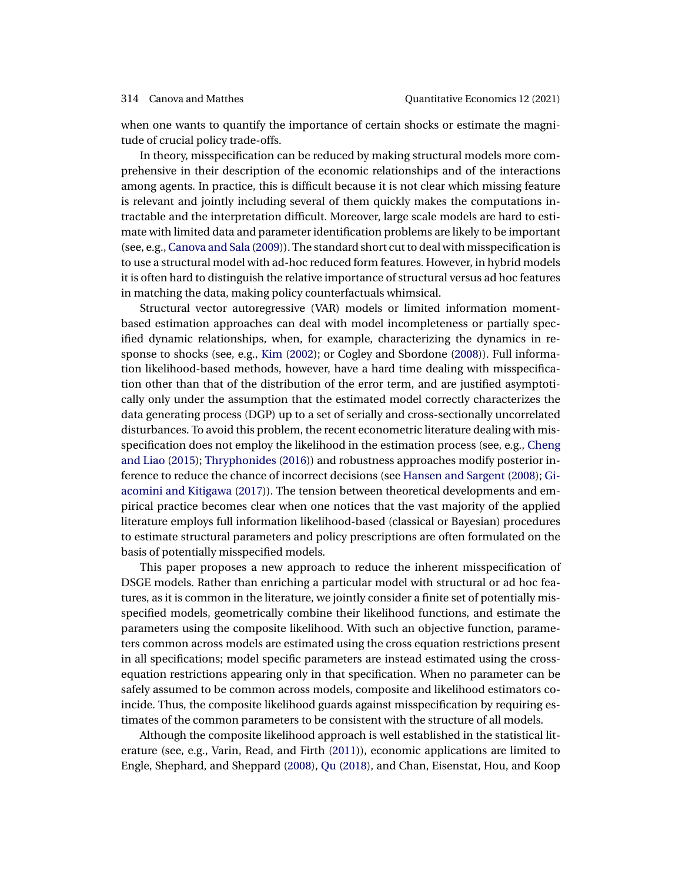<span id="page-1-0"></span>when one wants to quantify the importance of certain shocks or estimate the magnitude of crucial policy trade-offs.

In theory, misspecification can be reduced by making structural models more comprehensive in their description of the economic relationships and of the interactions among agents. In practice, this is difficult because it is not clear which missing feature is relevant and jointly including several of them quickly makes the computations intractable and the interpretation difficult. Moreover, large scale models are hard to estimate with limited data and parameter identification problems are likely to be important (see, e.g., [Canova and Sala](#page-34-0) [\(2009\)](#page-34-0)). The standard short cut to deal with misspecification is to use a structural model with ad-hoc reduced form features. However, in hybrid models it is often hard to distinguish the relative importance of structural versus ad hoc features in matching the data, making policy counterfactuals whimsical.

Structural vector autoregressive (VAR) models or limited information momentbased estimation approaches can deal with model incompleteness or partially specified dynamic relationships, when, for example, characterizing the dynamics in response to shocks (see, e.g., [Kim](#page-36-0) [\(2002\)](#page-36-0); or Cogley and Sbordone [\(2008\)](#page-35-0)). Full information likelihood-based methods, however, have a hard time dealing with misspecification other than that of the distribution of the error term, and are justified asymptotically only under the assumption that the estimated model correctly characterizes the data generating process (DGP) up to a set of serially and cross-sectionally uncorrelated disturbances. To avoid this problem, the recent econometric literature dealing with misspecification does not employ the likelihood in the estimation process (see, e.g., [Cheng](#page-34-0) [and Liao](#page-34-0) [\(2015\)](#page-34-0); [Thryphonides](#page-37-0) [\(2016\)](#page-37-0)) and robustness approaches modify posterior inference to reduce the chance of incorrect decisions (see [Hansen and Sargent](#page-36-0) [\(2008\)](#page-36-0); [Gi](#page-36-0)[acomini and Kitigawa](#page-36-0) [\(2017\)](#page-36-0)). The tension between theoretical developments and empirical practice becomes clear when one notices that the vast majority of the applied literature employs full information likelihood-based (classical or Bayesian) procedures to estimate structural parameters and policy prescriptions are often formulated on the basis of potentially misspecified models.

This paper proposes a new approach to reduce the inherent misspecification of DSGE models. Rather than enriching a particular model with structural or ad hoc features, as it is common in the literature, we jointly consider a finite set of potentially misspecified models, geometrically combine their likelihood functions, and estimate the parameters using the composite likelihood. With such an objective function, parameters common across models are estimated using the cross equation restrictions present in all specifications; model specific parameters are instead estimated using the crossequation restrictions appearing only in that specification. When no parameter can be safely assumed to be common across models, composite and likelihood estimators coincide. Thus, the composite likelihood guards against misspecification by requiring estimates of the common parameters to be consistent with the structure of all models.

Although the composite likelihood approach is well established in the statistical literature (see, e.g., Varin, Read, and Firth [\(2011\)](#page-37-0)), economic applications are limited to Engle, Shephard, and Sheppard [\(2008\)](#page-35-0), [Qu](#page-37-0) [\(2018\)](#page-37-0), and Chan, Eisenstat, Hou, and Koop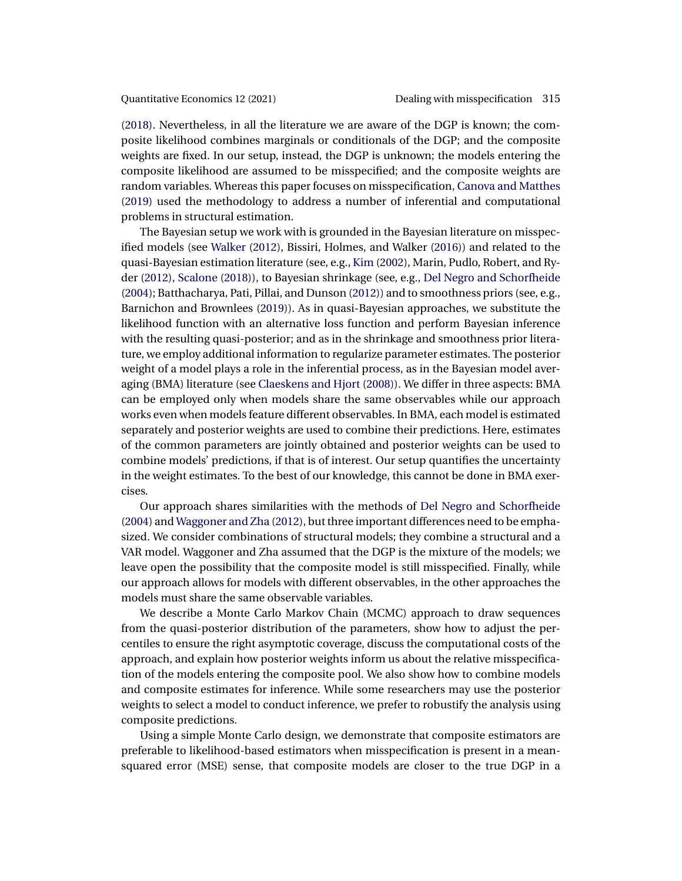<span id="page-2-0"></span>[\(2018\)](#page-34-0). Nevertheless, in all the literature we are aware of the DGP is known; the composite likelihood combines marginals or conditionals of the DGP; and the composite weights are fixed. In our setup, instead, the DGP is unknown; the models entering the composite likelihood are assumed to be misspecified; and the composite weights are random variables. Whereas this paper focuses on misspecification, [Canova and Matthes](#page-34-0) [\(2019\)](#page-34-0) used the methodology to address a number of inferential and computational problems in structural estimation.

The Bayesian setup we work with is grounded in the Bayesian literature on misspecified models (see [Walker](#page-37-0) [\(2012\)](#page-37-0), Bissiri, Holmes, and Walker [\(2016\)](#page-34-0)) and related to the quasi-Bayesian estimation literature (see, e.g., [Kim](#page-36-0) [\(2002\)](#page-36-0), Marin, Pudlo, Robert, and Ryder [\(2012\)](#page-36-0), [Scalone](#page-37-0) [\(2018\)](#page-37-0)), to Bayesian shrinkage (see, e.g., [Del Negro and Schorfheide](#page-35-0) [\(2004\)](#page-35-0); Batthacharya, Pati, Pillai, and Dunson [\(2012\)](#page-33-0)) and to smoothness priors (see, e.g., Barnichon and Brownlees [\(2019\)](#page-33-0)). As in quasi-Bayesian approaches, we substitute the likelihood function with an alternative loss function and perform Bayesian inference with the resulting quasi-posterior; and as in the shrinkage and smoothness prior literature, we employ additional information to regularize parameter estimates. The posterior weight of a model plays a role in the inferential process, as in the Bayesian model averaging (BMA) literature (see [Claeskens and Hjort](#page-35-0) [\(2008\)](#page-35-0)). We differ in three aspects: BMA can be employed only when models share the same observables while our approach works even when models feature different observables. In BMA, each model is estimated separately and posterior weights are used to combine their predictions. Here, estimates of the common parameters are jointly obtained and posterior weights can be used to combine models' predictions, if that is of interest. Our setup quantifies the uncertainty in the weight estimates. To the best of our knowledge, this cannot be done in BMA exercises.

Our approach shares similarities with the methods of [Del Negro and Schorfheide](#page-35-0) [\(2004\)](#page-35-0) and [Waggoner and Zha](#page-37-0) [\(2012\)](#page-37-0), but three important differences need to be emphasized. We consider combinations of structural models; they combine a structural and a VAR model. Waggoner and Zha assumed that the DGP is the mixture of the models; we leave open the possibility that the composite model is still misspecified. Finally, while our approach allows for models with different observables, in the other approaches the models must share the same observable variables.

We describe a Monte Carlo Markov Chain (MCMC) approach to draw sequences from the quasi-posterior distribution of the parameters, show how to adjust the percentiles to ensure the right asymptotic coverage, discuss the computational costs of the approach, and explain how posterior weights inform us about the relative misspecification of the models entering the composite pool. We also show how to combine models and composite estimates for inference. While some researchers may use the posterior weights to select a model to conduct inference, we prefer to robustify the analysis using composite predictions.

Using a simple Monte Carlo design, we demonstrate that composite estimators are preferable to likelihood-based estimators when misspecification is present in a meansquared error (MSE) sense, that composite models are closer to the true DGP in a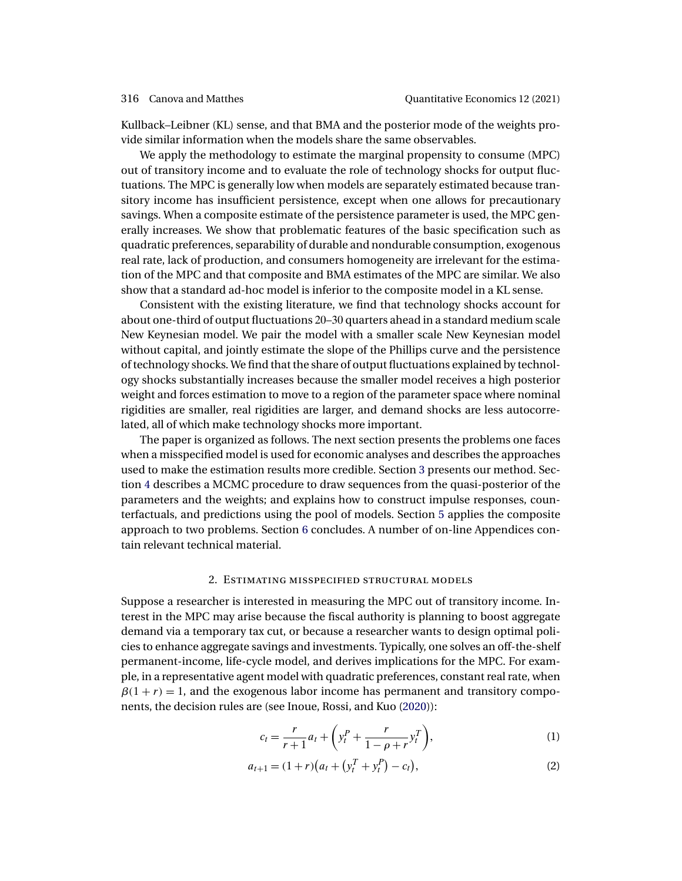<span id="page-3-0"></span>Kullback–Leibner (KL) sense, and that BMA and the posterior mode of the weights provide similar information when the models share the same observables.

We apply the methodology to estimate the marginal propensity to consume (MPC) out of transitory income and to evaluate the role of technology shocks for output fluctuations. The MPC is generally low when models are separately estimated because transitory income has insufficient persistence, except when one allows for precautionary savings. When a composite estimate of the persistence parameter is used, the MPC generally increases. We show that problematic features of the basic specification such as quadratic preferences, separability of durable and nondurable consumption, exogenous real rate, lack of production, and consumers homogeneity are irrelevant for the estimation of the MPC and that composite and BMA estimates of the MPC are similar. We also show that a standard ad-hoc model is inferior to the composite model in a KL sense.

Consistent with the existing literature, we find that technology shocks account for about one-third of output fluctuations 20–30 quarters ahead in a standard medium scale New Keynesian model. We pair the model with a smaller scale New Keynesian model without capital, and jointly estimate the slope of the Phillips curve and the persistence of technology shocks. We find that the share of output fluctuations explained by technology shocks substantially increases because the smaller model receives a high posterior weight and forces estimation to move to a region of the parameter space where nominal rigidities are smaller, real rigidities are larger, and demand shocks are less autocorrelated, all of which make technology shocks more important.

The paper is organized as follows. The next section presents the problems one faces when a misspecified model is used for economic analyses and describes the approaches used to make the estimation results more credible. Section [3](#page-6-0) presents our method. Section [4](#page-18-0) describes a MCMC procedure to draw sequences from the quasi-posterior of the parameters and the weights; and explains how to construct impulse responses, counterfactuals, and predictions using the pool of models. Section [5](#page-25-0) applies the composite approach to two problems. Section [6](#page-32-0) concludes. A number of on-line Appendices contain relevant technical material.

# 2. Estimating misspecified structural models

Suppose a researcher is interested in measuring the MPC out of transitory income. Interest in the MPC may arise because the fiscal authority is planning to boost aggregate demand via a temporary tax cut, or because a researcher wants to design optimal policies to enhance aggregate savings and investments. Typically, one solves an off-the-shelf permanent-income, life-cycle model, and derives implications for the MPC. For example, in a representative agent model with quadratic preferences, constant real rate, when  $\beta(1 + r) = 1$ , and the exogenous labor income has permanent and transitory components, the decision rules are (see Inoue, Rossi, and Kuo [\(2020\)](#page-36-0)):

$$
c_{t} = \frac{r}{r+1}a_{t} + \left(y_{t}^{P} + \frac{r}{1-\rho+r}y_{t}^{T}\right),
$$
 (1)

$$
a_{t+1} = (1+r)(a_t + (y_t^T + y_t^P) - c_t),
$$
\n(2)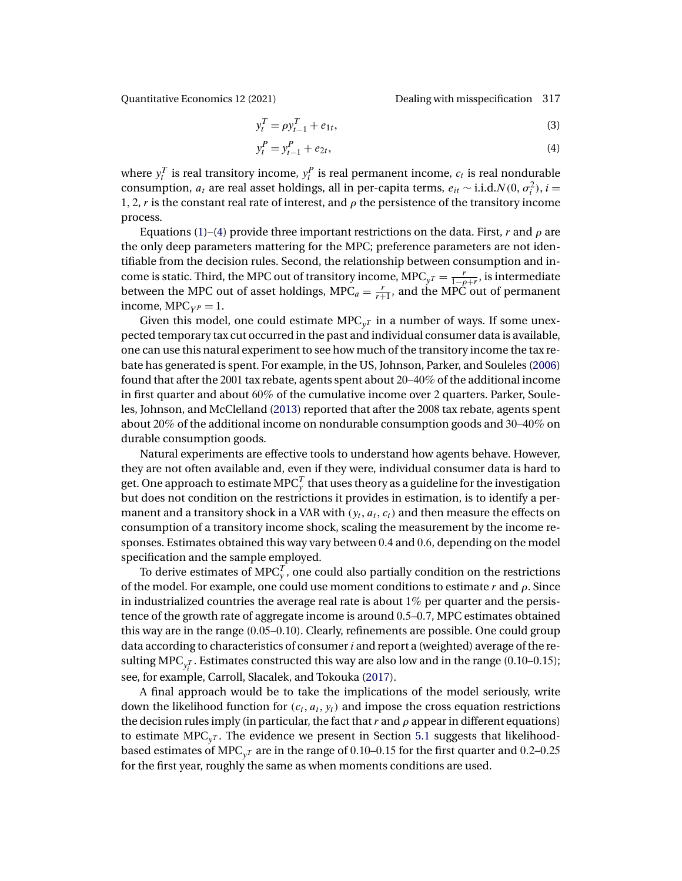<span id="page-4-0"></span>Quantitative Economics 12 (2021) Dealing with misspecification 317

$$
y_t^T = \rho y_{t-1}^T + e_{1t},
$$
\n(3)

$$
y_t^P = y_{t-1}^P + e_{2t},
$$
\t(4)

where  $y_t^T$  is real transitory income,  $y_t^P$  is real permanent income,  $c_t$  is real nondurable consumption,  $a_t$  are real asset holdings, all in per-capita terms,  $e_{it} \sim$  i.i.d. $N(0, \sigma_i^2)$ ,  $i =$ 1, 2, r is the constant real rate of interest, and  $\rho$  the persistence of the transitory income process.

Equations [\(1\)](#page-3-0)–(4) provide three important restrictions on the data. First, r and  $\rho$  are the only deep parameters mattering for the MPC; preference parameters are not identifiable from the decision rules. Second, the relationship between consumption and income is static. Third, the MPC out of transitory income, MPC<sub>y</sub> $r = \frac{r}{1-\rho+r}$ , is intermediate between the MPC out of asset holdings, MPC<sub>a</sub> =  $\frac{r}{r+1}$ , and the MPC out of permanent income,  $MPC_{YP} = 1$ .

Given this model, one could estimate MPC $_{v}$  in a number of ways. If some unexpected temporary tax cut occurred in the past and individual consumer data is available, one can use this natural experiment to see how much of the transitory income the tax rebate has generated is spent. For example, in the US, Johnson, Parker, and Souleles [\(2006\)](#page-36-0) found that after the 2001 tax rebate, agents spent about 20–40% of the additional income in first quarter and about 60% of the cumulative income over 2 quarters. Parker, Souleles, Johnson, and McClelland [\(2013\)](#page-37-0) reported that after the 2008 tax rebate, agents spent about 20% of the additional income on nondurable consumption goods and 30–40% on durable consumption goods.

Natural experiments are effective tools to understand how agents behave. However, they are not often available and, even if they were, individual consumer data is hard to get. One approach to estimate MPC $^T_{\rm y}$  that uses theory as a guideline for the investigation but does not condition on the restrictions it provides in estimation, is to identify a permanent and a transitory shock in a VAR with  $(y_t, a_t, c_t)$  and then measure the effects on consumption of a transitory income shock, scaling the measurement by the income responses. Estimates obtained this way vary between 04 and 06, depending on the model specification and the sample employed.

To derive estimates of MPC $_{\mathrm{y}}^{T},$  one could also partially condition on the restrictions of the model. For example, one could use moment conditions to estimate r and  $\rho$ . Since in industrialized countries the average real rate is about  $1\%$  per quarter and the persistence of the growth rate of aggregate income is around 05–07, MPC estimates obtained this way are in the range (005–010). Clearly, refinements are possible. One could group data according to characteristics of consumer  $i$  and report a (weighted) average of the resulting MPC $_{\mathsf{y}_{i}^{T}}$ . Estimates constructed this way are also low and in the range (0.10–0.15); see, for example, Carroll, Slacalek, and Tokouka [\(2017\)](#page-34-0).

A final approach would be to take the implications of the model seriously, write down the likelihood function for  $(c_t, a_t, y_t)$  and impose the cross equation restrictions the decision rules imply (in particular, the fact that  $r$  and  $\rho$  appear in different equations) to estimate  $\text{MPC}_y$ . The evidence we present in Section [5.1](#page-26-0) suggests that likelihoodbased estimates of MPC<sub>y</sub><sub>T</sub> are in the range of 0.10–0.15 for the first quarter and 0.2–0.25 for the first year, roughly the same as when moments conditions are used.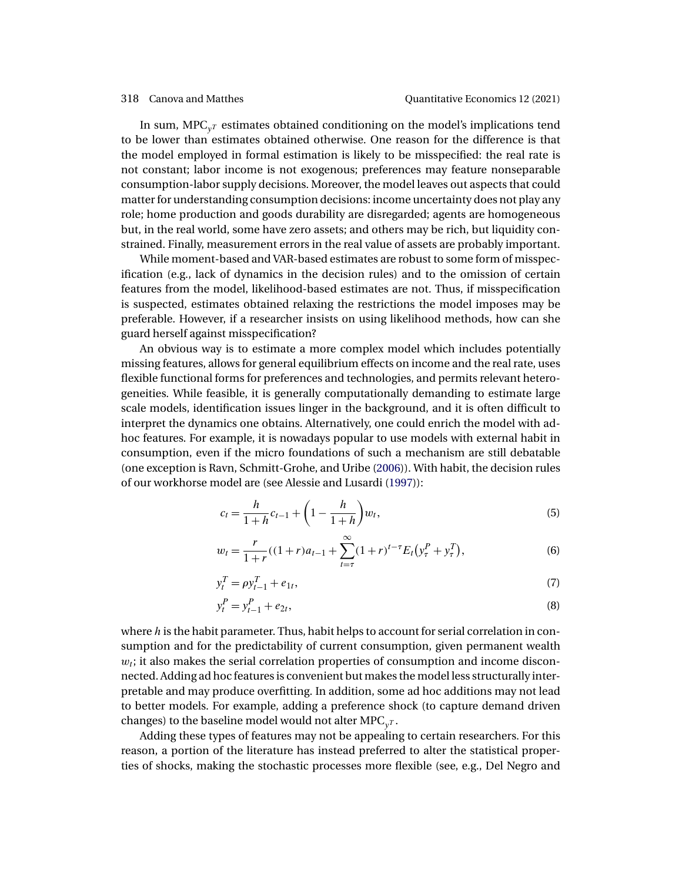<span id="page-5-0"></span>In sum,  $\text{MPC}_{y^T}$  estimates obtained conditioning on the model's implications tend to be lower than estimates obtained otherwise. One reason for the difference is that the model employed in formal estimation is likely to be misspecified: the real rate is not constant; labor income is not exogenous; preferences may feature nonseparable consumption-labor supply decisions. Moreover, the model leaves out aspects that could matter for understanding consumption decisions: income uncertainty does not play any role; home production and goods durability are disregarded; agents are homogeneous but, in the real world, some have zero assets; and others may be rich, but liquidity constrained. Finally, measurement errors in the real value of assets are probably important.

While moment-based and VAR-based estimates are robust to some form of misspecification (e.g., lack of dynamics in the decision rules) and to the omission of certain features from the model, likelihood-based estimates are not. Thus, if misspecification is suspected, estimates obtained relaxing the restrictions the model imposes may be preferable. However, if a researcher insists on using likelihood methods, how can she guard herself against misspecification?

An obvious way is to estimate a more complex model which includes potentially missing features, allows for general equilibrium effects on income and the real rate, uses flexible functional forms for preferences and technologies, and permits relevant heterogeneities. While feasible, it is generally computationally demanding to estimate large scale models, identification issues linger in the background, and it is often difficult to interpret the dynamics one obtains. Alternatively, one could enrich the model with adhoc features. For example, it is nowadays popular to use models with external habit in consumption, even if the micro foundations of such a mechanism are still debatable (one exception is Ravn, Schmitt-Grohe, and Uribe [\(2006\)](#page-37-0)). With habit, the decision rules of our workhorse model are (see Alessie and Lusardi [\(1997\)](#page-33-0)):

$$
c_t = \frac{h}{1+h}c_{t-1} + \left(1 - \frac{h}{1+h}\right)w_t,
$$
\n(5)

$$
w_t = \frac{r}{1+r}((1+r)a_{t-1} + \sum_{t=\tau}^{\infty} (1+r)^{t-\tau} E_t(y_\tau^P + y_\tau^T),
$$
\n(6)

$$
y_t^T = \rho y_{t-1}^T + e_{1t},\tag{7}
$$

$$
y_t^P = y_{t-1}^P + e_{2t},
$$
\t(8)

where  $h$  is the habit parameter. Thus, habit helps to account for serial correlation in consumption and for the predictability of current consumption, given permanent wealth  $w_i$ ; it also makes the serial correlation properties of consumption and income disconnected. Adding ad hoc features is convenient but makes the model less structurally interpretable and may produce overfitting. In addition, some ad hoc additions may not lead to better models. For example, adding a preference shock (to capture demand driven changes) to the baseline model would not alter  $\text{MPC}_{v^T}$ .

Adding these types of features may not be appealing to certain researchers. For this reason, a portion of the literature has instead preferred to alter the statistical properties of shocks, making the stochastic processes more flexible (see, e.g., Del Negro and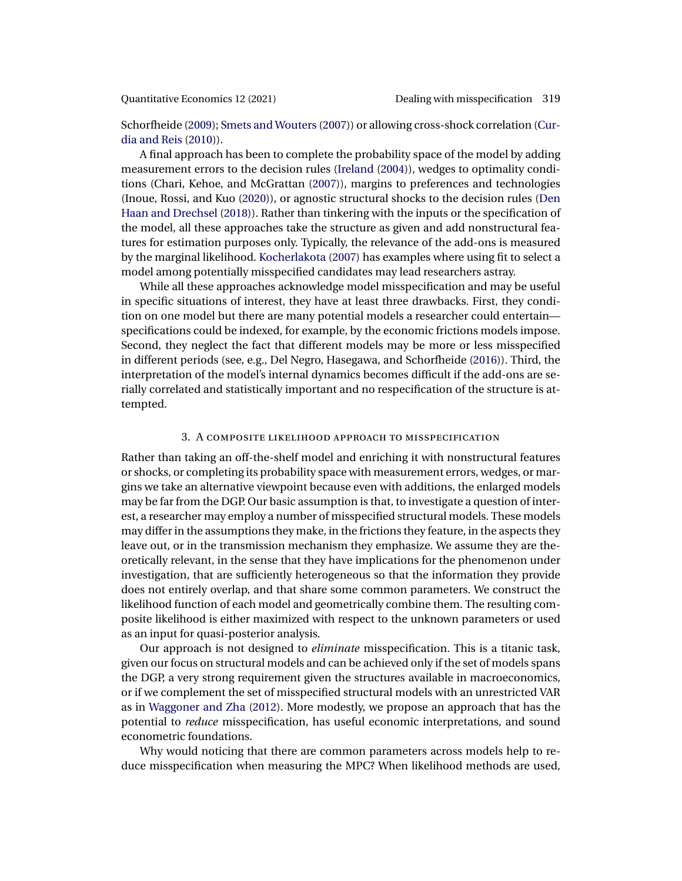<span id="page-6-0"></span>

Schorfheide [\(2009\)](#page-35-0); [Smets and Wouters](#page-37-0) [\(2007\)](#page-37-0)) or allowing cross-shock correlation [\(Cur](#page-35-0)[dia and Reis](#page-35-0) [\(2010\)](#page-35-0)).

A final approach has been to complete the probability space of the model by adding measurement errors to the decision rules [\(Ireland](#page-36-0) [\(2004\)](#page-36-0)), wedges to optimality conditions (Chari, Kehoe, and McGrattan [\(2007\)](#page-34-0)), margins to preferences and technologies (Inoue, Rossi, and Kuo [\(2020\)](#page-36-0)), or agnostic structural shocks to the decision rules [\(Den](#page-35-0) [Haan and Drechsel](#page-35-0) [\(2018\)](#page-35-0)). Rather than tinkering with the inputs or the specification of the model, all these approaches take the structure as given and add nonstructural features for estimation purposes only. Typically, the relevance of the add-ons is measured by the marginal likelihood. [Kocherlakota](#page-36-0) [\(2007\)](#page-36-0) has examples where using fit to select a model among potentially misspecified candidates may lead researchers astray.

While all these approaches acknowledge model misspecification and may be useful in specific situations of interest, they have at least three drawbacks. First, they condition on one model but there are many potential models a researcher could entertain specifications could be indexed, for example, by the economic frictions models impose. Second, they neglect the fact that different models may be more or less misspecified in different periods (see, e.g., Del Negro, Hasegawa, and Schorfheide [\(2016\)](#page-35-0)). Third, the interpretation of the model's internal dynamics becomes difficult if the add-ons are serially correlated and statistically important and no respecification of the structure is attempted.

### 3. A composite likelihood approach to misspecification

Rather than taking an off-the-shelf model and enriching it with nonstructural features or shocks, or completing its probability space with measurement errors, wedges, or margins we take an alternative viewpoint because even with additions, the enlarged models may be far from the DGP. Our basic assumption is that, to investigate a question of interest, a researcher may employ a number of misspecified structural models. These models may differ in the assumptions they make, in the frictions they feature, in the aspects they leave out, or in the transmission mechanism they emphasize. We assume they are theoretically relevant, in the sense that they have implications for the phenomenon under investigation, that are sufficiently heterogeneous so that the information they provide does not entirely overlap, and that share some common parameters. We construct the likelihood function of each model and geometrically combine them. The resulting composite likelihood is either maximized with respect to the unknown parameters or used as an input for quasi-posterior analysis.

Our approach is not designed to *eliminate* misspecification. This is a titanic task, given our focus on structural models and can be achieved only if the set of models spans the DGP, a very strong requirement given the structures available in macroeconomics, or if we complement the set of misspecified structural models with an unrestricted VAR as in [Waggoner and Zha](#page-37-0) [\(2012\)](#page-37-0). More modestly, we propose an approach that has the potential to *reduce* misspecification, has useful economic interpretations, and sound econometric foundations.

Why would noticing that there are common parameters across models help to reduce misspecification when measuring the MPC? When likelihood methods are used,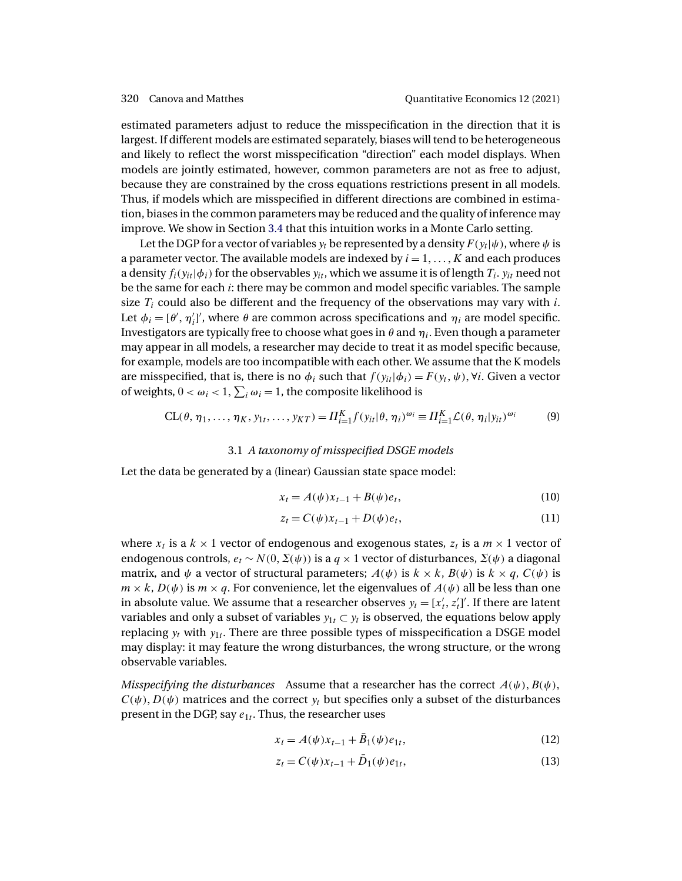<span id="page-7-0"></span>estimated parameters adjust to reduce the misspecification in the direction that it is largest. If different models are estimated separately, biases will tend to be heterogeneous and likely to reflect the worst misspecification "direction" each model displays. When models are jointly estimated, however, common parameters are not as free to adjust, because they are constrained by the cross equations restrictions present in all models. Thus, if models which are misspecified in different directions are combined in estimation, biases in the common parameters may be reduced and the quality of inference may improve. We show in Section [3.4](#page-15-0) that this intuition works in a Monte Carlo setting.

Let the DGP for a vector of variables  $y_t$  be represented by a density  $F(y_t|\psi)$ , where  $\psi$  is a parameter vector. The available models are indexed by  $i = 1, \ldots, K$  and each produces a density  $f_i(y_{it}|\phi_i)$  for the observables  $y_{it}$ , which we assume it is of length  $T_i$ .  $y_{it}$  need not be the same for each i: there may be common and model specific variables. The sample size  $T_i$  could also be different and the frequency of the observations may vary with i. Let  $\phi_i = [\theta', \eta'_i]'$ , where  $\theta$  are common across specifications and  $\eta_i$  are model specific. Investigators are typically free to choose what goes in  $\theta$  and  $\eta_i$ . Even though a parameter may appear in all models, a researcher may decide to treat it as model specific because, for example, models are too incompatible with each other. We assume that the K models are misspecified, that is, there is no  $\phi_i$  such that  $f(y_{it}|\phi_i) = F(y_t, \psi)$ ,  $\forall i$ . Given a vector of weights,  $0 < \omega_i < 1$ ,  $\sum_i \omega_i = 1$ , the composite likelihood is

$$
CL(\theta, \eta_1, \dots, \eta_K, y_{1t}, \dots, y_{KT}) = \Pi_{i=1}^K f(y_{it} | \theta, \eta_i)^{\omega_i} \equiv \Pi_{i=1}^K \mathcal{L}(\theta, \eta_i | y_{it})^{\omega_i}
$$
(9)

### 3.1 *A taxonomy of misspecified DSGE models*

Let the data be generated by a (linear) Gaussian state space model:

$$
x_t = A(\psi)x_{t-1} + B(\psi)e_t,
$$
 (10)

$$
z_t = C(\psi)x_{t-1} + D(\psi)e_t, \qquad (11)
$$

where  $x_t$  is a  $k \times 1$  vector of endogenous and exogenous states,  $z_t$  is a  $m \times 1$  vector of endogenous controls,  $e_t \sim N(0, \Sigma(\psi))$  is a  $q \times 1$  vector of disturbances,  $\Sigma(\psi)$  a diagonal matrix, and  $\psi$  a vector of structural parameters;  $A(\psi)$  is  $k \times k$ ,  $B(\psi)$  is  $k \times q$ ,  $C(\psi)$  is  $m \times k$ ,  $D(\psi)$  is  $m \times q$ . For convenience, let the eigenvalues of  $A(\psi)$  all be less than one in absolute value. We assume that a researcher observes  $y_t = [x'_t, z'_t]'$ . If there are latent variables and only a subset of variables  $y_{1t} \subset y_t$  is observed, the equations below apply replacing  $y_t$  with  $y_{1t}$ . There are three possible types of misspecification a DSGE model may display: it may feature the wrong disturbances, the wrong structure, or the wrong observable variables.

*Misspecifying the disturbances* Assume that a researcher has the correct  $A(\psi)$ ,  $B(\psi)$ ,  $C(\psi)$ ,  $D(\psi)$  matrices and the correct  $y_t$  but specifies only a subset of the disturbances present in the DGP, say  $e_{1t}$ . Thus, the researcher uses

$$
x_t = A(\psi)x_{t-1} + \bar{B}_1(\psi)e_{1t},
$$
\n(12)

$$
z_t = C(\psi)x_{t-1} + \bar{D}_1(\psi)e_{1t},
$$
\n(13)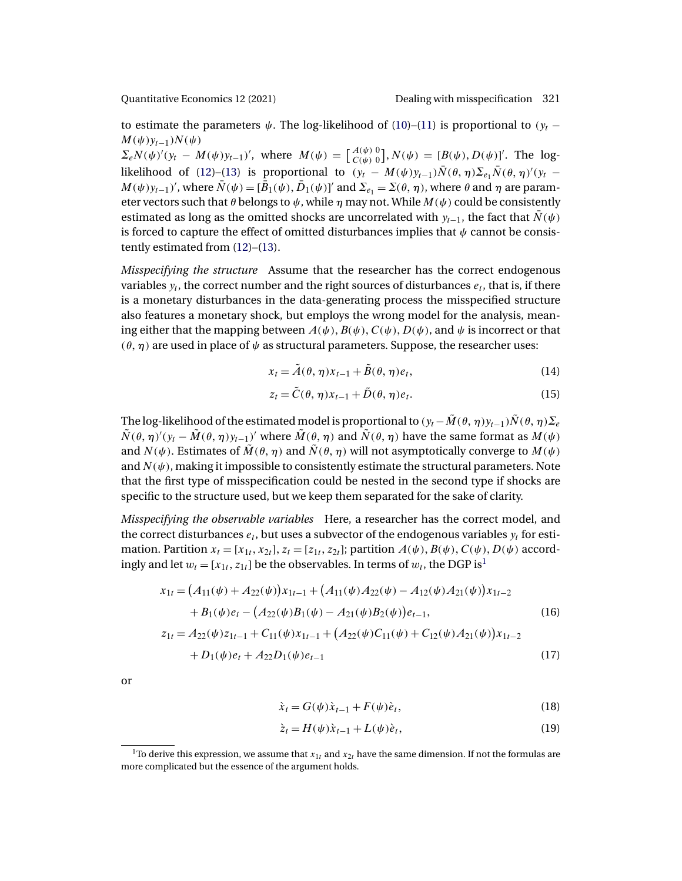<span id="page-8-0"></span>

to estimate the parameters  $\psi$ . The log-likelihood of [\(10\)](#page-7-0)–[\(11\)](#page-7-0) is proportional to ( $y_t$  –  $M(\psi)y_{t-1}$ ) $N(\psi)$ 

 $\Sigma_e N(\psi)'(y_t - M(\psi)y_{t-1})'$ , where  $M(\psi) = \begin{bmatrix} A(\psi) & 0 \\ C(\psi) & 0 \end{bmatrix}$ ,  $N(\psi) = [B(\psi), D(\psi)]'$ . The log-likelihood of [\(12\)](#page-7-0)–[\(13\)](#page-7-0) is proportional to  $(y_t - M(\psi)y_{t-1})\overline{N}(\theta, \eta) \Sigma_{e_1}\overline{N}(\theta, \eta)'(y_t M(\psi) y_{t-1}$ ', where  $\bar{N}(\psi) = [\bar{B}_1(\psi), \bar{D}_1(\psi)]'$  and  $\Sigma_{e_1} = \Sigma(\theta, \eta)$ , where  $\theta$  and  $\eta$  are parameter vectors such that  $\theta$  belongs to  $\psi$ , while  $\eta$  may not. While  $M(\psi)$  could be consistently estimated as long as the omitted shocks are uncorrelated with  $y_{t-1}$ , the fact that  $\bar{N}(\psi)$ is forced to capture the effect of omitted disturbances implies that  $\psi$  cannot be consistently estimated from [\(12\)](#page-7-0)–[\(13\)](#page-7-0).

*Misspecifying the structure* Assume that the researcher has the correct endogenous variables  $y_t$ , the correct number and the right sources of disturbances  $e_t$ , that is, if there is a monetary disturbances in the data-generating process the misspecified structure also features a monetary shock, but employs the wrong model for the analysis, meaning either that the mapping between  $A(\psi), B(\psi), C(\psi), D(\psi)$ , and  $\psi$  is incorrect or that  $(\theta, \eta)$  are used in place of  $\psi$  as structural parameters. Suppose, the researcher uses:

$$
x_t = \tilde{A}(\theta, \eta) x_{t-1} + \tilde{B}(\theta, \eta) e_t,
$$
\n(14)

$$
z_t = \tilde{C}(\theta, \eta) x_{t-1} + \tilde{D}(\theta, \eta) e_t.
$$
 (15)

The log-likelihood of the estimated model is proportional to  $(y_t - \tilde{M}(\theta, \eta)y_{t-1})\tilde{N}(\theta, \eta)\Sigma_e$  $\tilde{N}(\theta, \eta)'(y_t - \tilde{M}(\theta, \eta)y_{t-1})'$  where  $\tilde{M}(\theta, \eta)$  and  $\tilde{N}(\theta, \eta)$  have the same format as  $M(\psi)$ and  $N(\psi)$ . Estimates of  $\tilde{M}(\theta, \eta)$  and  $\tilde{N}(\theta, \eta)$  will not asymptotically converge to  $M(\psi)$ . and  $N(\psi)$ , making it impossible to consistently estimate the structural parameters. Note that the first type of misspecification could be nested in the second type if shocks are specific to the structure used, but we keep them separated for the sake of clarity.

*Misspecifying the observable variables* Here, a researcher has the correct model, and the correct disturbances  $e_t$ , but uses a subvector of the endogenous variables  $y_t$  for estimation. Partition  $x_t = [x_{1t}, x_{2t}], z_t = [z_{1t}, z_{2t}]$ ; partition  $A(\psi), B(\psi), C(\psi), D(\psi)$  accordingly and let  $w_t = [x_{1t}, z_{1t}]$  be the observables. In terms of  $w_t$ , the DGP is<sup>1</sup>

$$
x_{1t} = (A_{11}(\psi) + A_{22}(\psi))x_{1t-1} + (A_{11}(\psi)A_{22}(\psi) - A_{12}(\psi)A_{21}(\psi))x_{1t-2} + B_1(\psi)e_t - (A_{22}(\psi)B_1(\psi) - A_{21}(\psi)B_2(\psi))e_{t-1},
$$
(16)  

$$
z_{1t} = A_{22}(\psi)z_{1t-1} + C_{11}(\psi)x_{1t-1} + (A_{22}(\psi)C_{11}(\psi) + C_{12}(\psi)A_{21}(\psi))x_{1t-2}
$$

$$
+D_1(\psi)e_t + A_{22}D_1(\psi)e_{t-1} \tag{17}
$$

or

$$
\dot{x}_t = G(\psi)\dot{x}_{t-1} + F(\psi)\dot{e}_t, \tag{18}
$$

$$
\dot{z}_t = H(\psi)\dot{x}_{t-1} + L(\psi)\dot{e}_t, \tag{19}
$$

<sup>&</sup>lt;sup>1</sup>To derive this expression, we assume that  $x_{1t}$  and  $x_{2t}$  have the same dimension. If not the formulas are more complicated but the essence of the argument holds.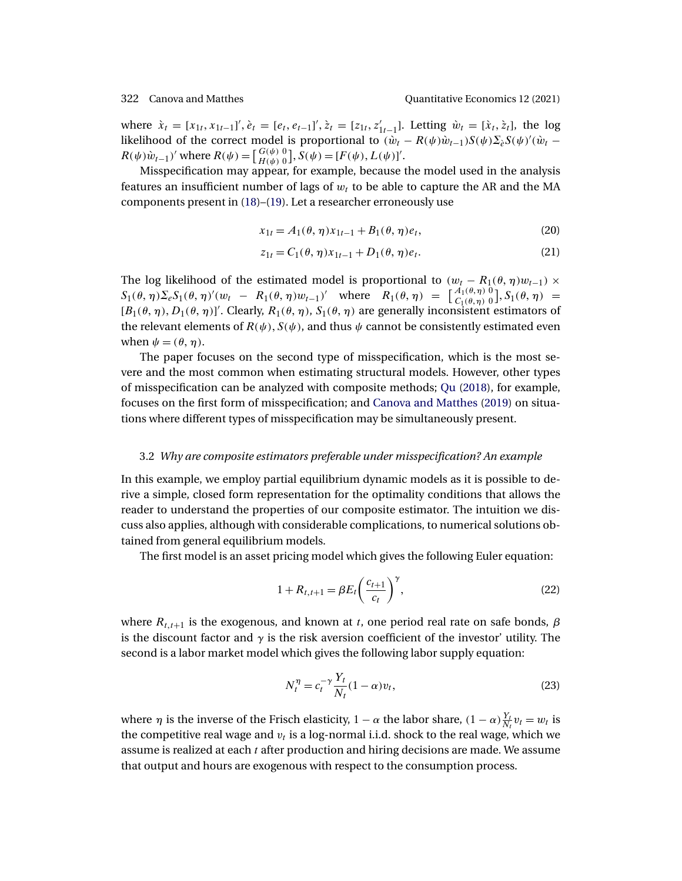<span id="page-9-0"></span>where  $\dot{x}_t = [x_{1t}, x_{1t-1}]', \dot{e}_t = [e_t, e_{t-1}]', \dot{z}_t = [z_{1t}, z'_{1t-1}]$ . Letting  $\dot{w}_t = [\dot{x}_t, \dot{z}_t]$ , the log likelihood of the correct model is proportional to  $(\hat{w}_t - R(\psi)\hat{w}_{t-1})S(\psi)\Sigma_{\hat{e}}S(\psi)^\prime(\hat{w}_t R(\psi)\dot{w}_{t-1}$ ' where  $R(\psi) = \begin{bmatrix} G(\psi) & 0 \\ H(\psi) & 0 \end{bmatrix}$ ,  $S(\psi) = [F(\psi), L(\psi)]'$ .

Misspecification may appear, for example, because the model used in the analysis features an insufficient number of lags of  $w_t$  to be able to capture the AR and the MA components present in [\(18\)](#page-8-0)–[\(19\)](#page-8-0). Let a researcher erroneously use

$$
x_{1t} = A_1(\theta, \eta) x_{1t-1} + B_1(\theta, \eta) e_t, \tag{20}
$$

$$
z_{1t} = C_1(\theta, \eta) x_{1t-1} + D_1(\theta, \eta) e_t.
$$
 (21)

The log likelihood of the estimated model is proportional to  $(w_t - R_1(\theta, \eta)w_{t-1}) \times$  $S_1(\theta, \eta) \Sigma_e S_1(\theta, \eta)'(w_t - R_1(\theta, \eta) w_{t-1})'$  where  $R_1(\theta, \eta) = \begin{bmatrix} A_1(\theta, \eta) & 0 \\ C_1(\theta, \eta) & 0 \end{bmatrix}$ ,  $S_1(\theta, \eta) =$  $[B_1(\theta, \eta), D_1(\theta, \eta)]'$ . Clearly,  $R_1(\theta, \eta)$ ,  $S_1(\theta, \eta)$  are generally inconsistent estimators of the relevant elements of  $R(\psi)$ ,  $S(\psi)$ , and thus  $\psi$  cannot be consistently estimated even when  $\psi = (\theta, \eta)$ .

The paper focuses on the second type of misspecification, which is the most severe and the most common when estimating structural models. However, other types of misspecification can be analyzed with composite methods; [Qu](#page-37-0) [\(2018\)](#page-37-0), for example, focuses on the first form of misspecification; and [Canova and Matthes](#page-34-0) [\(2019\)](#page-34-0) on situations where different types of misspecification may be simultaneously present.

### 3.2 *Why are composite estimators preferable under misspecification? An example*

In this example, we employ partial equilibrium dynamic models as it is possible to derive a simple, closed form representation for the optimality conditions that allows the reader to understand the properties of our composite estimator. The intuition we discuss also applies, although with considerable complications, to numerical solutions obtained from general equilibrium models.

The first model is an asset pricing model which gives the following Euler equation:

$$
1 + R_{t,t+1} = \beta E_t \left(\frac{c_{t+1}}{c_t}\right)^{\gamma},
$$
\n(22)

where  $R_{t,t+1}$  is the exogenous, and known at t, one period real rate on safe bonds,  $\beta$ is the discount factor and  $\gamma$  is the risk aversion coefficient of the investor' utility. The second is a labor market model which gives the following labor supply equation:

$$
N_t^{\eta} = c_t^{-\gamma} \frac{Y_t}{N_t} (1 - \alpha) v_t,
$$
\n(23)

where  $\eta$  is the inverse of the Frisch elasticity,  $1 - \alpha$  the labor share,  $(1 - \alpha) \frac{Y_t}{N_t} v_t = w_t$  is the competitive real wage and  $v_t$  is a log-normal i.i.d. shock to the real wage, which we assume is realized at each t after production and hiring decisions are made. We assume that output and hours are exogenous with respect to the consumption process.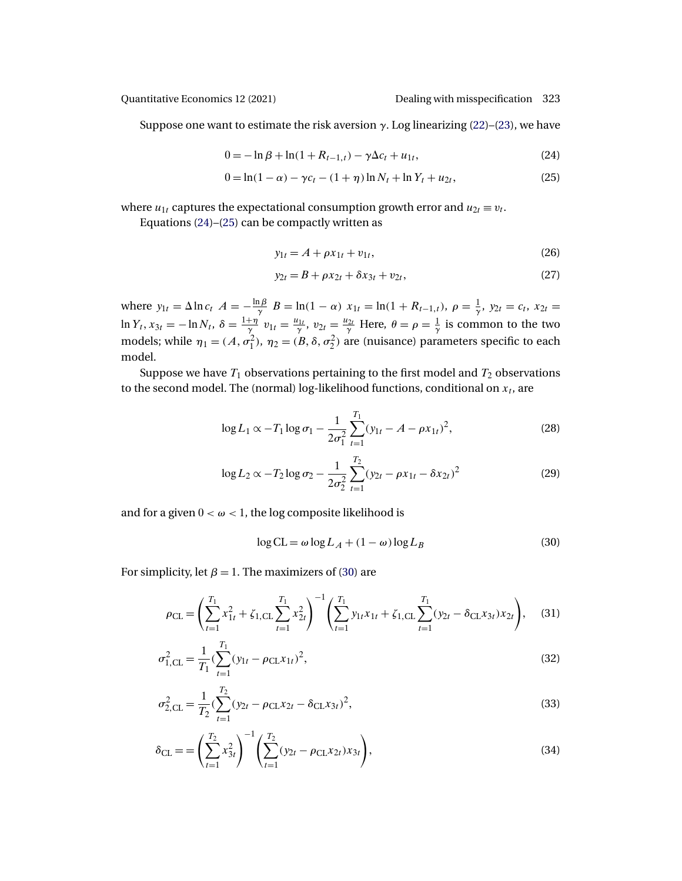<span id="page-10-0"></span>

Suppose one want to estimate the risk aversion  $\gamma$ . Log linearizing [\(22\)](#page-9-0)–[\(23\)](#page-9-0), we have

$$
0 = -\ln \beta + \ln(1 + R_{t-1,t}) - \gamma \Delta c_t + u_{1t},
$$
\n(24)

$$
0 = \ln(1 - \alpha) - \gamma c_t - (1 + \eta) \ln N_t + \ln Y_t + u_{2t},
$$
\n(25)

where  $u_{1t}$  captures the expectational consumption growth error and  $u_{2t} \equiv v_t$ .

Equations (24)–(25) can be compactly written as

$$
y_{1t} = A + \rho x_{1t} + v_{1t},\tag{26}
$$

$$
y_{2t} = B + \rho x_{2t} + \delta x_{3t} + v_{2t},
$$
\n(27)

where  $y_{1t} = \Delta \ln c_t$   $A = -\frac{\ln \beta}{\gamma}$   $B = \ln(1 - \alpha)$   $x_{1t} = \ln(1 + R_{t-1,t})$ ,  $\rho = \frac{1}{\gamma}$ ,  $y_{2t} = c_t$ ,  $x_{2t} =$  $\ln Y_t$ ,  $x_{3t} = -\ln N_t$ ,  $\delta = \frac{1+\eta}{\gamma} v_{1t} = \frac{u_{1t}}{\gamma}$ ,  $v_{2t} = \frac{u_{2t}}{\gamma}$  Here,  $\theta = \rho = \frac{1}{\gamma}$  is common to the two models; while  $\eta_1 = (A, \sigma_1^2), \eta_2 = (B, \delta, \sigma_2^2)$  are (nuisance) parameters specific to each model.

Suppose we have  $T_1$  observations pertaining to the first model and  $T_2$  observations to the second model. The (normal) log-likelihood functions, conditional on  $x_t$ , are

$$
\log L_1 \propto -T_1 \log \sigma_1 - \frac{1}{2\sigma_1^2} \sum_{t=1}^{T_1} (y_{1t} - A - \rho x_{1t})^2, \tag{28}
$$

$$
\log L_2 \propto -T_2 \log \sigma_2 - \frac{1}{2\sigma_2^2} \sum_{t=1}^{T_2} (y_{2t} - \rho x_{1t} - \delta x_{2t})^2
$$
 (29)

and for a given  $0 < \omega < 1$ , the log composite likelihood is

$$
\log CL = \omega \log L_A + (1 - \omega) \log L_B \tag{30}
$$

For simplicity, let  $\beta = 1$ . The maximizers of (30) are

$$
\rho_{\text{CL}} = \left(\sum_{t=1}^{T_1} x_{1t}^2 + \zeta_{1,\text{CL}} \sum_{t=1}^{T_1} x_{2t}^2\right)^{-1} \left(\sum_{t=1}^{T_1} y_{1t} x_{1t} + \zeta_{1,\text{CL}} \sum_{t=1}^{T_1} (y_{2t} - \delta_{\text{CL}} x_{3t}) x_{2t}\right),\tag{31}
$$

$$
\sigma_{1,CL}^2 = \frac{1}{T_1} \left( \sum_{t=1}^{T_1} (y_{1t} - \rho_{CL} x_{1t})^2 \right),\tag{32}
$$

$$
\sigma_{2,CL}^2 = \frac{1}{T_2} \left( \sum_{t=1}^{T_2} (y_{2t} - \rho_{CL} x_{2t} - \delta_{CL} x_{3t})^2 \right),\tag{33}
$$

$$
\delta_{\text{CL}} = \left(\sum_{t=1}^{T_2} x_{3t}^2\right)^{-1} \left(\sum_{t=1}^{T_2} (y_{2t} - \rho_{\text{CL}} x_{2t}) x_{3t}\right),\tag{34}
$$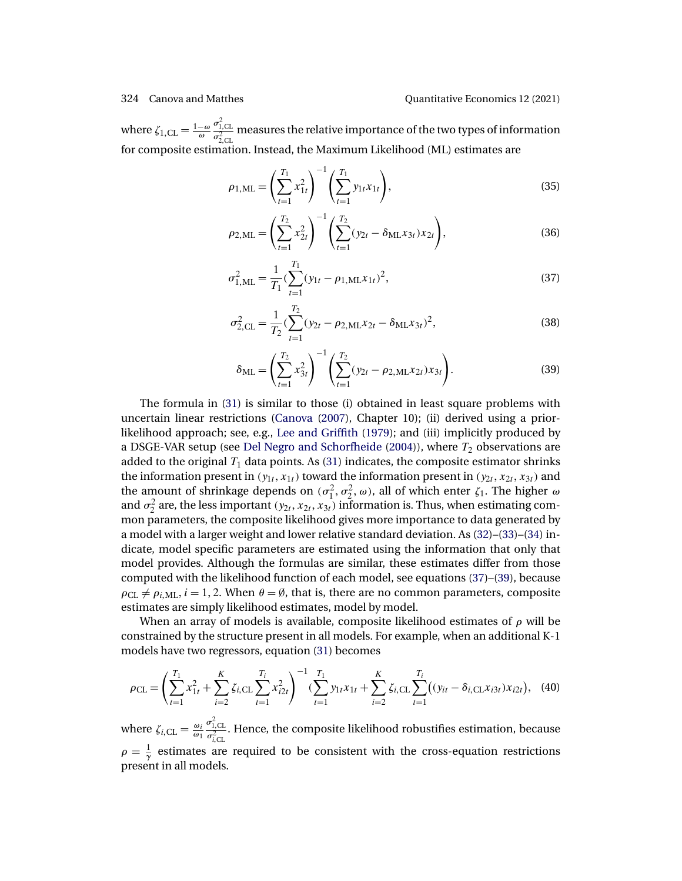<span id="page-11-0"></span>where  $\zeta_{1,\text{CL}} = \frac{1-\omega}{\omega}$  $\frac{\sigma_{1,\text{CL}}^2}{\sigma_{2,\text{CL}}^2}$  measures the relative importance of the two types of information for composite estimation. Instead, the Maximum Likelihood (ML) estimates are

$$
\rho_{1,\text{ML}} = \left(\sum_{t=1}^{T_1} x_{1t}^2\right)^{-1} \left(\sum_{t=1}^{T_1} y_{1t} x_{1t}\right),\tag{35}
$$

$$
\rho_{2,\text{ML}} = \left(\sum_{t=1}^{T_2} x_{2t}^2\right)^{-1} \left(\sum_{t=1}^{T_2} (y_{2t} - \delta_{\text{ML}} x_{3t}) x_{2t}\right),\tag{36}
$$

$$
\sigma_{1,\text{ML}}^2 = \frac{1}{T_1} \left( \sum_{t=1}^{T_1} (y_{1t} - \rho_{1,\text{ML}} x_{1t})^2 \right),\tag{37}
$$

$$
\sigma_{2,CL}^2 = \frac{1}{T_2} \left( \sum_{t=1}^{T_2} (y_{2t} - \rho_{2,ML} x_{2t} - \delta_{ML} x_{3t})^2 \right),
$$
\n(38)

$$
\delta_{\rm ML} = \left(\sum_{t=1}^{T_2} x_{3t}^2\right)^{-1} \left(\sum_{t=1}^{T_2} (y_{2t} - \rho_{2, \rm ML} x_{2t}) x_{3t}\right).
$$
 (39)

The formula in [\(31\)](#page-10-0) is similar to those (i) obtained in least square problems with uncertain linear restrictions [\(Canova](#page-34-0) [\(2007\)](#page-34-0), Chapter 10); (ii) derived using a priorlikelihood approach; see, e.g., [Lee and Griffith](#page-36-0) [\(1979\)](#page-36-0); and (iii) implicitly produced by a DSGE-VAR setup (see [Del Negro and Schorfheide](#page-35-0) [\(2004\)](#page-35-0)), where  $T_2$  observations are added to the original  $T_1$  data points. As [\(31\)](#page-10-0) indicates, the composite estimator shrinks the information present in  $(y_{1t}, x_{1t})$  toward the information present in  $(y_{2t}, x_{2t}, x_{3t})$  and the amount of shrinkage depends on  $(\sigma_1^2, \sigma_2^2, \omega)$ , all of which enter  $\zeta_1$ . The higher  $\omega$ and  $\sigma_2^2$  are, the less important  $(y_{2t}, x_{2t}, x_{3t})$  information is. Thus, when estimating common parameters, the composite likelihood gives more importance to data generated by a model with a larger weight and lower relative standard deviation. As [\(32\)](#page-10-0)–[\(33\)](#page-10-0)–[\(34\)](#page-10-0) indicate, model specific parameters are estimated using the information that only that model provides. Although the formulas are similar, these estimates differ from those computed with the likelihood function of each model, see equations (37)–(39), because  $\rho_{CL} \neq \rho_{i,ML}$ ,  $i = 1, 2$ . When  $\theta = \emptyset$ , that is, there are no common parameters, composite estimates are simply likelihood estimates, model by model.

When an array of models is available, composite likelihood estimates of  $\rho$  will be constrained by the structure present in all models. For example, when an additional K-1 models have two regressors, equation [\(31\)](#page-10-0) becomes

$$
\rho_{\text{CL}} = \left(\sum_{t=1}^{T_1} x_{1t}^2 + \sum_{i=2}^K \zeta_{i,\text{CL}} \sum_{t=1}^{T_i} x_{i2t}^2\right)^{-1} \left(\sum_{t=1}^{T_1} y_{1t} x_{1t} + \sum_{i=2}^K \zeta_{i,\text{CL}} \sum_{t=1}^{T_i} \left((y_{it} - \delta_{i,\text{CL}} x_{i3t}) x_{i2t}\right), (40)
$$

where  $\zeta_{i,\text{CL}} = \frac{\omega_i}{\omega_1}$  $\frac{\sigma_{1,\text{CL}}^2}{\sigma_{i,\text{CL}}^2}$ . Hence, the composite likelihood robustifies estimation, because  $\rho = \frac{1}{\gamma}$  estimates are required to be consistent with the cross-equation restrictions present in all models.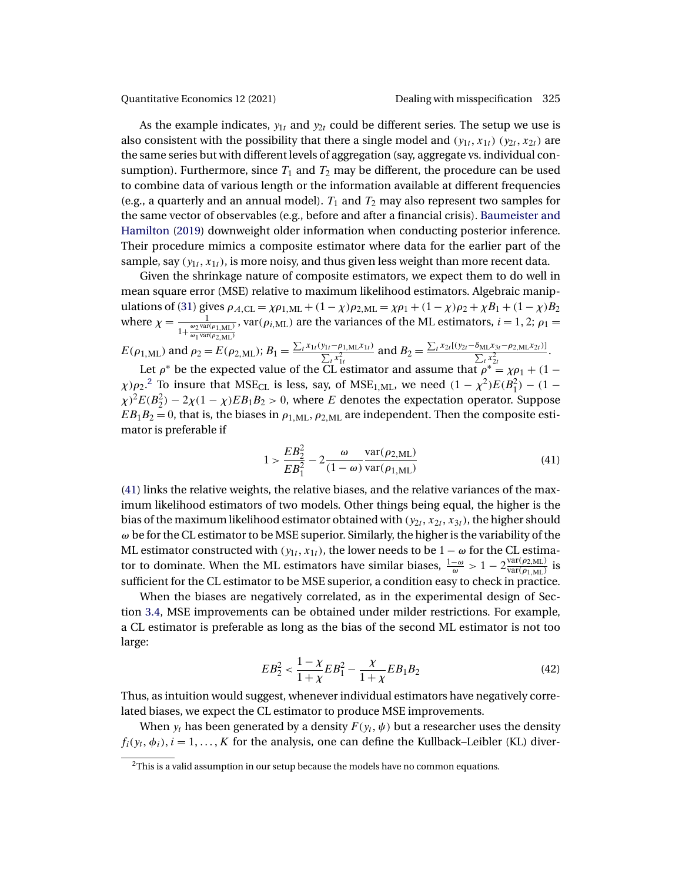<span id="page-12-0"></span>

As the example indicates,  $y_{1t}$  and  $y_{2t}$  could be different series. The setup we use is also consistent with the possibility that there a single model and  $(y_{1t}, x_{1t}) (y_{2t}, x_{2t})$  are the same series but with different levels of aggregation (say, aggregate vs. individual consumption). Furthermore, since  $T_1$  and  $T_2$  may be different, the procedure can be used to combine data of various length or the information available at different frequencies (e.g., a quarterly and an annual model).  $T_1$  and  $T_2$  may also represent two samples for the same vector of observables (e.g., before and after a financial crisis). [Baumeister and](#page-34-0) [Hamilton](#page-34-0) [\(2019\)](#page-34-0) downweight older information when conducting posterior inference. Their procedure mimics a composite estimator where data for the earlier part of the sample, say  $(y_{1t}, x_{1t})$ , is more noisy, and thus given less weight than more recent data.

Given the shrinkage nature of composite estimators, we expect them to do well in mean square error (MSE) relative to maximum likelihood estimators. Algebraic manip-ulations of [\(31\)](#page-10-0) gives  $\rho_{A,CL} = \chi \rho_{1,ML} + (1 - \chi) \rho_{2,ML} = \chi \rho_1 + (1 - \chi) \rho_2 + \chi B_1 + (1 - \chi) B_2$ where  $\chi = \frac{1}{1 + \frac{\omega_2 \text{var}(\rho_{1, \text{ML}})}{\omega_1 \text{var}(\rho_{2, \text{ML}})}}$ , var( $\rho_{i,ML}$ ) are the variances of the ML estimators,  $i = 1, 2$ ;  $\rho_1 =$ 

 $E(\rho_{1,ML})$  and  $\rho_2 = E(\rho_{2,ML});$   $B_1 = \frac{\sum_t x_{1t} (y_{1t} - \rho_{1,ML} x_{1t})}{\sum_{x} x_{1x}^2}$  $\frac{y_{1t} - \rho_{1,\text{ML}}x_{1t}}{\sum_t x_{1t}^2}$  and  $B_2 = \frac{\sum_t x_{2t}[(y_{2t} - \delta_{\text{ML}}x_{3t} - \rho_{2,\text{ML}}x_{2t})]}{\sum_t x_{2t}^2}$  $\frac{\sum_{t} x_{2t}^2 - p_{2, \text{ML}} x_{2t}^2}{\sum_{t} x_{2t}^2}$ .

Let  $\rho^*$  be the expected value of the CL estimator and assume that  $\rho^* = \chi \rho_1 + (1 - \rho^*)^2$  $\chi$ ) $\rho_2$ .<sup>2</sup> To insure that MSE<sub>CL</sub> is less, say, of MSE<sub>1,ML</sub>, we need  $(1 - \chi^2)E(B_1^2) - (1 - \chi^2)E(B_2^2)$  $\chi$ )<sup>2</sup> $E(B_2^2)$  – 2 $\chi$ (1 –  $\chi$ ) $EB_1B_2$  > 0, where E denotes the expectation operator. Suppose  $EB_1B_2 = 0$ , that is, the biases in  $\rho_{1,ML}$ ,  $\rho_{2,ML}$  are independent. Then the composite estimator is preferable if

$$
1 > \frac{EB_2^2}{EB_1^2} - 2\frac{\omega}{(1-\omega)} \frac{\text{var}(\rho_{2,\text{ML}})}{\text{var}(\rho_{1,\text{ML}})}
$$
(41)

(41) links the relative weights, the relative biases, and the relative variances of the maximum likelihood estimators of two models. Other things being equal, the higher is the bias of the maximum likelihood estimator obtained with  $(y_{2t}, x_{2t}, x_{3t})$ , the higher should  $\omega$  be for the CL estimator to be MSE superior. Similarly, the higher is the variability of the ML estimator constructed with  $(y_{1t}, x_{1t})$ , the lower needs to be  $1 - \omega$  for the CL estimator to dominate. When the ML estimators have similar biases,  $\frac{1-\omega}{\omega} > 1 - 2\frac{\text{var}(\rho_{2,ML})}{\text{var}(\rho_{1,ML})}$  is sufficient for the CL estimator to be MSE superior, a condition easy to check in practice.

When the biases are negatively correlated, as in the experimental design of Section [3.4,](#page-15-0) MSE improvements can be obtained under milder restrictions. For example, a CL estimator is preferable as long as the bias of the second ML estimator is not too large:

$$
EB_2^2 < \frac{1 - \chi}{1 + \chi} EB_1^2 - \frac{\chi}{1 + \chi} EB_1B_2 \tag{42}
$$

Thus, as intuition would suggest, whenever individual estimators have negatively correlated biases, we expect the CL estimator to produce MSE improvements.

When  $y_t$  has been generated by a density  $F(y_t, \psi)$  but a researcher uses the density  $f_i(y_t, \phi_i)$ ,  $i = 1, \ldots, K$  for the analysis, one can define the Kullback–Leibler (KL) diver-

 $2$ This is a valid assumption in our setup because the models have no common equations.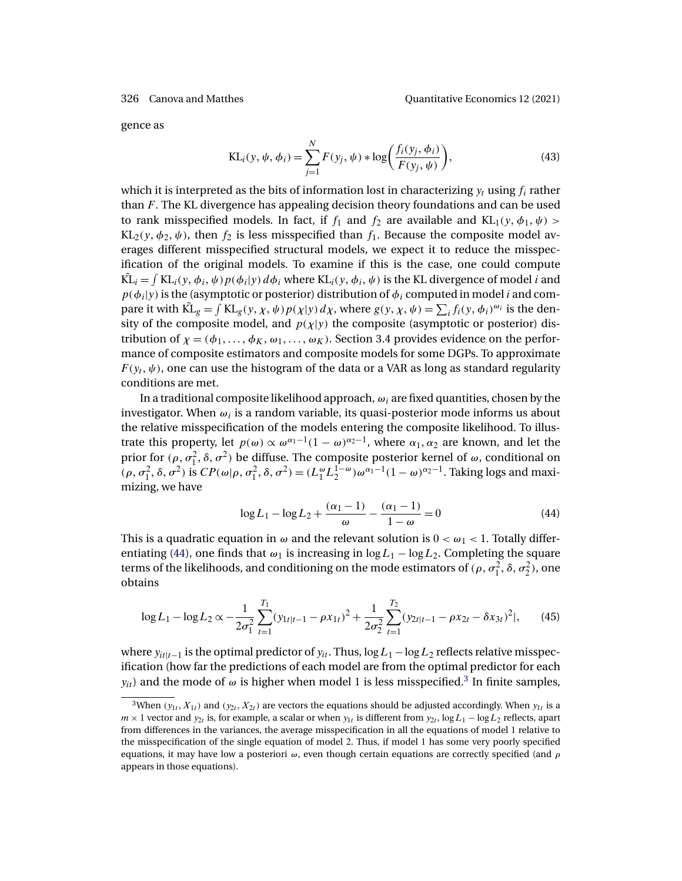gence as

KL<sub>i</sub>(y, 
$$
\psi
$$
,  $\phi$ <sub>i</sub>) =  $\sum_{j=1}^{N} F(y_j, \psi) * \log \left( \frac{f_i(y_j, \phi_i)}{F(y_j, \psi)} \right)$ , (43)

which it is interpreted as the bits of information lost in characterizing  $y_t$  using  $f_i$  rather than F. The KL divergence has appealing decision theory foundations and can be used to rank misspecified models. In fact, if  $f_1$  and  $f_2$  are available and KL<sub>1</sub>(y,  $\phi_1$ ,  $\psi$ ) >  $KL_2(y, \phi_2, \psi)$ , then  $f_2$  is less misspecified than  $f_1$ . Because the composite model averages different misspecified structural models, we expect it to reduce the misspecification of the original models. To examine if this is the case, one could compute  $\tilde{KL}_i = \int KL_i(y, \phi_i, \psi) p(\phi_i|y) d\phi_i$  where  $KL_i(y, \phi_i, \psi)$  is the KL divergence of model *i* and  $p(\phi_i|y)$  is the (asymptotic or posterior) distribution of  $\phi_i$  computed in model i and compare it with  $\tilde{KL}_g = \int KL_g(y, \chi, \psi) p(\chi|y) d\chi$ , where  $g(y, \chi, \psi) = \sum_i f_i(y, \phi_i)^{\omega_i}$  is the density of the composite model, and  $p(\chi|y)$  the composite (asymptotic or posterior) distribution of  $\chi = (\phi_1, \ldots, \phi_K, \omega_1, \ldots, \omega_K)$ . Section 3.4 provides evidence on the performance of composite estimators and composite models for some DGPs. To approximate  $F(y_t, \psi)$ , one can use the histogram of the data or a VAR as long as standard regularity conditions are met.

In a traditional composite likelihood approach,  $\omega_i$  are fixed quantities, chosen by the investigator. When  $\omega_i$  is a random variable, its quasi-posterior mode informs us about the relative misspecification of the models entering the composite likelihood. To illustrate this property, let  $p(\omega) \propto \omega^{\alpha_1-1}(1-\omega)^{\alpha_2-1}$ , where  $\alpha_1, \alpha_2$  are known, and let the prior for  $(\rho, \sigma_1^2, \delta, \sigma^2)$  be diffuse. The composite posterior kernel of  $\omega$ , conditional on  $(\rho, \sigma_1^2, \delta, \sigma^2)$  is  $CP(\omega|\rho, \sigma_1^2, \delta, \sigma^2) = (L_1^{\omega} L_2^{1-\omega}) \omega^{\alpha_1-1} (1-\omega)^{\alpha_2-1}$ . Taking logs and maximizing, we have

$$
\log L_1 - \log L_2 + \frac{(\alpha_1 - 1)}{\omega} - \frac{(\alpha_1 - 1)}{1 - \omega} = 0
$$
\n(44)

This is a quadratic equation in  $\omega$  and the relevant solution is  $0 < \omega_1 < 1$ . Totally differentiating (44), one finds that  $\omega_1$  is increasing in log  $L_1 - \log L_2$ . Completing the square terms of the likelihoods, and conditioning on the mode estimators of  $(\rho, \sigma_1^2, \delta, \sigma_2^2)$ , one obtains

$$
\log L_1 - \log L_2 \propto -\frac{1}{2\sigma_1^2} \sum_{t=1}^{T_1} (y_{1t|t-1} - \rho x_{1t})^2 + \frac{1}{2\sigma_2^2} \sum_{t=1}^{T_2} (y_{2t|t-1} - \rho x_{2t} - \delta x_{3t})^2 |,
$$
 (45)

where  $y_{it|t-1}$  is the optimal predictor of  $y_{it}$ . Thus, log  $L_1 - \log L_2$  reflects relative misspecification (how far the predictions of each model are from the optimal predictor for each  $y_{it}$ ) and the mode of  $\omega$  is higher when model 1 is less misspecified.<sup>3</sup> In finite samples,

<sup>&</sup>lt;sup>3</sup>When ( $y_{1t}$ ,  $X_{1t}$ ) and ( $y_{2t}$ ,  $X_{2t}$ ) are vectors the equations should be adjusted accordingly. When  $y_{1t}$  is a  $m \times 1$  vector and  $y_{2t}$  is, for example, a scalar or when  $y_{1t}$  is different from  $y_{2t}$ , log  $L_1 - \log L_2$  reflects, apart from differences in the variances, the average misspecification in all the equations of model 1 relative to the misspecification of the single equation of model 2. Thus, if model 1 has some very poorly specified equations, it may have low a posteriori  $\omega$ , even though certain equations are correctly specified (and  $\rho$ appears in those equations).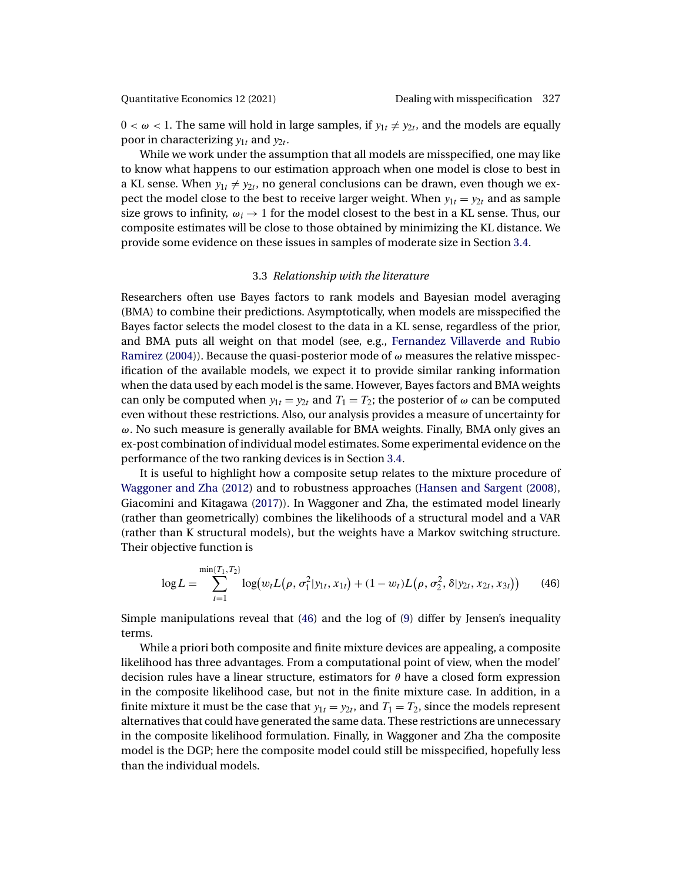<span id="page-14-0"></span>

 $0 < \omega < 1$ . The same will hold in large samples, if  $y_{1t} \neq y_{2t}$ , and the models are equally poor in characterizing  $y_{1t}$  and  $y_{2t}$ .

While we work under the assumption that all models are misspecified, one may like to know what happens to our estimation approach when one model is close to best in a KL sense. When  $y_{1t} \neq y_{2t}$ , no general conclusions can be drawn, even though we expect the model close to the best to receive larger weight. When  $y_{1t} = y_{2t}$  and as sample size grows to infinity,  $\omega_i \rightarrow 1$  for the model closest to the best in a KL sense. Thus, our composite estimates will be close to those obtained by minimizing the KL distance. We provide some evidence on these issues in samples of moderate size in Section [3.4.](#page-15-0)

# 3.3 *Relationship with the literature*

Researchers often use Bayes factors to rank models and Bayesian model averaging (BMA) to combine their predictions. Asymptotically, when models are misspecified the Bayes factor selects the model closest to the data in a KL sense, regardless of the prior, and BMA puts all weight on that model (see, e.g., [Fernandez Villaverde and Rubio](#page-35-0) [Ramirez](#page-35-0) [\(2004\)](#page-35-0)). Because the quasi-posterior mode of  $\omega$  measures the relative misspecification of the available models, we expect it to provide similar ranking information when the data used by each model is the same. However, Bayes factors and BMA weights can only be computed when  $y_{1t} = y_{2t}$  and  $T_1 = T_2$ ; the posterior of  $\omega$  can be computed even without these restrictions. Also, our analysis provides a measure of uncertainty for ω. No such measure is generally available for BMA weights. Finally, BMA only gives an ex-post combination of individual model estimates. Some experimental evidence on the performance of the two ranking devices is in Section [3.4.](#page-15-0)

It is useful to highlight how a composite setup relates to the mixture procedure of [Waggoner and Zha](#page-37-0) [\(2012\)](#page-37-0) and to robustness approaches [\(Hansen and Sargent](#page-36-0) [\(2008\)](#page-36-0), Giacomini and Kitagawa [\(2017\)](#page-36-0)). In Waggoner and Zha, the estimated model linearly (rather than geometrically) combines the likelihoods of a structural model and a VAR (rather than K structural models), but the weights have a Markov switching structure. Their objective function is

$$
\log L = \sum_{t=1}^{\min\{T_1, T_2\}} \log(w_t L(\rho, \sigma_1^2 | y_{1t}, x_{1t}) + (1 - w_t) L(\rho, \sigma_2^2, \delta | y_{2t}, x_{2t}, x_{3t})) \tag{46}
$$

Simple manipulations reveal that (46) and the log of [\(9\)](#page-7-0) differ by Jensen's inequality terms.

While a priori both composite and finite mixture devices are appealing, a composite likelihood has three advantages. From a computational point of view, when the model' decision rules have a linear structure, estimators for  $\theta$  have a closed form expression in the composite likelihood case, but not in the finite mixture case. In addition, in a finite mixture it must be the case that  $y_{1t} = y_{2t}$ , and  $T_1 = T_2$ , since the models represent alternatives that could have generated the same data. These restrictions are unnecessary in the composite likelihood formulation. Finally, in Waggoner and Zha the composite model is the DGP; here the composite model could still be misspecified, hopefully less than the individual models.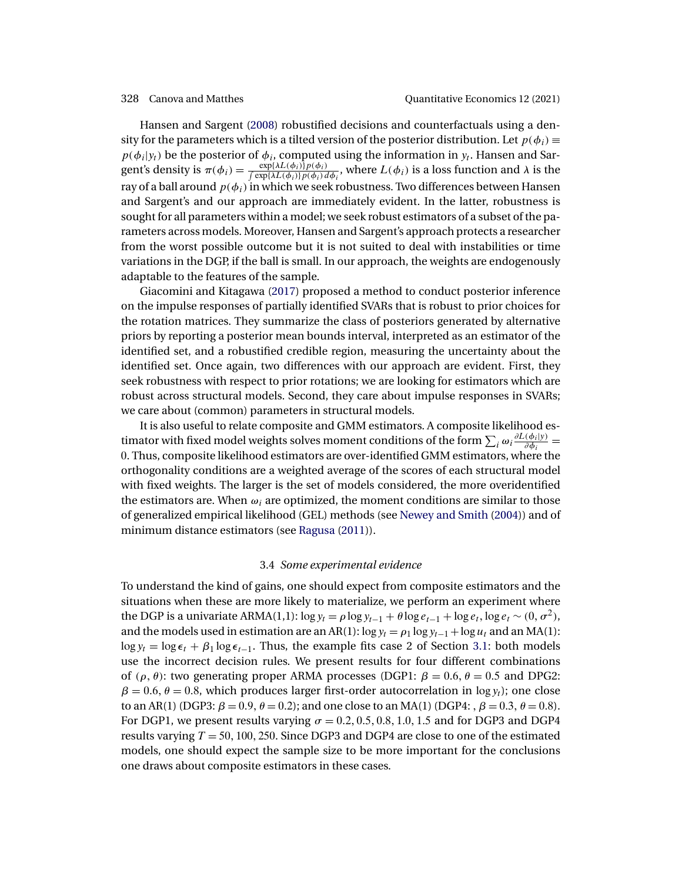<span id="page-15-0"></span>Hansen and Sargent [\(2008\)](#page-36-0) robustified decisions and counterfactuals using a density for the parameters which is a tilted version of the posterior distribution. Let  $p(\phi_i) \equiv$  $p(\phi_i|y_i)$  be the posterior of  $\phi_i$ , computed using the information in  $y_i$ . Hansen and Sargent's density is  $\pi(\phi_i) = \frac{\exp{\{\lambda L(\phi_i)\}} p(\phi_i)}{\int \exp{\{\lambda L(\phi_i)\}} p(\phi_i) d\phi_i}$ , where  $L(\phi_i)$  is a loss function and  $\lambda$  is the ray of a ball around  $p(\phi_i)$  in which we seek robustness. Two differences between Hansen and Sargent's and our approach are immediately evident. In the latter, robustness is sought for all parameters within a model; we seek robust estimators of a subset of the parameters across models. Moreover, Hansen and Sargent's approach protects a researcher from the worst possible outcome but it is not suited to deal with instabilities or time variations in the DGP, if the ball is small. In our approach, the weights are endogenously adaptable to the features of the sample.

Giacomini and Kitagawa [\(2017\)](#page-36-0) proposed a method to conduct posterior inference on the impulse responses of partially identified SVARs that is robust to prior choices for the rotation matrices. They summarize the class of posteriors generated by alternative priors by reporting a posterior mean bounds interval, interpreted as an estimator of the identified set, and a robustified credible region, measuring the uncertainty about the identified set. Once again, two differences with our approach are evident. First, they seek robustness with respect to prior rotations; we are looking for estimators which are robust across structural models. Second, they care about impulse responses in SVARs; we care about (common) parameters in structural models.

It is also useful to relate composite and GMM estimators. A composite likelihood estimator with fixed model weights solves moment conditions of the form  $\sum_i \omega_i \frac{\partial L(\phi_i|y)}{\partial \phi_i} =$ 0. Thus, composite likelihood estimators are over-identified GMM estimators, where the orthogonality conditions are a weighted average of the scores of each structural model with fixed weights. The larger is the set of models considered, the more overidentified the estimators are. When  $\omega_i$  are optimized, the moment conditions are similar to those of generalized empirical likelihood (GEL) methods (see [Newey and Smith](#page-37-0) [\(2004\)](#page-37-0)) and of minimum distance estimators (see [Ragusa](#page-37-0) [\(2011\)](#page-37-0)).

### 3.4 *Some experimental evidence*

To understand the kind of gains, one should expect from composite estimators and the situations when these are more likely to materialize, we perform an experiment where the DGP is a univariate ARMA(1,1):  $\log y_t = \rho \log y_{t-1} + \theta \log e_{t-1} + \log e_t$ ,  $\log e_t \sim (0, \sigma^2)$ , and the models used in estimation are an AR(1):  $\log y_t = \rho_1 \log y_{t-1} + \log u_t$  and an MA(1):  $\log y_t = \log \epsilon_t + \beta_1 \log \epsilon_{t-1}$ . Thus, the example fits case 2 of Section [3.1:](#page-7-0) both models use the incorrect decision rules. We present results for four different combinations of  $(\rho, \theta)$ : two generating proper ARMA processes (DGP1:  $\beta = 0.6$ ,  $\theta = 0.5$  and DPG2:  $\beta = 0.6$ ,  $\theta = 0.8$ , which produces larger first-order autocorrelation in log  $y_t$ ); one close to an AR(1) (DGP3:  $\beta = 0.9$ ,  $\theta = 0.2$ ); and one close to an MA(1) (DGP4:  $\beta = 0.3$ ,  $\theta = 0.8$ ). For DGP1, we present results varying  $\sigma = 0.2, 0.5, 0.8, 1.0, 1.5$  and for DGP3 and DGP4 results varying  $T = 50, 100, 250$ . Since DGP3 and DGP4 are close to one of the estimated models, one should expect the sample size to be more important for the conclusions one draws about composite estimators in these cases.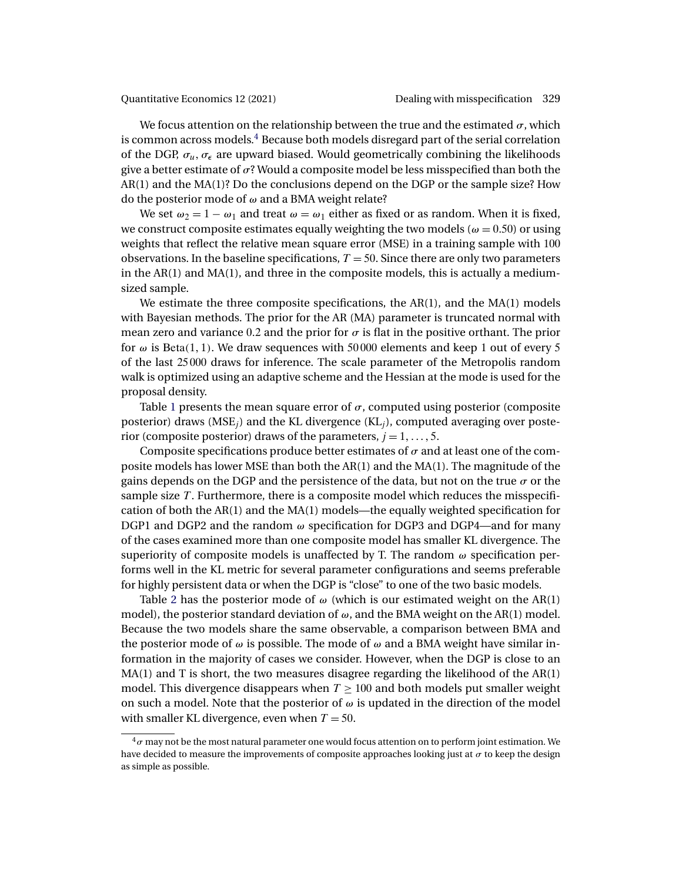We focus attention on the relationship between the true and the estimated  $\sigma$ , which is common across models.<sup>4</sup> Because both models disregard part of the serial correlation of the DGP,  $\sigma_{\mu}$ ,  $\sigma_{\epsilon}$  are upward biased. Would geometrically combining the likelihoods give a better estimate of  $\sigma$ ? Would a composite model be less misspecified than both the AR(1) and the MA(1)? Do the conclusions depend on the DGP or the sample size? How do the posterior mode of ω and a BMA weight relate?

We set  $\omega_2 = 1 - \omega_1$  and treat  $\omega = \omega_1$  either as fixed or as random. When it is fixed, we construct composite estimates equally weighting the two models ( $\omega = 0.50$ ) or using weights that reflect the relative mean square error (MSE) in a training sample with 100 observations. In the baseline specifications,  $T = 50$ . Since there are only two parameters in the  $AR(1)$  and  $MA(1)$ , and three in the composite models, this is actually a mediumsized sample.

We estimate the three composite specifications, the AR(1), and the MA(1) models with Bayesian methods. The prior for the AR (MA) parameter is truncated normal with mean zero and variance 0.2 and the prior for  $\sigma$  is flat in the positive orthant. The prior for  $\omega$  is Beta(1, 1). We draw sequences with 50000 elements and keep 1 out of every 5 of the last 25 000 draws for inference. The scale parameter of the Metropolis random walk is optimized using an adaptive scheme and the Hessian at the mode is used for the proposal density.

Table [1](#page-17-0) presents the mean square error of  $\sigma$ , computed using posterior (composite posterior) draws (MSE<sub>i</sub>) and the KL divergence (KL<sub>i</sub>), computed averaging over posterior (composite posterior) draws of the parameters,  $j = 1, \ldots, 5$ .

Composite specifications produce better estimates of  $\sigma$  and at least one of the composite models has lower MSE than both the AR(1) and the MA(1). The magnitude of the gains depends on the DGP and the persistence of the data, but not on the true  $\sigma$  or the sample size T. Furthermore, there is a composite model which reduces the misspecification of both the AR(1) and the MA(1) models—the equally weighted specification for DGP1 and DGP2 and the random  $\omega$  specification for DGP3 and DGP4—and for many of the cases examined more than one composite model has smaller KL divergence. The superiority of composite models is unaffected by T. The random  $\omega$  specification performs well in the KL metric for several parameter configurations and seems preferable for highly persistent data or when the DGP is "close" to one of the two basic models.

Table [2](#page-18-0) has the posterior mode of  $\omega$  (which is our estimated weight on the AR(1) model), the posterior standard deviation of  $\omega$ , and the BMA weight on the AR(1) model. Because the two models share the same observable, a comparison between BMA and the posterior mode of  $\omega$  is possible. The mode of  $\omega$  and a BMA weight have similar information in the majority of cases we consider. However, when the DGP is close to an MA(1) and T is short, the two measures disagree regarding the likelihood of the AR(1) model. This divergence disappears when  $T \geq 100$  and both models put smaller weight on such a model. Note that the posterior of  $\omega$  is updated in the direction of the model with smaller KL divergence, even when  $T = 50$ .

 $4\sigma$  may not be the most natural parameter one would focus attention on to perform joint estimation. We have decided to measure the improvements of composite approaches looking just at  $\sigma$  to keep the design as simple as possible.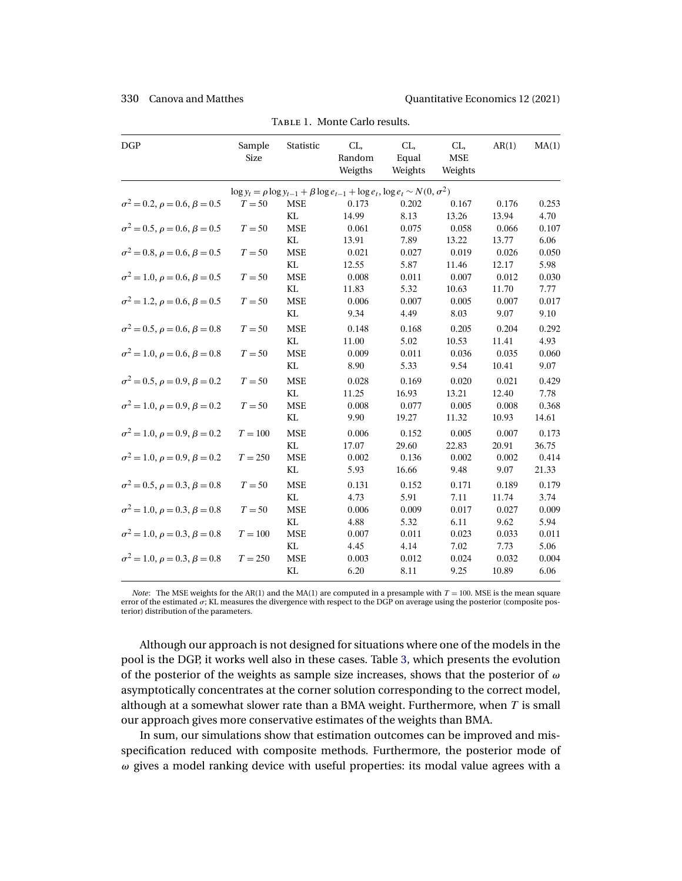<span id="page-17-0"></span>

| $\log y_t = \rho \log y_{t-1} + \beta \log e_{t-1} + \log e_t, \log e_t \sim N(0, \sigma^2)$<br>$\sigma^2 = 0.2$ , $\rho = 0.6$ , $\beta = 0.5$<br>$T = 50$<br><b>MSE</b><br>0.173<br>0.202<br>0.167<br>0.176<br>KL<br>14.99<br>8.13<br>13.26<br>13.94<br>$\sigma^2 = 0.5$ , $\rho = 0.6$ , $\beta = 0.5$<br>$T = 50$<br><b>MSE</b><br>0.075<br>0.058<br>0.066<br>0.061<br>KL<br>13.91<br>7.89<br>13.22<br>13.77<br>$\sigma^2 = 0.8, \rho = 0.6, \beta = 0.5$<br>$T = 50$<br><b>MSE</b><br>0.021<br>0.027<br>0.019<br>0.026<br>KL<br>12.55<br>5.87<br>11.46<br>12.17<br>$\sigma^2 = 1.0, \rho = 0.6, \beta = 0.5$<br>$T = 50$<br><b>MSE</b><br>0.008<br>0.011<br>0.007<br>0.012 | 0.253<br>4.70<br>0.107<br>6.06<br>0.050<br>5.98<br>0.030<br>7.77<br>0.017<br>9.10<br>0.292 |
|---------------------------------------------------------------------------------------------------------------------------------------------------------------------------------------------------------------------------------------------------------------------------------------------------------------------------------------------------------------------------------------------------------------------------------------------------------------------------------------------------------------------------------------------------------------------------------------------------------------------------------------------------------------------------------|--------------------------------------------------------------------------------------------|
|                                                                                                                                                                                                                                                                                                                                                                                                                                                                                                                                                                                                                                                                                 |                                                                                            |
|                                                                                                                                                                                                                                                                                                                                                                                                                                                                                                                                                                                                                                                                                 |                                                                                            |
|                                                                                                                                                                                                                                                                                                                                                                                                                                                                                                                                                                                                                                                                                 |                                                                                            |
|                                                                                                                                                                                                                                                                                                                                                                                                                                                                                                                                                                                                                                                                                 |                                                                                            |
|                                                                                                                                                                                                                                                                                                                                                                                                                                                                                                                                                                                                                                                                                 |                                                                                            |
|                                                                                                                                                                                                                                                                                                                                                                                                                                                                                                                                                                                                                                                                                 |                                                                                            |
|                                                                                                                                                                                                                                                                                                                                                                                                                                                                                                                                                                                                                                                                                 |                                                                                            |
|                                                                                                                                                                                                                                                                                                                                                                                                                                                                                                                                                                                                                                                                                 |                                                                                            |
| KL<br>11.83<br>5.32<br>10.63<br>11.70                                                                                                                                                                                                                                                                                                                                                                                                                                                                                                                                                                                                                                           |                                                                                            |
| $\sigma^2 = 1.2$ , $\rho = 0.6$ , $\beta = 0.5$<br>$T = 50$<br><b>MSE</b><br>0.006<br>0.007<br>0.005<br>0.007                                                                                                                                                                                                                                                                                                                                                                                                                                                                                                                                                                   |                                                                                            |
| KL<br>9.34<br>4.49<br>8.03<br>9.07                                                                                                                                                                                                                                                                                                                                                                                                                                                                                                                                                                                                                                              |                                                                                            |
| <b>MSE</b><br>$\sigma^2 = 0.5$ , $\rho = 0.6$ , $\beta = 0.8$<br>$T = 50$<br>0.148<br>0.168<br>0.205<br>0.204                                                                                                                                                                                                                                                                                                                                                                                                                                                                                                                                                                   |                                                                                            |
| KL<br>11.00<br>5.02<br>10.53<br>11.41                                                                                                                                                                                                                                                                                                                                                                                                                                                                                                                                                                                                                                           | 4.93                                                                                       |
| <b>MSE</b><br>$\sigma^2 = 1.0$ , $\rho = 0.6$ , $\beta = 0.8$<br>$T = 50$<br>0.009<br>0.036<br>0.035<br>0.011                                                                                                                                                                                                                                                                                                                                                                                                                                                                                                                                                                   | 0.060                                                                                      |
| KL<br>9.54<br>8.90<br>5.33<br>10.41                                                                                                                                                                                                                                                                                                                                                                                                                                                                                                                                                                                                                                             | 9.07                                                                                       |
| $\sigma^2 = 0.5$ , $\rho = 0.9$ , $\beta = 0.2$<br>$T = 50$<br><b>MSE</b><br>0.028<br>0.169<br>0.020<br>0.021                                                                                                                                                                                                                                                                                                                                                                                                                                                                                                                                                                   | 0.429                                                                                      |
| KL<br>11.25<br>16.93<br>13.21<br>12.40                                                                                                                                                                                                                                                                                                                                                                                                                                                                                                                                                                                                                                          | 7.78                                                                                       |
| $\sigma^2 = 1.0, \rho = 0.9, \beta = 0.2$<br>0.008<br>$T = 50$<br><b>MSE</b><br>0.077<br>0.005<br>0.008                                                                                                                                                                                                                                                                                                                                                                                                                                                                                                                                                                         | 0.368                                                                                      |
| KL<br>9.90<br>19.27<br>10.93<br>11.32                                                                                                                                                                                                                                                                                                                                                                                                                                                                                                                                                                                                                                           | 14.61                                                                                      |
| $\sigma^2 = 1.0, \rho = 0.9, \beta = 0.2$<br>$T = 100$<br><b>MSE</b><br>0.006<br>0.152<br>0.005<br>0.007                                                                                                                                                                                                                                                                                                                                                                                                                                                                                                                                                                        | 0.173                                                                                      |
| KL<br>29.60<br>22.83<br>20.91<br>17.07                                                                                                                                                                                                                                                                                                                                                                                                                                                                                                                                                                                                                                          | 36.75                                                                                      |
| $\sigma^2 = 1.0, \rho = 0.9, \beta = 0.2$<br>$T = 250$<br><b>MSE</b><br>0.002<br>0.136<br>0.002<br>0.002                                                                                                                                                                                                                                                                                                                                                                                                                                                                                                                                                                        | 0.414                                                                                      |
| KL<br>5.93<br>16.66<br>9.48<br>9.07                                                                                                                                                                                                                                                                                                                                                                                                                                                                                                                                                                                                                                             | 21.33                                                                                      |
| $\sigma^2 = 0.5$ , $\rho = 0.3$ , $\beta = 0.8$<br><b>MSE</b><br>$T = 50$<br>0.131<br>0.152<br>0.171<br>0.189                                                                                                                                                                                                                                                                                                                                                                                                                                                                                                                                                                   | 0.179                                                                                      |
| KL<br>5.91<br>7.11<br>4.73<br>11.74                                                                                                                                                                                                                                                                                                                                                                                                                                                                                                                                                                                                                                             | 3.74                                                                                       |
| $\sigma^2 = 1.0, \rho = 0.3, \beta = 0.8$<br><b>MSE</b><br>$T = 50$<br>0.006<br>0.009<br>0.017<br>0.027                                                                                                                                                                                                                                                                                                                                                                                                                                                                                                                                                                         | 0.009                                                                                      |
| KL<br>4.88<br>5.32<br>6.11<br>9.62                                                                                                                                                                                                                                                                                                                                                                                                                                                                                                                                                                                                                                              | 5.94                                                                                       |
| $\sigma^2 = 1.0, \rho = 0.3, \beta = 0.8$<br>$T = 100$<br><b>MSE</b><br>0.007<br>0.011<br>0.033<br>0.023                                                                                                                                                                                                                                                                                                                                                                                                                                                                                                                                                                        | 0.011                                                                                      |
| KL<br>4.45<br>4.14<br>7.02<br>7.73                                                                                                                                                                                                                                                                                                                                                                                                                                                                                                                                                                                                                                              | 5.06                                                                                       |
| 0.032<br>$\sigma^2 = 1.0$ , $\rho = 0.3$ , $\beta = 0.8$<br>$T = 250$<br><b>MSE</b><br>0.003<br>0.012<br>0.024                                                                                                                                                                                                                                                                                                                                                                                                                                                                                                                                                                  | 0.004                                                                                      |
| KL<br>6.20<br>8.11<br>9.25<br>10.89                                                                                                                                                                                                                                                                                                                                                                                                                                                                                                                                                                                                                                             | 6.06                                                                                       |

TABLE 1. Monte Carlo results.

*Note*: The MSE weights for the AR(1) and the MA(1) are computed in a presample with  $T = 100$ . MSE is the mean square error of the estimated  $\sigma$ ; KL measures the divergence with respect to the DGP on average using the posterior (composite posterior) distribution of the parameters.

Although our approach is not designed for situations where one of the models in the pool is the DGP, it works well also in these cases. Table [3,](#page-18-0) which presents the evolution of the posterior of the weights as sample size increases, shows that the posterior of  $\omega$ asymptotically concentrates at the corner solution corresponding to the correct model, although at a somewhat slower rate than a BMA weight. Furthermore, when  $T$  is small our approach gives more conservative estimates of the weights than BMA.

In sum, our simulations show that estimation outcomes can be improved and misspecification reduced with composite methods. Furthermore, the posterior mode of  $\omega$  gives a model ranking device with useful properties: its modal value agrees with a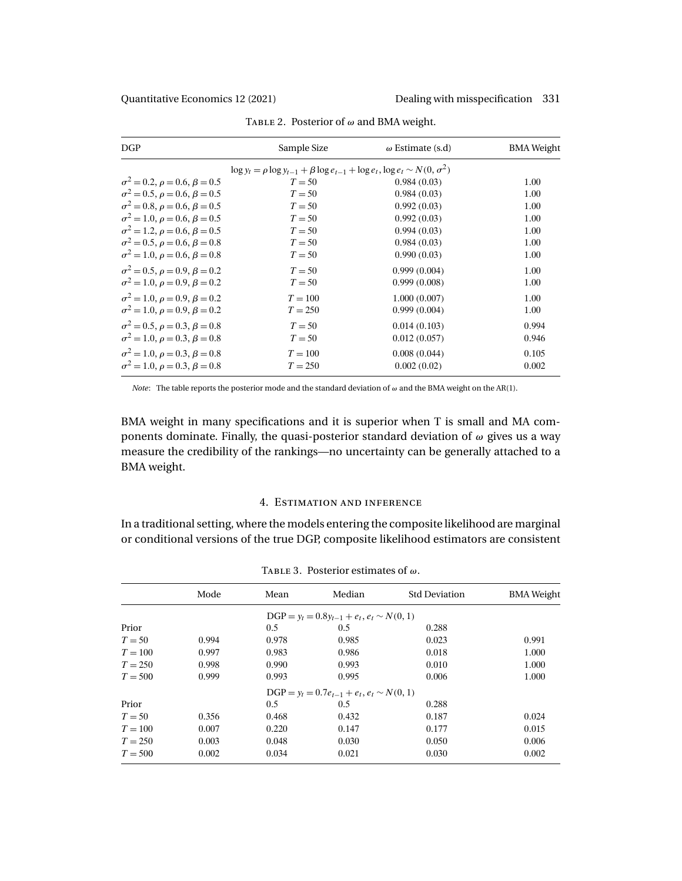<span id="page-18-0"></span>

| DGP                                             | Sample Size                                                                                  | $\omega$ Estimate (s.d) | <b>BMA</b> Weight |  |  |  |
|-------------------------------------------------|----------------------------------------------------------------------------------------------|-------------------------|-------------------|--|--|--|
|                                                 | $\log y_t = \rho \log y_{t-1} + \beta \log e_{t-1} + \log e_t, \log e_t \sim N(0, \sigma^2)$ |                         |                   |  |  |  |
| $\sigma^2 = 0.2$ , $\rho = 0.6$ , $\beta = 0.5$ | $T = 50$                                                                                     | 0.984(0.03)             | 1.00              |  |  |  |
| $\sigma^2 = 0.5$ , $\rho = 0.6$ , $\beta = 0.5$ | $T = 50$                                                                                     | 0.984(0.03)             | 1.00              |  |  |  |
| $\sigma^2 = 0.8$ , $\rho = 0.6$ , $\beta = 0.5$ | $T = 50$                                                                                     | 0.992(0.03)             | 1.00              |  |  |  |
| $\sigma^2 = 1.0, \rho = 0.6, \beta = 0.5$       | $T = 50$                                                                                     | 0.992(0.03)             | 1.00              |  |  |  |
| $\sigma^2 = 1.2$ , $\rho = 0.6$ , $\beta = 0.5$ | $T = 50$                                                                                     | 0.994(0.03)             | 1.00              |  |  |  |
| $\sigma^2 = 0.5$ , $\rho = 0.6$ , $\beta = 0.8$ | $T = 50$                                                                                     | 0.984(0.03)             | 1.00              |  |  |  |
| $\sigma^2 = 1.0$ , $\rho = 0.6$ , $\beta = 0.8$ | $T = 50$                                                                                     | 0.990(0.03)             | 1.00              |  |  |  |
| $\sigma^2 = 0.5$ , $\rho = 0.9$ , $\beta = 0.2$ | $T = 50$                                                                                     | 0.999(0.004)            | 1.00              |  |  |  |
| $\sigma^2 = 1.0, \rho = 0.9, \beta = 0.2$       | $T = 50$                                                                                     | 0.999(0.008)            | 1.00              |  |  |  |
| $\sigma^2 = 1.0, \rho = 0.9, \beta = 0.2$       | $T=100$                                                                                      | 1.000(0.007)            | 1.00              |  |  |  |
| $\sigma^2 = 1.0$ , $\rho = 0.9$ , $\beta = 0.2$ | $T = 250$                                                                                    | 0.999(0.004)            | 1.00              |  |  |  |
| $\sigma^2 = 0.5$ , $\rho = 0.3$ , $\beta = 0.8$ | $T = 50$                                                                                     | 0.014(0.103)            | 0.994             |  |  |  |
| $\sigma^2 = 1.0, \rho = 0.3, \beta = 0.8$       | $T = 50$                                                                                     | 0.012(0.057)            | 0.946             |  |  |  |
| $\sigma^2 = 1.0, \rho = 0.3, \beta = 0.8$       | $T=100$                                                                                      | 0.008(0.044)            | 0.105             |  |  |  |
| $\sigma^2 = 1.0, \rho = 0.3, \beta = 0.8$       | $T = 250$                                                                                    | 0.002(0.02)             | 0.002             |  |  |  |

TABLE 2. Posterior of  $\omega$  and BMA weight.

*Note*: The table reports the posterior mode and the standard deviation of ω and the BMA weight on the AR(1).

BMA weight in many specifications and it is superior when T is small and MA components dominate. Finally, the quasi-posterior standard deviation of  $\omega$  gives us a way measure the credibility of the rankings—no uncertainty can be generally attached to a BMA weight.

# 4. Estimation and inference

In a traditional setting, where the models entering the composite likelihood are marginal or conditional versions of the true DGP, composite likelihood estimators are consistent

|           | Mode  | Mean  | Median                                           | <b>Std Deviation</b> | <b>BMA</b> Weight |
|-----------|-------|-------|--------------------------------------------------|----------------------|-------------------|
|           |       |       | $DGP = y_t = 0.8y_{t-1} + e_t, e_t \sim N(0, 1)$ |                      |                   |
| Prior     |       | 0.5   | 0.5                                              | 0.288                |                   |
| $T = 50$  | 0.994 | 0.978 | 0.985                                            | 0.023                | 0.991             |
| $T = 100$ | 0.997 | 0.983 | 0.986                                            | 0.018                | 1.000             |
| $T = 250$ | 0.998 | 0.990 | 0.993                                            | 0.010                | 1.000             |
| $T = 500$ | 0.999 | 0.993 | 0.995                                            | 0.006                | 1.000             |
|           |       |       | $DGP = y_t = 0.7e_{t-1} + e_t, e_t \sim N(0, 1)$ |                      |                   |
| Prior     |       | 0.5   | 0.5                                              | 0.288                |                   |
| $T = 50$  | 0.356 | 0.468 | 0.432                                            | 0.187                | 0.024             |
| $T = 100$ | 0.007 | 0.220 | 0.147                                            | 0.177                | 0.015             |
| $T = 250$ | 0.003 | 0.048 | 0.030                                            | 0.050                | 0.006             |
| $T = 500$ | 0.002 | 0.034 | 0.021                                            | 0.030                | 0.002             |

TABLE 3. Posterior estimates of  $\omega$ .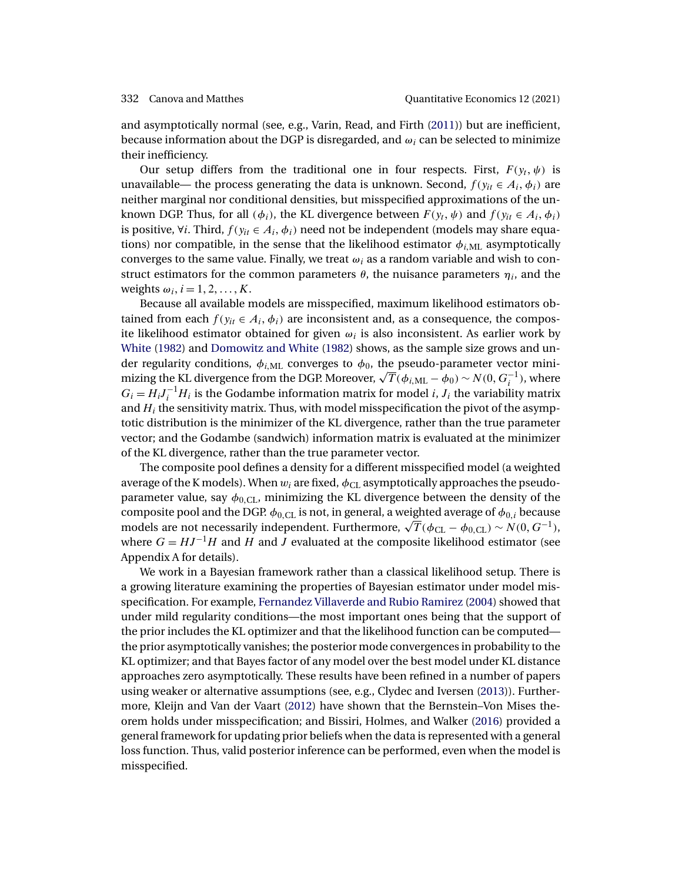<span id="page-19-0"></span>and asymptotically normal (see, e.g., Varin, Read, and Firth [\(2011\)](#page-37-0)) but are inefficient, because information about the DGP is disregarded, and  $\omega_i$  can be selected to minimize their inefficiency.

Our setup differs from the traditional one in four respects. First,  $F(y_t, \psi)$  is unavailable— the process generating the data is unknown. Second,  $f(y_{it} \in A_i, \phi_i)$  are neither marginal nor conditional densities, but misspecified approximations of the unknown DGP. Thus, for all  $(\phi_i)$ , the KL divergence between  $F(y_t, \psi)$  and  $f(y_{it} \in A_i, \phi_i)$ is positive,  $\forall i$ . Third,  $f(y_{it} \in A_i, \phi_i)$  need not be independent (models may share equations) nor compatible, in the sense that the likelihood estimator  $\phi_{i,ML}$  asymptotically converges to the same value. Finally, we treat  $\omega_i$  as a random variable and wish to construct estimators for the common parameters  $\theta$ , the nuisance parameters  $\eta_i$ , and the weights  $\omega_i$ ,  $i = 1, 2, ..., K$ .

Because all available models are misspecified, maximum likelihood estimators obtained from each  $f(y_{it} \in A_i, \phi_i)$  are inconsistent and, as a consequence, the composite likelihood estimator obtained for given  $\omega_i$  is also inconsistent. As earlier work by [White](#page-37-0) [\(1982\)](#page-37-0) and [Domowitz and White](#page-35-0) [\(1982\)](#page-35-0) shows, as the sample size grows and under regularity conditions,  $\phi_{i,ML}$  converges to  $\phi_0$ , the pseudo-parameter vector minithe Fregularity conditions,  $φ_{i,ML}$  converges to  $φ_0$ , the pseudo-parameter vector mini-<br>mizing the KL divergence from the DGP. Moreover,  $\sqrt{T}$ ( $φ_{i,ML}$  –  $φ_0$ ) ∼  $N(0, G_i^{-1})$ , where  $G_i = H_i J_i^{-1} H_i$  is the Godambe information matrix for model *i*,  $J_i$  the variability matrix and  $H_i$  the sensitivity matrix. Thus, with model misspecification the pivot of the asymptotic distribution is the minimizer of the KL divergence, rather than the true parameter vector; and the Godambe (sandwich) information matrix is evaluated at the minimizer of the KL divergence, rather than the true parameter vector.

The composite pool defines a density for a different misspecified model (a weighted average of the K models). When  $w_i$  are fixed,  $\phi_{CL}$  asymptotically approaches the pseudoparameter value, say  $\phi_{0,\text{CL}}$ , minimizing the KL divergence between the density of the composite pool and the DGP.  $\phi_{0,\text{CL}}$  is not, in general, a weighted average of  $\phi_{0,i}$  because composite poor and the DGP.  $\varphi_{0,CL}$  is not, in general, a weighted average or  $\varphi_{0,i}$  because models are not necessarily independent. Furthermore,  $\sqrt{T}(\phi_{CL} - \phi_{0,CL}) \sim N(0, G^{-1}),$ where  $G = HJ^{-1}H$  and H and J evaluated at the composite likelihood estimator (see Appendix A for details).

We work in a Bayesian framework rather than a classical likelihood setup. There is a growing literature examining the properties of Bayesian estimator under model misspecification. For example, [Fernandez Villaverde and Rubio Ramirez](#page-35-0) [\(2004\)](#page-35-0) showed that under mild regularity conditions—the most important ones being that the support of the prior includes the KL optimizer and that the likelihood function can be computed the prior asymptotically vanishes; the posterior mode convergences in probability to the KL optimizer; and that Bayes factor of any model over the best model under KL distance approaches zero asymptotically. These results have been refined in a number of papers using weaker or alternative assumptions (see, e.g., Clydec and Iversen [\(2013\)](#page-35-0)). Furthermore, Kleijn and Van der Vaart [\(2012\)](#page-36-0) have shown that the Bernstein–Von Mises theorem holds under misspecification; and Bissiri, Holmes, and Walker [\(2016\)](#page-34-0) provided a general framework for updating prior beliefs when the data is represented with a general loss function. Thus, valid posterior inference can be performed, even when the model is misspecified.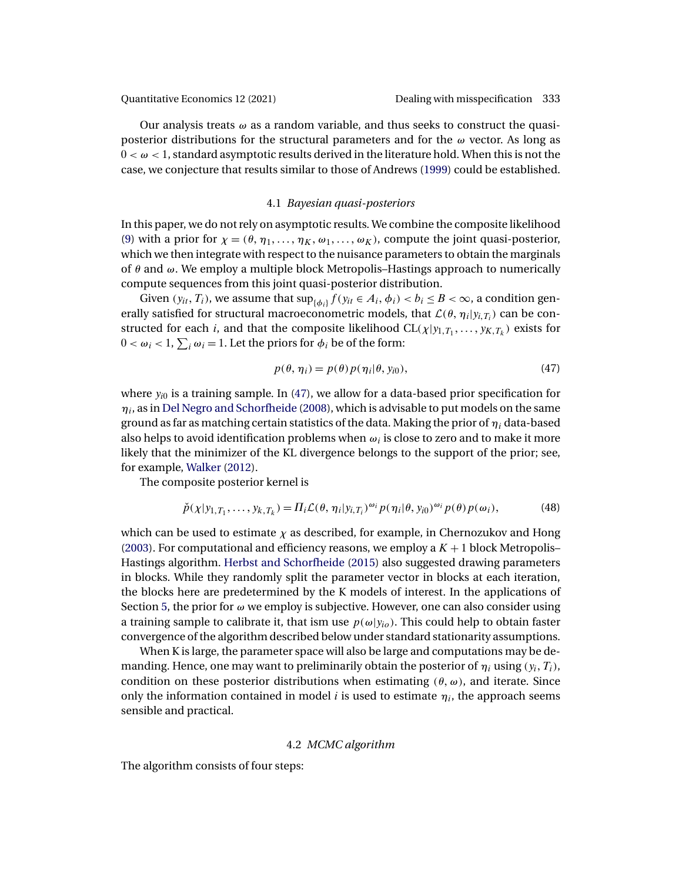<span id="page-20-0"></span>Our analysis treats  $\omega$  as a random variable, and thus seeks to construct the quasiposterior distributions for the structural parameters and for the  $\omega$  vector. As long as  $0 < \omega < 1$ , standard asymptotic results derived in the literature hold. When this is not the case, we conjecture that results similar to those of Andrews [\(1999\)](#page-33-0) could be established.

# 4.1 *Bayesian quasi-posteriors*

In this paper, we do not rely on asymptotic results. We combine the composite likelihood [\(9\)](#page-7-0) with a prior for  $\chi = (\theta, \eta_1, \dots, \eta_K, \omega_1, \dots, \omega_K)$ , compute the joint quasi-posterior, which we then integrate with respect to the nuisance parameters to obtain the marginals of  $\theta$  and  $\omega$ . We employ a multiple block Metropolis–Hastings approach to numerically compute sequences from this joint quasi-posterior distribution.

Given  $(y_{it}, T_i)$ , we assume that  $\sup_{\{\phi_i\}} f(y_{it} \in A_i, \phi_i) < b_i \leq B < \infty$ , a condition generally satisfied for structural macroeconometric models, that  $\mathcal{L}(\theta, \eta_i | y_{i,T_i})$  can be constructed for each *i*, and that the composite likelihood  $CL(\chi|y_{1,T_1},...,y_{K,T_k})$  exists for  $0 < \omega_i < 1$ ,  $\sum_i \omega_i = 1$ . Let the priors for  $\phi_i$  be of the form:

$$
p(\theta, \eta_i) = p(\theta) p(\eta_i | \theta, y_{i0}), \qquad (47)
$$

where  $y_{i0}$  is a training sample. In (47), we allow for a data-based prior specification for  $\eta_i$ , as in [Del Negro and Schorfheide](#page-35-0) [\(2008\)](#page-35-0), which is advisable to put models on the same ground as far as matching certain statistics of the data. Making the prior of  $\eta_i$  data-based also helps to avoid identification problems when  $\omega_i$  is close to zero and to make it more likely that the minimizer of the KL divergence belongs to the support of the prior; see, for example, [Walker](#page-37-0) [\(2012\)](#page-37-0).

The composite posterior kernel is

$$
\check{p}(\chi|y_{1,T_1},\ldots,y_{k,T_k})=\Pi_i\mathcal{L}(\theta,\eta_i|y_{i,T_i})^{\omega_i}p(\eta_i|\theta,y_{i0})^{\omega_i}p(\theta)p(\omega_i),\qquad(48)
$$

which can be used to estimate  $\chi$  as described, for example, in Chernozukov and Hong [\(2003\)](#page-34-0). For computational and efficiency reasons, we employ a  $K + 1$  block Metropolis– Hastings algorithm. [Herbst and Schorfheide](#page-36-0) [\(2015\)](#page-36-0) also suggested drawing parameters in blocks. While they randomly split the parameter vector in blocks at each iteration, the blocks here are predetermined by the K models of interest. In the applications of Section [5,](#page-25-0) the prior for  $\omega$  we employ is subjective. However, one can also consider using a training sample to calibrate it, that ism use  $p(\omega|y_{io})$ . This could help to obtain faster convergence of the algorithm described below under standard stationarity assumptions.

When K is large, the parameter space will also be large and computations may be demanding. Hence, one may want to preliminarily obtain the posterior of  $\eta_i$  using  $(y_i, T_i)$ , condition on these posterior distributions when estimating  $(\theta, \omega)$ , and iterate. Since only the information contained in model *i* is used to estimate  $\eta_i$ , the approach seems sensible and practical.

### 4.2 *MCMC algorithm*

The algorithm consists of four steps: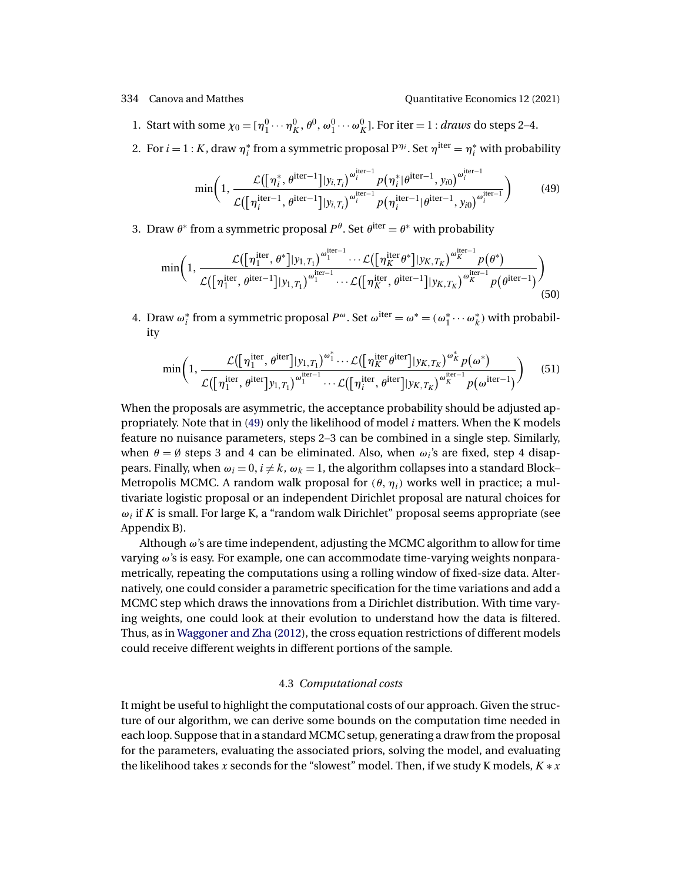<span id="page-21-0"></span>1. Start with some  $\chi_0 = [\eta_1^0 \cdots \eta_K^0, \theta^0, \omega_1^0 \cdots \omega_K^0]$ . For iter  $= 1$ : *draws* do steps 2–4.

2. For  $i = 1: K$ , draw  $\eta_i^*$  from a symmetric proposal  $P^{\eta_i}$ . Set  $\eta^{iter} = \eta_i^*$  with probability

$$
\min\left(1,\frac{\mathcal{L}(\left[\eta_i^*,\theta^{\text{iter}-1}\right]|y_{i,T_i})^{\omega_i^{\text{iter}-1}}p(\eta_i^*|\theta^{\text{iter}-1},y_{i0})^{\omega_i^{\text{iter}-1}}}{\mathcal{L}(\left[\eta_i^{\text{iter}-1},\theta^{\text{iter}-1}\right]|y_{i,T_i})^{\omega_i^{\text{iter}-1}}p(\eta_i^{\text{iter}-1}|\theta^{\text{iter}-1},y_{i0})^{\omega_i^{\text{iter}-1}}}\right) \tag{49}
$$

3. Draw  $\theta^*$  from a symmetric proposal  $P^{\theta}$ . Set  $\theta^{iter} = \theta^*$  with probability

$$
\min\bigg(1,\frac{\mathcal{L}(\big[\eta_1^{\text{iter}},\theta^*\big][y_{1,T_1}\big)^{\omega_1^{\text{iter}-1}}\cdots\mathcal{L}(\big[\eta_K^{\text{iter}}\theta^*\big][y_{K,T_K}\big)^{\omega_K^{\text{iter}-1}}p(\theta^*)}{\mathcal{L}(\big[\eta_1^{\text{iter}},\theta^{\text{iter}-1}\big][y_{1,T_1}\big)^{\omega_1^{\text{iter}-1}}\cdots\mathcal{L}(\big[\eta_K^{\text{iter}},\theta^{\text{iter}-1}\big][y_{K,T_K}\big)^{\omega_K^{\text{iter}-1}}p(\theta^{\text{iter}-1})}\bigg)}{(50)}
$$

4. Draw  $\omega_i^*$  from a symmetric proposal  $P^{\omega}$ . Set  $\omega^{\text{iter}} = \omega^* = (\omega_1^* \cdots \omega_k^*)$  with probability

$$
\min\left(1,\frac{\mathcal{L}([n_1^{\text{iter}},\theta^{\text{iter}}]|y_{1,T_1})^{\omega_1^*}\cdots\mathcal{L}([n_K^{\text{iter}}\theta^{\text{iter}}]|y_{K,T_K})^{\omega_K^*}p(\omega^*)}{\mathcal{L}([n_1^{\text{iter}},\theta^{\text{iter}}]y_{1,T_1})^{\omega_1^{\text{iter}-1}}\cdots\mathcal{L}([n_K^{\text{iter}},\theta^{\text{iter}}]|y_{K,T_K})^{\omega_K^{\text{iter}-1}}p(\omega^{\text{iter}-1})}\right) \tag{51}
$$

When the proposals are asymmetric, the acceptance probability should be adjusted appropriately. Note that in (49) only the likelihood of model i matters. When the K models feature no nuisance parameters, steps 2–3 can be combined in a single step. Similarly, when  $\theta = \emptyset$  steps 3 and 4 can be eliminated. Also, when  $\omega_i$ 's are fixed, step 4 disappears. Finally, when  $\omega_i = 0$ ,  $i \neq k$ ,  $\omega_k = 1$ , the algorithm collapses into a standard Block– Metropolis MCMC. A random walk proposal for  $(\theta, \eta_i)$  works well in practice; a multivariate logistic proposal or an independent Dirichlet proposal are natural choices for  $\omega_i$  if K is small. For large K, a "random walk Dirichlet" proposal seems appropriate (see Appendix B).

Although  $\omega$ 's are time independent, adjusting the MCMC algorithm to allow for time varying ω's is easy. For example, one can accommodate time-varying weights nonparametrically, repeating the computations using a rolling window of fixed-size data. Alternatively, one could consider a parametric specification for the time variations and add a MCMC step which draws the innovations from a Dirichlet distribution. With time varying weights, one could look at their evolution to understand how the data is filtered. Thus, as in [Waggoner and Zha](#page-37-0) [\(2012\)](#page-37-0), the cross equation restrictions of different models could receive different weights in different portions of the sample.

### 4.3 *Computational costs*

It might be useful to highlight the computational costs of our approach. Given the structure of our algorithm, we can derive some bounds on the computation time needed in each loop. Suppose that in a standard MCMC setup, generating a draw from the proposal for the parameters, evaluating the associated priors, solving the model, and evaluating the likelihood takes x seconds for the "slowest" model. Then, if we study K models,  $K * x$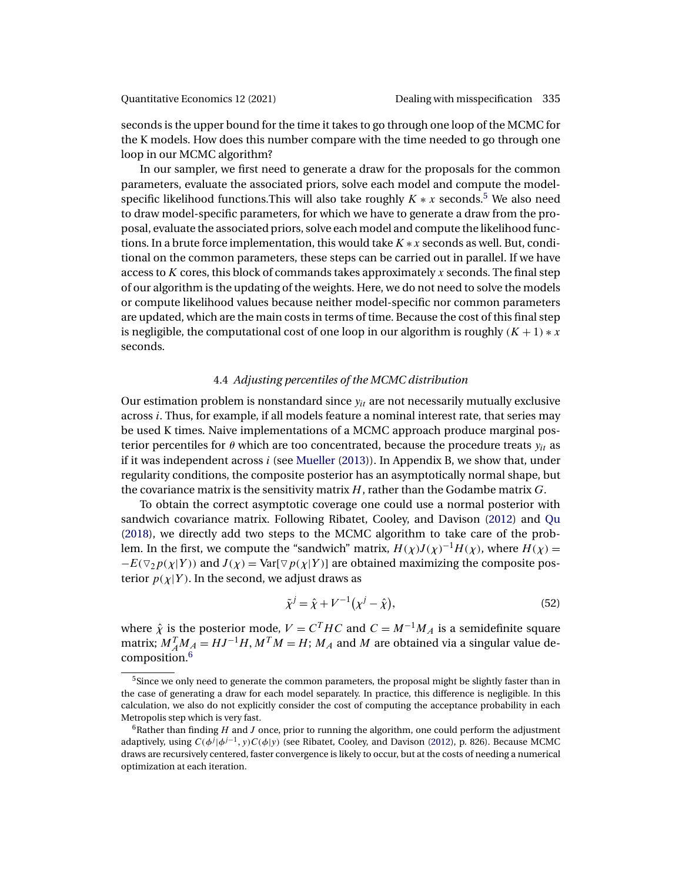<span id="page-22-0"></span>seconds is the upper bound for the time it takes to go through one loop of the MCMC for the K models. How does this number compare with the time needed to go through one loop in our MCMC algorithm?

In our sampler, we first need to generate a draw for the proposals for the common parameters, evaluate the associated priors, solve each model and compute the modelspecific likelihood functions. This will also take roughly  $K \times x$  seconds.<sup>5</sup> We also need to draw model-specific parameters, for which we have to generate a draw from the proposal, evaluate the associated priors, solve each model and compute the likelihood functions. In a brute force implementation, this would take  $K \times x$  seconds as well. But, conditional on the common parameters, these steps can be carried out in parallel. If we have access to  $K$  cores, this block of commands takes approximately  $x$  seconds. The final step of our algorithm is the updating of the weights. Here, we do not need to solve the models or compute likelihood values because neither model-specific nor common parameters are updated, which are the main costs in terms of time. Because the cost of this final step is negligible, the computational cost of one loop in our algorithm is roughly  $(K + 1) * x$ seconds.

# 4.4 *Adjusting percentiles of the MCMC distribution*

Our estimation problem is nonstandard since  $y_{it}$  are not necessarily mutually exclusive across i. Thus, for example, if all models feature a nominal interest rate, that series may be used K times. Naive implementations of a MCMC approach produce marginal posterior percentiles for  $\theta$  which are too concentrated, because the procedure treats  $y_{it}$  as if it was independent across  $i$  (see [Mueller](#page-36-0) [\(2013\)](#page-36-0)). In Appendix B, we show that, under regularity conditions, the composite posterior has an asymptotically normal shape, but the covariance matrix is the sensitivity matrix  $H$ , rather than the Godambe matrix  $G$ .

To obtain the correct asymptotic coverage one could use a normal posterior with sandwich covariance matrix. Following Ribatet, Cooley, and Davison [\(2012\)](#page-37-0) and [Qu](#page-37-0) [\(2018\)](#page-37-0), we directly add two steps to the MCMC algorithm to take care of the problem. In the first, we compute the "sandwich" matrix,  $H(\chi)J(\chi)^{-1}H(\chi)$ , where  $H(\chi)$  =  $-E(\nabla_2 p(\chi|Y))$  and  $J(\chi) = \text{Var}[\nabla p(\chi|Y)]$  are obtained maximizing the composite posterior  $p(\chi|Y)$ . In the second, we adjust draws as

$$
\tilde{\chi}^j = \hat{\chi} + V^{-1}(\chi^j - \hat{\chi}),\tag{52}
$$

where  $\hat{\chi}$  is the posterior mode,  $V = C^{T}HC$  and  $C = M^{-1}M_{A}$  is a semidefinite square matrix;  $M_A^T M_A = HJ^{-1}H, M^T M = H$ ;  $M_A$  and  $M$  are obtained via a singular value decomposition.<sup>6</sup>

<sup>&</sup>lt;sup>5</sup>Since we only need to generate the common parameters, the proposal might be slightly faster than in the case of generating a draw for each model separately. In practice, this difference is negligible. In this calculation, we also do not explicitly consider the cost of computing the acceptance probability in each Metropolis step which is very fast.

 $6R_6$ Rather than finding H and J once, prior to running the algorithm, one could perform the adjustment adaptively, using  $C(\phi^j|\phi^{j-1}, y)C(\phi|y)$  (see Ribatet, Cooley, and Davison [\(2012\)](#page-37-0), p. 826). Because MCMC draws are recursively centered, faster convergence is likely to occur, but at the costs of needing a numerical optimization at each iteration.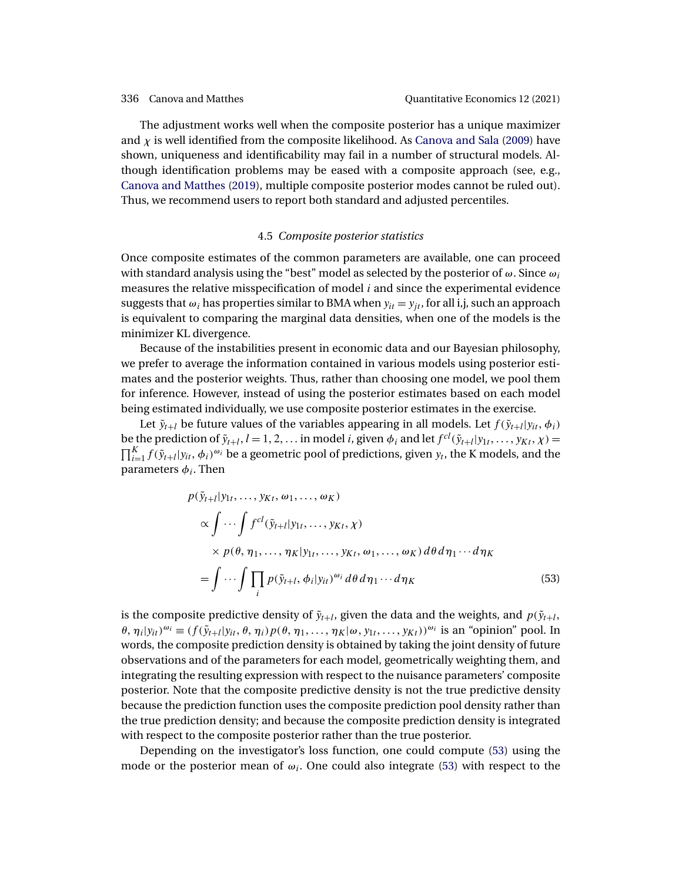<span id="page-23-0"></span>The adjustment works well when the composite posterior has a unique maximizer and  $\chi$  is well identified from the composite likelihood. As [Canova and Sala](#page-34-0) [\(2009\)](#page-34-0) have shown, uniqueness and identificability may fail in a number of structural models. Although identification problems may be eased with a composite approach (see, e.g., [Canova and Matthes](#page-34-0) [\(2019\)](#page-34-0), multiple composite posterior modes cannot be ruled out). Thus, we recommend users to report both standard and adjusted percentiles.

### 4.5 *Composite posterior statistics*

Once composite estimates of the common parameters are available, one can proceed with standard analysis using the "best" model as selected by the posterior of  $\omega$ . Since  $\omega_i$ measures the relative misspecification of model  $i$  and since the experimental evidence suggests that  $\omega_i$  has properties similar to BMA when  $y_{it} = y_{it}$ , for all i,j, such an approach is equivalent to comparing the marginal data densities, when one of the models is the minimizer KL divergence.

Because of the instabilities present in economic data and our Bayesian philosophy, we prefer to average the information contained in various models using posterior estimates and the posterior weights. Thus, rather than choosing one model, we pool them for inference. However, instead of using the posterior estimates based on each model being estimated individually, we use composite posterior estimates in the exercise.

Let  $\tilde{y}_{t+l}$  be future values of the variables appearing in all models. Let  $f(\tilde{y}_{t+l}|y_{it}, \phi_i)$ be the prediction of  $\tilde{y}_{t+l}$ ,  $l = 1, 2, \ldots$  in model i, given  $\phi_i$  and let  $f^{cl}(\tilde{y}_{t+l}|y_{1t}, \ldots, y_{Kt}, \chi) =$  $\prod_{i=1}^K f(\tilde{y}_{t+i}|y_{it},\phi_i)^{\omega_i}$  be a geometric pool of predictions, given  $y_t$ , the K models, and the parameters  $\phi_i$ . Then

$$
p(\tilde{y}_{t+l}|y_{1t},\ldots,y_{Kt},\omega_1,\ldots,\omega_K)
$$
  
\n
$$
\propto \int \cdots \int f^{cl}(\tilde{y}_{t+l}|y_{1t},\ldots,y_{Kt},\chi)
$$
  
\n
$$
\times p(\theta,\eta_1,\ldots,\eta_K|y_{1t},\ldots,y_{Kt},\omega_1,\ldots,\omega_K) d\theta d\eta_1\cdots d\eta_K
$$
  
\n
$$
= \int \cdots \int \prod_i p(\tilde{y}_{t+l},\phi_i|y_{it})^{\omega_i} d\theta d\eta_1\cdots d\eta_K
$$
\n(53)

is the composite predictive density of  $\tilde{y}_{t+l}$ , given the data and the weights, and  $p(\tilde{y}_{t+l})$ ,  $\theta$ ,  $\eta_i|y_{it}\rangle^{\omega_i} \equiv (f(\tilde{y}_{t+1}|y_{it}, \theta, \eta_i)p(\theta, \eta_1, \dots, \eta_K|\omega, y_{1t}, \dots, y_{Kt}))^{\omega_i}$  is an "opinion" pool. In words, the composite prediction density is obtained by taking the joint density of future observations and of the parameters for each model, geometrically weighting them, and integrating the resulting expression with respect to the nuisance parameters' composite posterior. Note that the composite predictive density is not the true predictive density because the prediction function uses the composite prediction pool density rather than the true prediction density; and because the composite prediction density is integrated with respect to the composite posterior rather than the true posterior.

Depending on the investigator's loss function, one could compute (53) using the mode or the posterior mean of  $\omega_i$ . One could also integrate (53) with respect to the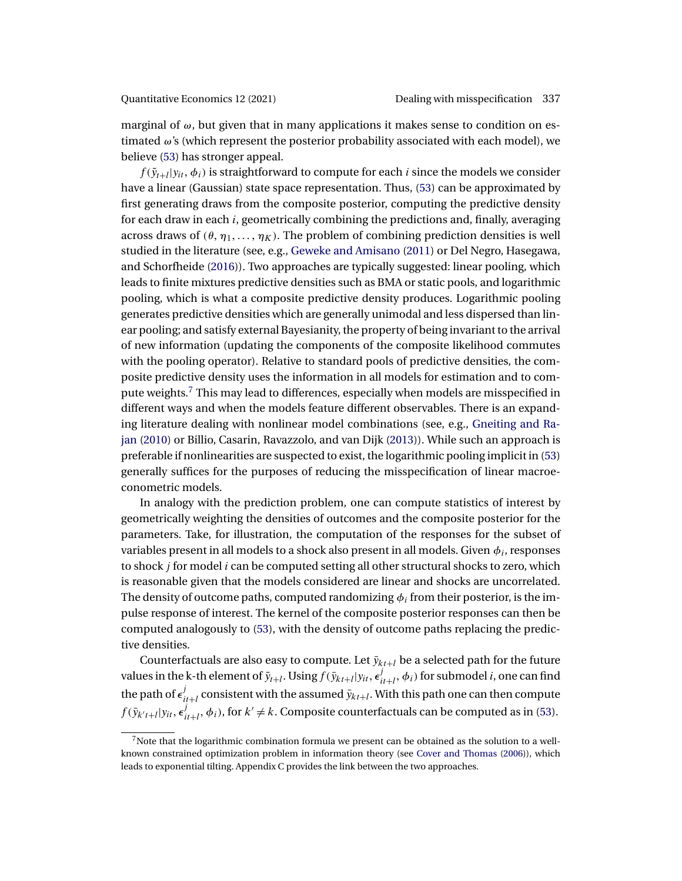<span id="page-24-0"></span>marginal of  $\omega$ , but given that in many applications it makes sense to condition on estimated ω's (which represent the posterior probability associated with each model), we believe [\(53\)](#page-23-0) has stronger appeal.

 $f(\tilde{y}_{t+l}|y_{it}, \phi_i)$  is straightforward to compute for each *i* since the models we consider have a linear (Gaussian) state space representation. Thus, [\(53\)](#page-23-0) can be approximated by first generating draws from the composite posterior, computing the predictive density for each draw in each  $i$ , geometrically combining the predictions and, finally, averaging across draws of ( $\theta$ ,  $\eta_1, \ldots, \eta_K$ ). The problem of combining prediction densities is well studied in the literature (see, e.g., [Geweke and Amisano](#page-36-0) [\(2011\)](#page-36-0) or Del Negro, Hasegawa, and Schorfheide [\(2016\)](#page-35-0)). Two approaches are typically suggested: linear pooling, which leads to finite mixtures predictive densities such as BMA or static pools, and logarithmic pooling, which is what a composite predictive density produces. Logarithmic pooling generates predictive densities which are generally unimodal and less dispersed than linear pooling; and satisfy external Bayesianity, the property of being invariant to the arrival of new information (updating the components of the composite likelihood commutes with the pooling operator). Relative to standard pools of predictive densities, the composite predictive density uses the information in all models for estimation and to compute weights.<sup>7</sup> This may lead to differences, especially when models are misspecified in different ways and when the models feature different observables. There is an expanding literature dealing with nonlinear model combinations (see, e.g., [Gneiting and Ra](#page-36-0)[jan](#page-36-0) [\(2010\)](#page-36-0) or Billio, Casarin, Ravazzolo, and van Dijk [\(2013\)](#page-34-0)). While such an approach is preferable if nonlinearities are suspected to exist, the logarithmic pooling implicit in [\(53\)](#page-23-0) generally suffices for the purposes of reducing the misspecification of linear macroeconometric models.

In analogy with the prediction problem, one can compute statistics of interest by geometrically weighting the densities of outcomes and the composite posterior for the parameters. Take, for illustration, the computation of the responses for the subset of variables present in all models to a shock also present in all models. Given  $\phi_i$ , responses to shock  $j$  for model  $i$  can be computed setting all other structural shocks to zero, which is reasonable given that the models considered are linear and shocks are uncorrelated. The density of outcome paths, computed randomizing  $\phi_i$  from their posterior, is the impulse response of interest. The kernel of the composite posterior responses can then be computed analogously to [\(53\)](#page-23-0), with the density of outcome paths replacing the predictive densities.

Counterfactuals are also easy to compute. Let  $\bar{y}_{kt+l}$  be a selected path for the future values in the k-th element of  $\tilde{y}_{t+l}.$  Using  $f(\bar{y}_{kt+l}|y_{it},\epsilon^j_{it+l},\phi_i)$  for submodel  $i$ , one can find the path of  $\epsilon^j_{it+l}$  consistent with the assumed  $\bar{y}_{kt+l}.$  With this path one can then compute  $f(\bar{y}_{k't+l}|y_{it}, \epsilon_{it+l}^j, \phi_i)$ , for  $k' \neq k$ . Composite counterfactuals can be computed as in [\(53\)](#page-23-0).

 $7$ Note that the logarithmic combination formula we present can be obtained as the solution to a wellknown constrained optimization problem in information theory (see [Cover and Thomas](#page-35-0) [\(2006\)](#page-35-0)), which leads to exponential tilting. Appendix C provides the link between the two approaches.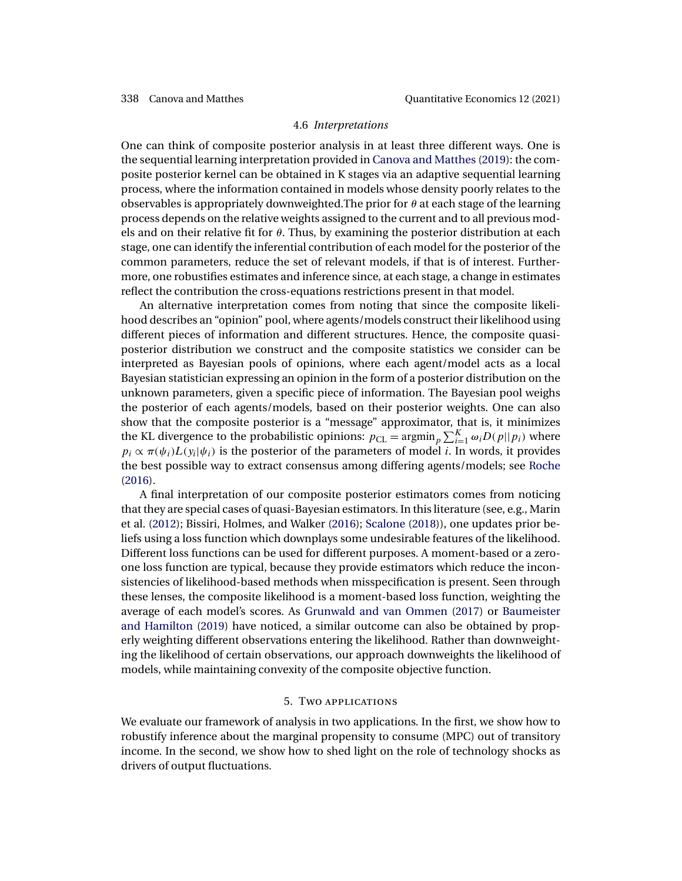### 4.6 *Interpretations*

<span id="page-25-0"></span>One can think of composite posterior analysis in at least three different ways. One is the sequential learning interpretation provided in [Canova and Matthes](#page-34-0) [\(2019\)](#page-34-0): the composite posterior kernel can be obtained in K stages via an adaptive sequential learning process, where the information contained in models whose density poorly relates to the observables is appropriately downweighted. The prior for  $\theta$  at each stage of the learning process depends on the relative weights assigned to the current and to all previous models and on their relative fit for  $\theta$ . Thus, by examining the posterior distribution at each stage, one can identify the inferential contribution of each model for the posterior of the common parameters, reduce the set of relevant models, if that is of interest. Furthermore, one robustifies estimates and inference since, at each stage, a change in estimates reflect the contribution the cross-equations restrictions present in that model.

An alternative interpretation comes from noting that since the composite likelihood describes an "opinion" pool, where agents/models construct their likelihood using different pieces of information and different structures. Hence, the composite quasiposterior distribution we construct and the composite statistics we consider can be interpreted as Bayesian pools of opinions, where each agent/model acts as a local Bayesian statistician expressing an opinion in the form of a posterior distribution on the unknown parameters, given a specific piece of information. The Bayesian pool weighs the posterior of each agents/models, based on their posterior weights. One can also show that the composite posterior is a "message" approximator, that is, it minimizes the KL divergence to the probabilistic opinions:  $p_{CL} = \operatorname{argmin}_p \sum_{i=1}^{K} \omega_i D(p||p_i)$  where  $p_i \propto \pi(\psi_i)L(\psi_i|\psi_i)$  is the posterior of the parameters of model *i*. In words, it provides the best possible way to extract consensus among differing agents/models; see [Roche](#page-37-0) [\(2016\)](#page-37-0).

A final interpretation of our composite posterior estimators comes from noticing that they are special cases of quasi-Bayesian estimators. In this literature (see, e.g., Marin et al. [\(2012\)](#page-36-0); Bissiri, Holmes, and Walker [\(2016\)](#page-34-0); [Scalone](#page-37-0) [\(2018\)](#page-37-0)), one updates prior beliefs using a loss function which downplays some undesirable features of the likelihood. Different loss functions can be used for different purposes. A moment-based or a zeroone loss function are typical, because they provide estimators which reduce the inconsistencies of likelihood-based methods when misspecification is present. Seen through these lenses, the composite likelihood is a moment-based loss function, weighting the average of each model's scores. As [Grunwald and van Ommen](#page-36-0) [\(2017\)](#page-36-0) or [Baumeister](#page-34-0) [and Hamilton](#page-34-0) [\(2019\)](#page-34-0) have noticed, a similar outcome can also be obtained by properly weighting different observations entering the likelihood. Rather than downweighting the likelihood of certain observations, our approach downweights the likelihood of models, while maintaining convexity of the composite objective function.

### 5. Two applications

We evaluate our framework of analysis in two applications. In the first, we show how to robustify inference about the marginal propensity to consume (MPC) out of transitory income. In the second, we show how to shed light on the role of technology shocks as drivers of output fluctuations.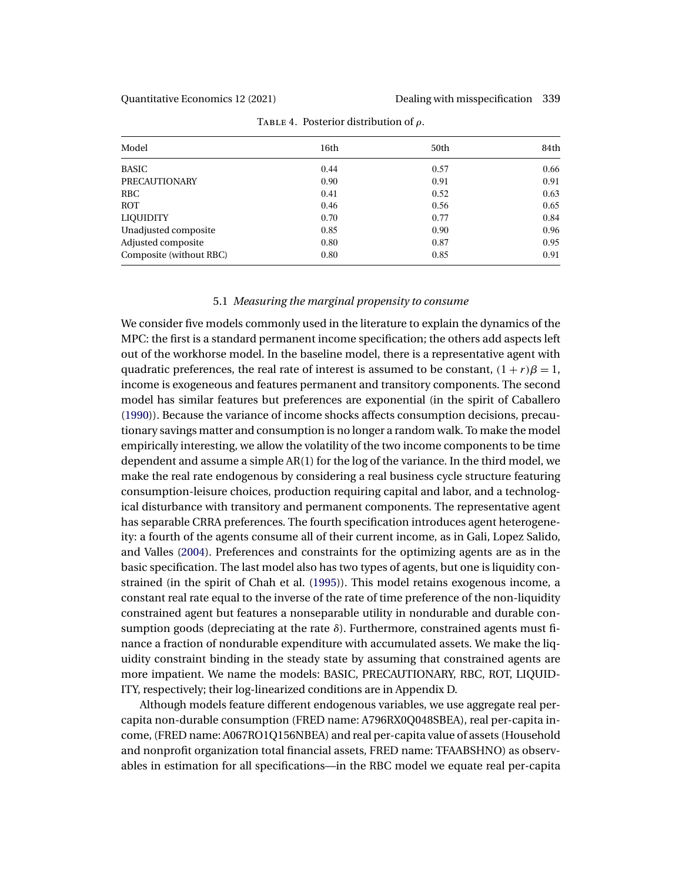<span id="page-26-0"></span>

| Model                   | 16th | 50th | 84th |
|-------------------------|------|------|------|
| <b>BASIC</b>            | 0.44 | 0.57 | 0.66 |
| PRECAUTIONARY           | 0.90 | 0.91 | 0.91 |
| <b>RBC</b>              | 0.41 | 0.52 | 0.63 |
| ROT                     | 0.46 | 0.56 | 0.65 |
| <b>LIQUIDITY</b>        | 0.70 | 0.77 | 0.84 |
| Unadjusted composite    | 0.85 | 0.90 | 0.96 |
| Adjusted composite      | 0.80 | 0.87 | 0.95 |
| Composite (without RBC) | 0.80 | 0.85 | 0.91 |

TABLE 4. Posterior distribution of  $\rho$ .

### 5.1 *Measuring the marginal propensity to consume*

We consider five models commonly used in the literature to explain the dynamics of the MPC: the first is a standard permanent income specification; the others add aspects left out of the workhorse model. In the baseline model, there is a representative agent with quadratic preferences, the real rate of interest is assumed to be constant,  $(1 + r)B = 1$ , income is exogeneous and features permanent and transitory components. The second model has similar features but preferences are exponential (in the spirit of Caballero [\(1990\)](#page-34-0)). Because the variance of income shocks affects consumption decisions, precautionary savings matter and consumption is no longer a random walk. To make the model empirically interesting, we allow the volatility of the two income components to be time dependent and assume a simple AR(1) for the log of the variance. In the third model, we make the real rate endogenous by considering a real business cycle structure featuring consumption-leisure choices, production requiring capital and labor, and a technological disturbance with transitory and permanent components. The representative agent has separable CRRA preferences. The fourth specification introduces agent heterogeneity: a fourth of the agents consume all of their current income, as in Gali, Lopez Salido, and Valles [\(2004\)](#page-35-0). Preferences and constraints for the optimizing agents are as in the basic specification. The last model also has two types of agents, but one is liquidity constrained (in the spirit of Chah et al. [\(1995\)](#page-34-0)). This model retains exogenous income, a constant real rate equal to the inverse of the rate of time preference of the non-liquidity constrained agent but features a nonseparable utility in nondurable and durable consumption goods (depreciating at the rate  $\delta$ ). Furthermore, constrained agents must finance a fraction of nondurable expenditure with accumulated assets. We make the liquidity constraint binding in the steady state by assuming that constrained agents are more impatient. We name the models: BASIC, PRECAUTIONARY, RBC, ROT, LIQUID-ITY, respectively; their log-linearized conditions are in Appendix D.

Although models feature different endogenous variables, we use aggregate real percapita non-durable consumption (FRED name: A796RX0Q048SBEA), real per-capita income, (FRED name: A067RO1Q156NBEA) and real per-capita value of assets (Household and nonprofit organization total financial assets, FRED name: TFAABSHNO) as observables in estimation for all specifications—in the RBC model we equate real per-capita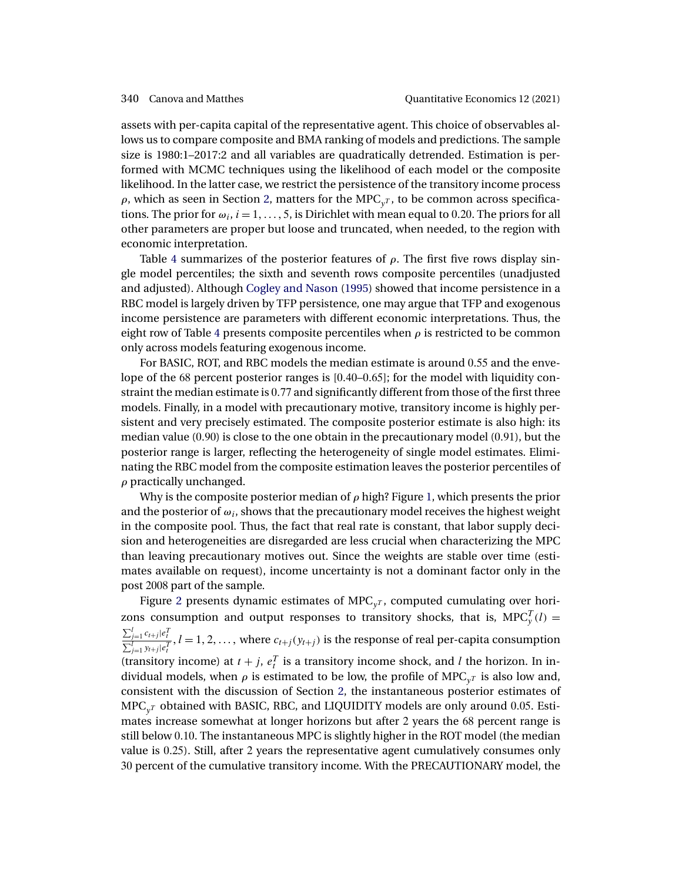<span id="page-27-0"></span>assets with per-capita capital of the representative agent. This choice of observables allows us to compare composite and BMA ranking of models and predictions. The sample size is 1980:1–2017:2 and all variables are quadratically detrended. Estimation is performed with MCMC techniques using the likelihood of each model or the composite likelihood. In the latter case, we restrict the persistence of the transitory income process  $\rho$ , which as seen in Section [2,](#page-3-0) matters for the MPC<sub>y</sub><sub>T</sub>, to be common across specifications. The prior for  $\omega_i$ ,  $i = 1, \ldots, 5$ , is Dirichlet with mean equal to 0.20. The priors for all other parameters are proper but loose and truncated, when needed, to the region with economic interpretation.

Table [4](#page-26-0) summarizes of the posterior features of  $\rho$ . The first five rows display single model percentiles; the sixth and seventh rows composite percentiles (unadjusted and adjusted). Although [Cogley and Nason](#page-35-0) [\(1995\)](#page-35-0) showed that income persistence in a RBC model is largely driven by TFP persistence, one may argue that TFP and exogenous income persistence are parameters with different economic interpretations. Thus, the eight row of Table [4](#page-26-0) presents composite percentiles when  $\rho$  is restricted to be common only across models featuring exogenous income.

For BASIC, ROT, and RBC models the median estimate is around 055 and the envelope of the 68 percent posterior ranges is  $[0.40-0.65]$ ; for the model with liquidity constraint the median estimate is 0.77 and significantly different from those of the first three models. Finally, in a model with precautionary motive, transitory income is highly persistent and very precisely estimated. The composite posterior estimate is also high: its median value  $(0.90)$  is close to the one obtain in the precautionary model  $(0.91)$ , but the posterior range is larger, reflecting the heterogeneity of single model estimates. Eliminating the RBC model from the composite estimation leaves the posterior percentiles of  $\rho$  practically unchanged.

Why is the composite posterior median of  $\rho$  high? Figure [1,](#page-28-0) which presents the prior and the posterior of  $\omega_i$ , shows that the precautionary model receives the highest weight in the composite pool. Thus, the fact that real rate is constant, that labor supply decision and heterogeneities are disregarded are less crucial when characterizing the MPC than leaving precautionary motives out. Since the weights are stable over time (estimates available on request), income uncertainty is not a dominant factor only in the post 2008 part of the sample.

Figure [2](#page-28-0) presents dynamic estimates of  $\text{MPC}_y$ , computed cumulating over horizons consumption and output responses to transitory shocks, that is,  $MPC_y^T(l) =$  $\frac{\sum_{j=1}^l c_{t+j}|e_t^T}{\sum_{j=1}^l y_{t+j}|e_t^T}$ ,  $l=1,2,\ldots,$  where  $c_{t+j}(y_{t+j})$  is the response of real per-capita consumption (transitory income) at  $t + j$ ,  $e_t^T$  is a transitory income shock, and l the horizon. In individual models, when  $\rho$  is estimated to be low, the profile of MPC<sub>vT</sub> is also low and, consistent with the discussion of Section [2,](#page-3-0) the instantaneous posterior estimates of  $MPC_{vT}$  obtained with BASIC, RBC, and LIQUIDITY models are only around 0.05. Estimates increase somewhat at longer horizons but after 2 years the 68 percent range is still below 010. The instantaneous MPC is slightly higher in the ROT model (the median value is 025). Still, after 2 years the representative agent cumulatively consumes only 30 percent of the cumulative transitory income. With the PRECAUTIONARY model, the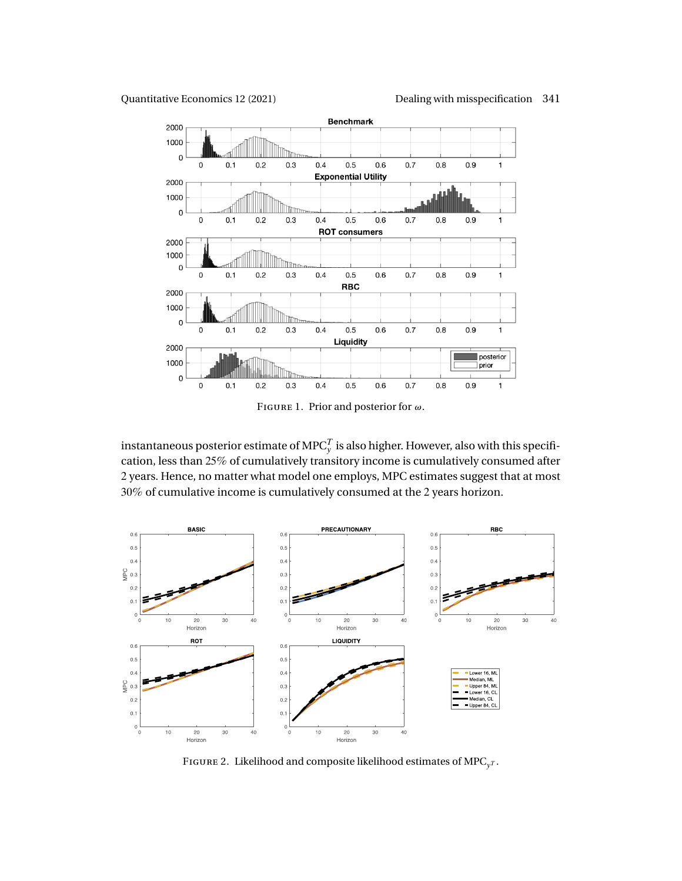<span id="page-28-0"></span>Quantitative Economics 12 (2021) Dealing with misspecification 341



FIGURE 1. Prior and posterior for  $\omega$ .

instantaneous posterior estimate of MPC $^T_{\rm y}$  is also higher. However, also with this specification, less than 25% of cumulatively transitory income is cumulatively consumed after 2 years. Hence, no matter what model one employs, MPC estimates suggest that at most 30% of cumulative income is cumulatively consumed at the 2 years horizon.



FIGURE 2. Likelihood and composite likelihood estimates of  $\text{MPC}_\text{v}$ .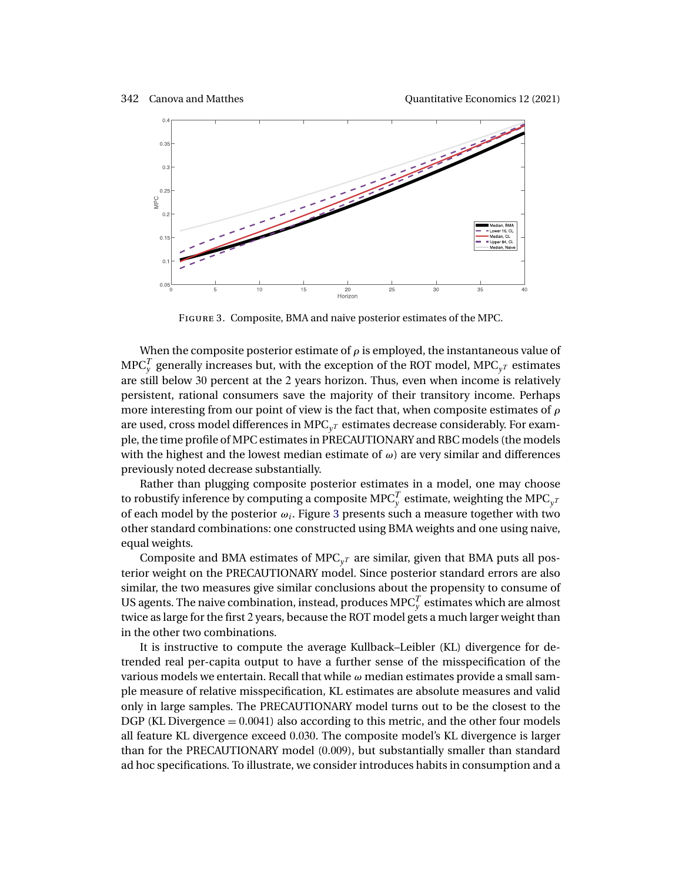

Figure 3. Composite, BMA and naive posterior estimates of the MPC.

When the composite posterior estimate of  $\rho$  is employed, the instantaneous value of MPC $_{\mathrm{y}}^{T}$  generally increases but, with the exception of the ROT model, MPC $_{\mathrm{y}^{T}}$  estimates are still below 30 percent at the 2 years horizon. Thus, even when income is relatively persistent, rational consumers save the majority of their transitory income. Perhaps more interesting from our point of view is the fact that, when composite estimates of  $\rho$ are used, cross model differences in MPC<sub>y</sub> $r$  estimates decrease considerably. For example, the time profile of MPC estimates in PRECAUTIONARY and RBC models (the models with the highest and the lowest median estimate of  $\omega$ ) are very similar and differences previously noted decrease substantially.

Rather than plugging composite posterior estimates in a model, one may choose to robustify inference by computing a composite MPC $_{\mathrm{y}}^{T}$  estimate, weighting the MPC $_{\mathrm{y}^{T}}$ of each model by the posterior  $\omega_i$ . Figure 3 presents such a measure together with two other standard combinations: one constructed using BMA weights and one using naive, equal weights.

Composite and BMA estimates of  $\text{MPC}_{vT}$  are similar, given that BMA puts all posterior weight on the PRECAUTIONARY model. Since posterior standard errors are also similar, the two measures give similar conclusions about the propensity to consume of US agents. The naive combination, instead, produces MPC $^T_y$  estimates which are almost twice as large for the first 2 years, because the ROT model gets a much larger weight than in the other two combinations.

It is instructive to compute the average Kullback–Leibler (KL) divergence for detrended real per-capita output to have a further sense of the misspecification of the various models we entertain. Recall that while  $\omega$  median estimates provide a small sample measure of relative misspecification, KL estimates are absolute measures and valid only in large samples. The PRECAUTIONARY model turns out to be the closest to the DGP (KL Divergence  $= 0.0041$ ) also according to this metric, and the other four models all feature KL divergence exceed 0.030. The composite model's KL divergence is larger than for the PRECAUTIONARY model (0.009), but substantially smaller than standard ad hoc specifications. To illustrate, we consider introduces habits in consumption and a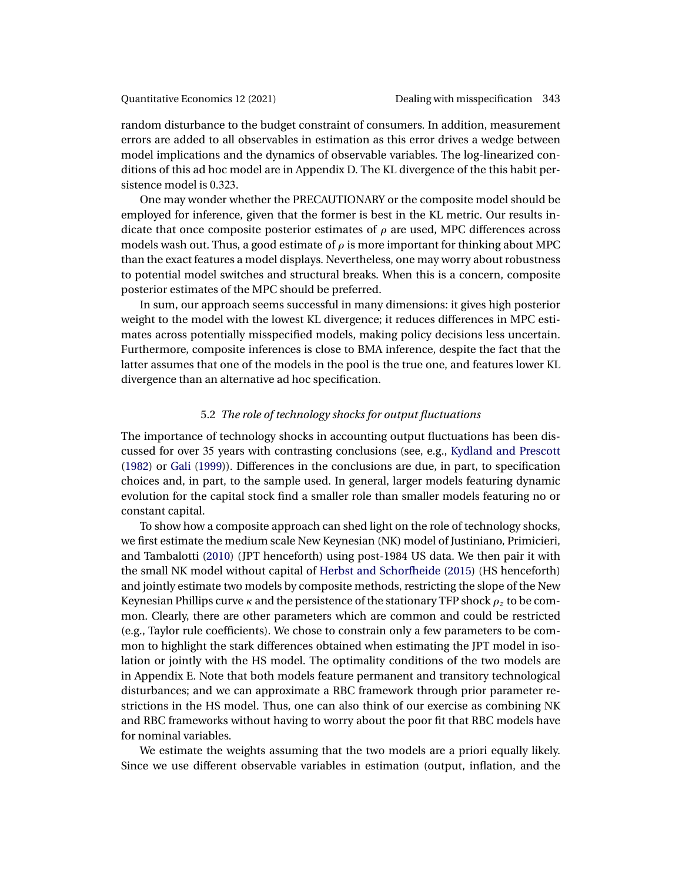<span id="page-30-0"></span>random disturbance to the budget constraint of consumers. In addition, measurement errors are added to all observables in estimation as this error drives a wedge between model implications and the dynamics of observable variables. The log-linearized conditions of this ad hoc model are in Appendix D. The KL divergence of the this habit persistence model is 0.323.

One may wonder whether the PRECAUTIONARY or the composite model should be employed for inference, given that the former is best in the KL metric. Our results indicate that once composite posterior estimates of  $\rho$  are used, MPC differences across models wash out. Thus, a good estimate of  $\rho$  is more important for thinking about MPC than the exact features a model displays. Nevertheless, one may worry about robustness to potential model switches and structural breaks. When this is a concern, composite posterior estimates of the MPC should be preferred.

In sum, our approach seems successful in many dimensions: it gives high posterior weight to the model with the lowest KL divergence; it reduces differences in MPC estimates across potentially misspecified models, making policy decisions less uncertain. Furthermore, composite inferences is close to BMA inference, despite the fact that the latter assumes that one of the models in the pool is the true one, and features lower KL divergence than an alternative ad hoc specification.

# 5.2 *The role of technology shocks for output fluctuations*

The importance of technology shocks in accounting output fluctuations has been discussed for over 35 years with contrasting conclusions (see, e.g., [Kydland and Prescott](#page-36-0) [\(1982\)](#page-36-0) or [Gali](#page-35-0) [\(1999\)](#page-35-0)). Differences in the conclusions are due, in part, to specification choices and, in part, to the sample used. In general, larger models featuring dynamic evolution for the capital stock find a smaller role than smaller models featuring no or constant capital.

To show how a composite approach can shed light on the role of technology shocks, we first estimate the medium scale New Keynesian (NK) model of Justiniano, Primicieri, and Tambalotti [\(2010\)](#page-36-0) (JPT henceforth) using post-1984 US data. We then pair it with the small NK model without capital of [Herbst and Schorfheide](#page-36-0) [\(2015\)](#page-36-0) (HS henceforth) and jointly estimate two models by composite methods, restricting the slope of the New Keynesian Phillips curve  $\kappa$  and the persistence of the stationary TFP shock  $\rho_z$  to be common. Clearly, there are other parameters which are common and could be restricted (e.g., Taylor rule coefficients). We chose to constrain only a few parameters to be common to highlight the stark differences obtained when estimating the JPT model in isolation or jointly with the HS model. The optimality conditions of the two models are in Appendix E. Note that both models feature permanent and transitory technological disturbances; and we can approximate a RBC framework through prior parameter restrictions in the HS model. Thus, one can also think of our exercise as combining NK and RBC frameworks without having to worry about the poor fit that RBC models have for nominal variables.

We estimate the weights assuming that the two models are a priori equally likely. Since we use different observable variables in estimation (output, inflation, and the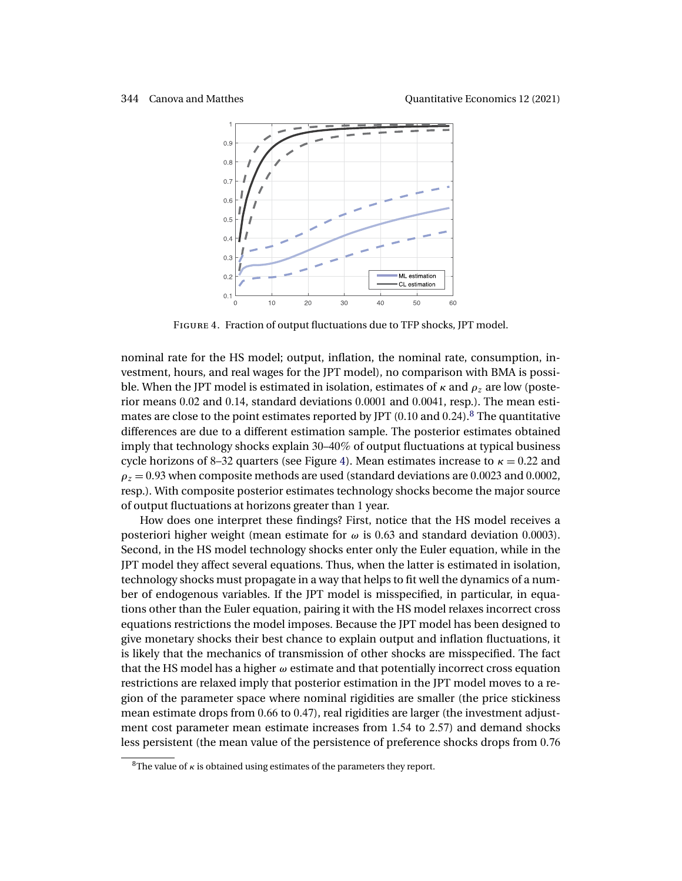

Figure 4. Fraction of output fluctuations due to TFP shocks, JPT model.

nominal rate for the HS model; output, inflation, the nominal rate, consumption, investment, hours, and real wages for the JPT model), no comparison with BMA is possible. When the JPT model is estimated in isolation, estimates of  $\kappa$  and  $\rho_z$  are low (posterior means 0.02 and 0.14, standard deviations 0.0001 and 0.0041, resp.). The mean estimates are close to the point estimates reported by JPT  $(0.10 \text{ and } 0.24)$ .<sup>8</sup> The quantitative differences are due to a different estimation sample. The posterior estimates obtained imply that technology shocks explain 30–40% of output fluctuations at typical business cycle horizons of 8–32 quarters (see Figure 4). Mean estimates increase to  $\kappa = 0.22$  and  $\rho_z = 0.93$  when composite methods are used (standard deviations are 0.0023 and 0.0002, resp.). With composite posterior estimates technology shocks become the major source of output fluctuations at horizons greater than 1 year.

How does one interpret these findings? First, notice that the HS model receives a posteriori higher weight (mean estimate for  $\omega$  is 0.63 and standard deviation 0.0003). Second, in the HS model technology shocks enter only the Euler equation, while in the JPT model they affect several equations. Thus, when the latter is estimated in isolation, technology shocks must propagate in a way that helps to fit well the dynamics of a number of endogenous variables. If the JPT model is misspecified, in particular, in equations other than the Euler equation, pairing it with the HS model relaxes incorrect cross equations restrictions the model imposes. Because the JPT model has been designed to give monetary shocks their best chance to explain output and inflation fluctuations, it is likely that the mechanics of transmission of other shocks are misspecified. The fact that the HS model has a higher  $\omega$  estimate and that potentially incorrect cross equation restrictions are relaxed imply that posterior estimation in the JPT model moves to a region of the parameter space where nominal rigidities are smaller (the price stickiness mean estimate drops from  $0.66$  to  $0.47$ ), real rigidities are larger (the investment adjustment cost parameter mean estimate increases from 154 to 257) and demand shocks less persistent (the mean value of the persistence of preference shocks drops from 0.76

<sup>&</sup>lt;sup>8</sup>The value of  $\kappa$  is obtained using estimates of the parameters they report.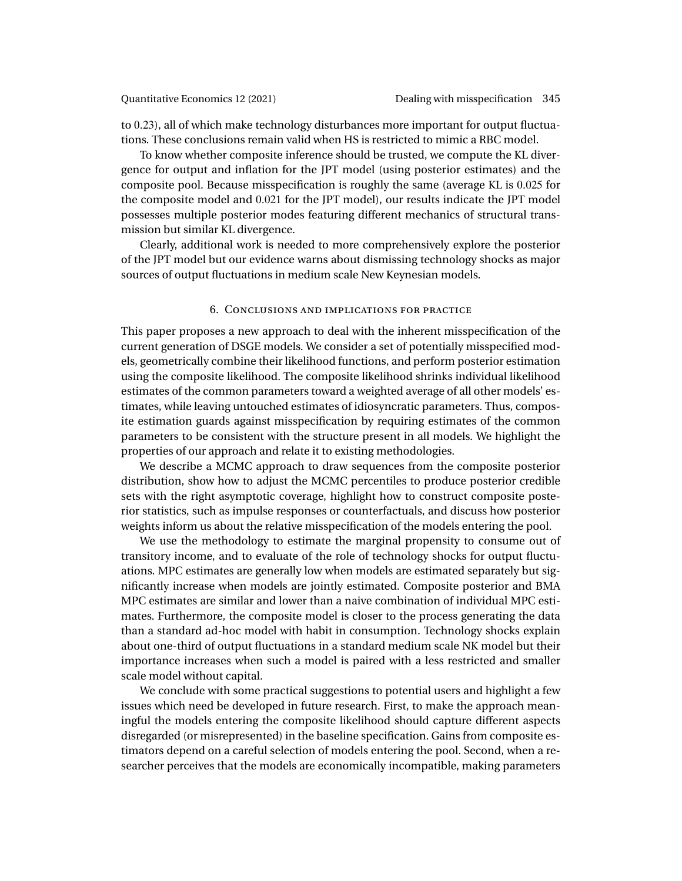<span id="page-32-0"></span>to 023), all of which make technology disturbances more important for output fluctuations. These conclusions remain valid when HS is restricted to mimic a RBC model.

To know whether composite inference should be trusted, we compute the KL divergence for output and inflation for the JPT model (using posterior estimates) and the composite pool. Because misspecification is roughly the same (average KL is 0025 for the composite model and 0021 for the JPT model), our results indicate the JPT model possesses multiple posterior modes featuring different mechanics of structural transmission but similar KL divergence.

Clearly, additional work is needed to more comprehensively explore the posterior of the JPT model but our evidence warns about dismissing technology shocks as major sources of output fluctuations in medium scale New Keynesian models.

# 6. Conclusions and implications for practice

This paper proposes a new approach to deal with the inherent misspecification of the current generation of DSGE models. We consider a set of potentially misspecified models, geometrically combine their likelihood functions, and perform posterior estimation using the composite likelihood. The composite likelihood shrinks individual likelihood estimates of the common parameters toward a weighted average of all other models' estimates, while leaving untouched estimates of idiosyncratic parameters. Thus, composite estimation guards against misspecification by requiring estimates of the common parameters to be consistent with the structure present in all models. We highlight the properties of our approach and relate it to existing methodologies.

We describe a MCMC approach to draw sequences from the composite posterior distribution, show how to adjust the MCMC percentiles to produce posterior credible sets with the right asymptotic coverage, highlight how to construct composite posterior statistics, such as impulse responses or counterfactuals, and discuss how posterior weights inform us about the relative misspecification of the models entering the pool.

We use the methodology to estimate the marginal propensity to consume out of transitory income, and to evaluate of the role of technology shocks for output fluctuations. MPC estimates are generally low when models are estimated separately but significantly increase when models are jointly estimated. Composite posterior and BMA MPC estimates are similar and lower than a naive combination of individual MPC estimates. Furthermore, the composite model is closer to the process generating the data than a standard ad-hoc model with habit in consumption. Technology shocks explain about one-third of output fluctuations in a standard medium scale NK model but their importance increases when such a model is paired with a less restricted and smaller scale model without capital.

We conclude with some practical suggestions to potential users and highlight a few issues which need be developed in future research. First, to make the approach meaningful the models entering the composite likelihood should capture different aspects disregarded (or misrepresented) in the baseline specification. Gains from composite estimators depend on a careful selection of models entering the pool. Second, when a researcher perceives that the models are economically incompatible, making parameters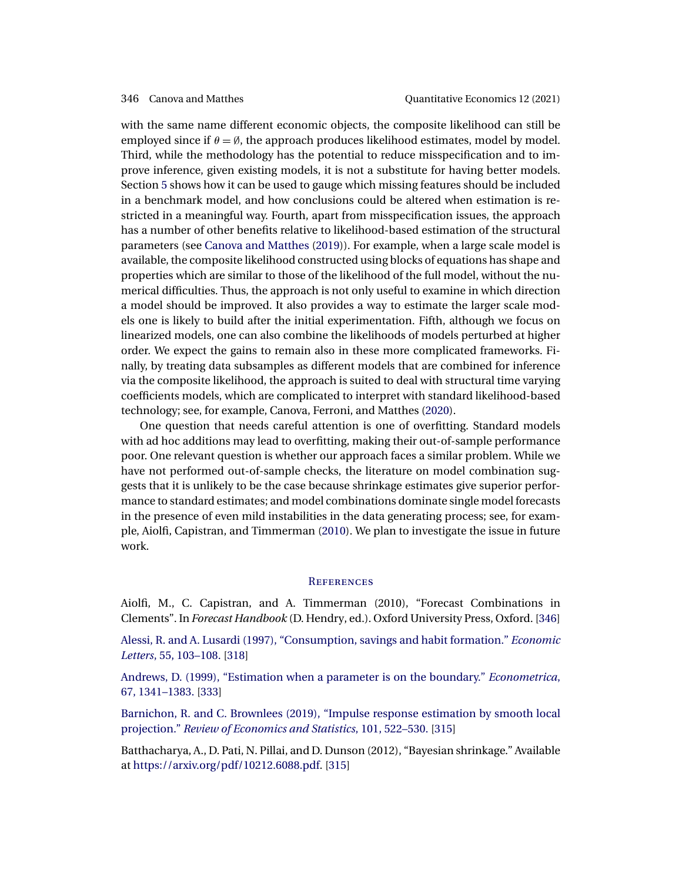<span id="page-33-0"></span>with the same name different economic objects, the composite likelihood can still be employed since if  $\theta = \emptyset$ , the approach produces likelihood estimates, model by model. Third, while the methodology has the potential to reduce misspecification and to improve inference, given existing models, it is not a substitute for having better models. Section [5](#page-25-0) shows how it can be used to gauge which missing features should be included in a benchmark model, and how conclusions could be altered when estimation is restricted in a meaningful way. Fourth, apart from misspecification issues, the approach has a number of other benefits relative to likelihood-based estimation of the structural parameters (see [Canova and Matthes](#page-34-0) [\(2019\)](#page-34-0)). For example, when a large scale model is available, the composite likelihood constructed using blocks of equations has shape and properties which are similar to those of the likelihood of the full model, without the numerical difficulties. Thus, the approach is not only useful to examine in which direction a model should be improved. It also provides a way to estimate the larger scale models one is likely to build after the initial experimentation. Fifth, although we focus on linearized models, one can also combine the likelihoods of models perturbed at higher order. We expect the gains to remain also in these more complicated frameworks. Finally, by treating data subsamples as different models that are combined for inference via the composite likelihood, the approach is suited to deal with structural time varying coefficients models, which are complicated to interpret with standard likelihood-based technology; see, for example, Canova, Ferroni, and Matthes [\(2020\)](#page-34-0).

One question that needs careful attention is one of overfitting. Standard models with ad hoc additions may lead to overfitting, making their out-of-sample performance poor. One relevant question is whether our approach faces a similar problem. While we have not performed out-of-sample checks, the literature on model combination suggests that it is unlikely to be the case because shrinkage estimates give superior performance to standard estimates; and model combinations dominate single model forecasts in the presence of even mild instabilities in the data generating process; see, for example, Aiolfi, Capistran, and Timmerman (2010). We plan to investigate the issue in future work.

# **REFERENCES**

Aiolfi, M., C. Capistran, and A. Timmerman (2010), "Forecast Combinations in Clements". In *Forecast Handbook* (D. Hendry, ed.). Oxford University Press, Oxford. [346]

[Alessi, R. and A. Lusardi \(1997\), "Consumption, savings and habit formation."](http://www.e-publications.org/srv/qe/linkserver/openurl?rft_dat=bib:2/AleLus1997&rfe_id=urn:sici%2F1759-7323%282021%2912%3A2%3C313%3ADWMISM%3E2.0.CO%3B2-A) *Economic Letters*[, 55, 103–108.](http://www.e-publications.org/srv/qe/linkserver/openurl?rft_dat=bib:2/AleLus1997&rfe_id=urn:sici%2F1759-7323%282021%2912%3A2%3C313%3ADWMISM%3E2.0.CO%3B2-A) [\[318\]](#page-5-0)

[Andrews, D. \(1999\), "Estimation when a parameter is on the boundary."](http://www.e-publications.org/srv/qe/linkserver/openurl?rft_dat=bib:3/And1999&rfe_id=urn:sici%2F1759-7323%282021%2912%3A2%3C313%3ADWMISM%3E2.0.CO%3B2-A) *Econometrica*, [67, 1341–1383.](http://www.e-publications.org/srv/qe/linkserver/openurl?rft_dat=bib:3/And1999&rfe_id=urn:sici%2F1759-7323%282021%2912%3A2%3C313%3ADWMISM%3E2.0.CO%3B2-A) [\[333\]](#page-20-0)

[Barnichon, R. and C. Brownlees \(2019\), "Impulse response estimation by smooth local](http://www.e-publications.org/srv/qe/linkserver/openurl?rft_dat=bib:4/BarBro2019&rfe_id=urn:sici%2F1759-7323%282021%2912%3A2%3C313%3ADWMISM%3E2.0.CO%3B2-A) projection." *[Review of Economics and Statistics](http://www.e-publications.org/srv/qe/linkserver/openurl?rft_dat=bib:4/BarBro2019&rfe_id=urn:sici%2F1759-7323%282021%2912%3A2%3C313%3ADWMISM%3E2.0.CO%3B2-A)*, 101, 522–530. [\[315\]](#page-2-0)

Batthacharya, A., D. Pati, N. Pillai, and D. Dunson (2012), "Bayesian shrinkage." Available at <https://arxiv.org/pdf/10212.6088.pdf>. [\[315\]](#page-2-0)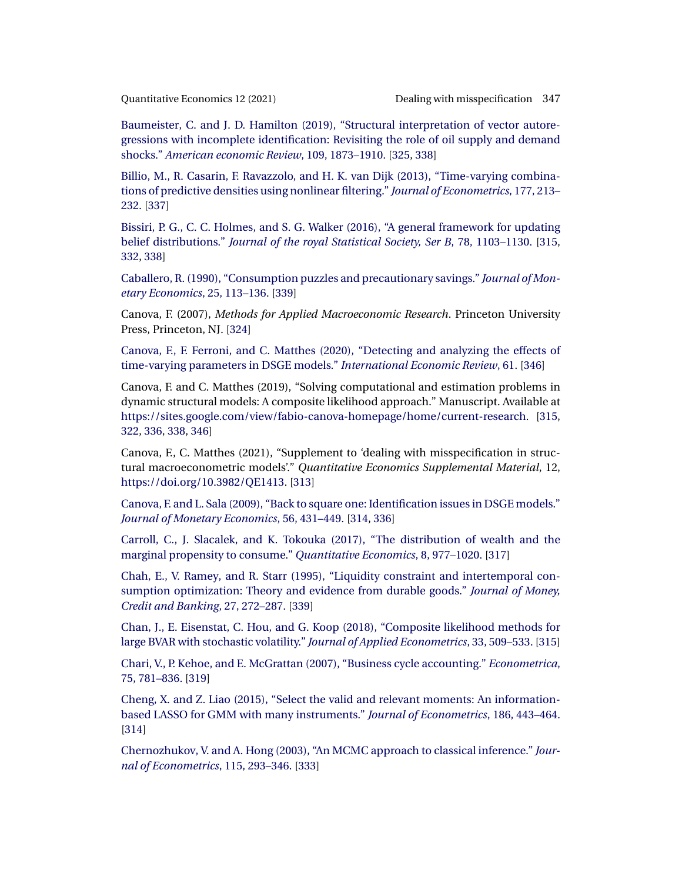<span id="page-34-0"></span>

[Baumeister, C. and J. D. Hamilton \(2019\), "Structural interpretation of vector autore](http://www.e-publications.org/srv/qe/linkserver/openurl?rft_dat=bib:6/BauHam2019&rfe_id=urn:sici%2F1759-7323%282021%2912%3A2%3C313%3ADWMISM%3E2.0.CO%3B2-A)[gressions with incomplete identification: Revisiting the role of oil supply and demand](http://www.e-publications.org/srv/qe/linkserver/openurl?rft_dat=bib:6/BauHam2019&rfe_id=urn:sici%2F1759-7323%282021%2912%3A2%3C313%3ADWMISM%3E2.0.CO%3B2-A) shocks." *[American economic Review](http://www.e-publications.org/srv/qe/linkserver/openurl?rft_dat=bib:6/BauHam2019&rfe_id=urn:sici%2F1759-7323%282021%2912%3A2%3C313%3ADWMISM%3E2.0.CO%3B2-A)*, 109, 1873–1910. [\[325,](#page-12-0) [338\]](#page-25-0)

[Billio, M., R. Casarin, F. Ravazzolo, and H. K. van Dijk \(2013\), "Time-varying combina](http://www.e-publications.org/srv/qe/linkserver/openurl?rft_dat=bib:7/Biletal2013&rfe_id=urn:sici%2F1759-7323%282021%2912%3A2%3C313%3ADWMISM%3E2.0.CO%3B2-A)[tions of predictive densities using nonlinear filtering."](http://www.e-publications.org/srv/qe/linkserver/openurl?rft_dat=bib:7/Biletal2013&rfe_id=urn:sici%2F1759-7323%282021%2912%3A2%3C313%3ADWMISM%3E2.0.CO%3B2-A) *Journal of Econometrics*, 177, 213– [232.](http://www.e-publications.org/srv/qe/linkserver/openurl?rft_dat=bib:7/Biletal2013&rfe_id=urn:sici%2F1759-7323%282021%2912%3A2%3C313%3ADWMISM%3E2.0.CO%3B2-A) [\[337\]](#page-24-0)

[Bissiri, P. G., C. C. Holmes, and S. G. Walker \(2016\), "A general framework for updating](http://www.e-publications.org/srv/qe/linkserver/openurl?rft_dat=bib:8/Bisetal2016&rfe_id=urn:sici%2F1759-7323%282021%2912%3A2%3C313%3ADWMISM%3E2.0.CO%3B2-A) belief distributions." *[Journal of the royal Statistical Society, Ser B](http://www.e-publications.org/srv/qe/linkserver/openurl?rft_dat=bib:8/Bisetal2016&rfe_id=urn:sici%2F1759-7323%282021%2912%3A2%3C313%3ADWMISM%3E2.0.CO%3B2-A)*, 78, 1103–1130. [\[315,](#page-2-0) [332,](#page-19-0) [338\]](#page-25-0)

[Caballero, R. \(1990\), "Consumption puzzles and precautionary savings."](http://www.e-publications.org/srv/qe/linkserver/openurl?rft_dat=bib:9/Cab1990&rfe_id=urn:sici%2F1759-7323%282021%2912%3A2%3C313%3ADWMISM%3E2.0.CO%3B2-A) *Journal of Mon[etary Economics](http://www.e-publications.org/srv/qe/linkserver/openurl?rft_dat=bib:9/Cab1990&rfe_id=urn:sici%2F1759-7323%282021%2912%3A2%3C313%3ADWMISM%3E2.0.CO%3B2-A)*, 25, 113–136. [\[339\]](#page-26-0)

Canova, F. (2007), *Methods for Applied Macroeconomic Research*. Princeton University Press, Princeton, NJ. [\[324\]](#page-11-0)

[Canova, F., F. Ferroni, and C. Matthes \(2020\), "Detecting and analyzing the effects of](http://www.e-publications.org/srv/qe/linkserver/openurl?rft_dat=bib:11/Canetal2020&rfe_id=urn:sici%2F1759-7323%282021%2912%3A2%3C313%3ADWMISM%3E2.0.CO%3B2-A) [time-varying parameters in DSGE models."](http://www.e-publications.org/srv/qe/linkserver/openurl?rft_dat=bib:11/Canetal2020&rfe_id=urn:sici%2F1759-7323%282021%2912%3A2%3C313%3ADWMISM%3E2.0.CO%3B2-A) *International Economic Review*, 61. [\[346\]](#page-33-0)

Canova, F. and C. Matthes (2019), "Solving computational and estimation problems in dynamic structural models: A composite likelihood approach." Manuscript. Available at <https://sites.google.com/view/fabio-canova-homepage/home/current-research>. [\[315,](#page-2-0) [322,](#page-9-0) [336,](#page-23-0) [338,](#page-25-0) [346\]](#page-33-0)

Canova, F., C. Matthes (2021), "Supplement to 'dealing with misspecification in structural macroeconometric models'." *Quantitative Economics Supplemental Material*, 12, <https://doi.org/10.3982/QE1413>. [\[313\]](#page-0-0)

[Canova, F. and L. Sala \(2009\), "Back to square one: Identification issues in DSGE models."](http://www.e-publications.org/srv/qe/linkserver/openurl?rft_dat=bib:14/CanSal2009&rfe_id=urn:sici%2F1759-7323%282021%2912%3A2%3C313%3ADWMISM%3E2.0.CO%3B2-A) *[Journal of Monetary Economics](http://www.e-publications.org/srv/qe/linkserver/openurl?rft_dat=bib:14/CanSal2009&rfe_id=urn:sici%2F1759-7323%282021%2912%3A2%3C313%3ADWMISM%3E2.0.CO%3B2-A)*, 56, 431–449. [\[314,](#page-1-0) [336\]](#page-23-0)

[Carroll, C., J. Slacalek, and K. Tokouka \(2017\), "The distribution of wealth and the](http://www.e-publications.org/srv/qe/linkserver/openurl?rft_dat=bib:15/Caretal2017&rfe_id=urn:sici%2F1759-7323%282021%2912%3A2%3C313%3ADWMISM%3E2.0.CO%3B2-A) [marginal propensity to consume."](http://www.e-publications.org/srv/qe/linkserver/openurl?rft_dat=bib:15/Caretal2017&rfe_id=urn:sici%2F1759-7323%282021%2912%3A2%3C313%3ADWMISM%3E2.0.CO%3B2-A) *Quantitative Economics*, 8, 977–1020. [\[317\]](#page-4-0)

[Chah, E., V. Ramey, and R. Starr \(1995\), "Liquidity constraint and intertemporal con](http://www.e-publications.org/srv/qe/linkserver/openurl?rft_dat=bib:16/Chaetal1995&rfe_id=urn:sici%2F1759-7323%282021%2912%3A2%3C313%3ADWMISM%3E2.0.CO%3B2-A)[sumption optimization: Theory and evidence from durable goods."](http://www.e-publications.org/srv/qe/linkserver/openurl?rft_dat=bib:16/Chaetal1995&rfe_id=urn:sici%2F1759-7323%282021%2912%3A2%3C313%3ADWMISM%3E2.0.CO%3B2-A) *Journal of Money, [Credit and Banking](http://www.e-publications.org/srv/qe/linkserver/openurl?rft_dat=bib:16/Chaetal1995&rfe_id=urn:sici%2F1759-7323%282021%2912%3A2%3C313%3ADWMISM%3E2.0.CO%3B2-A)*, 27, 272–287. [\[339\]](#page-26-0)

[Chan, J., E. Eisenstat, C. Hou, and G. Koop \(2018\), "Composite likelihood methods for](http://www.e-publications.org/srv/qe/linkserver/openurl?rft_dat=bib:17/Chaetal2018&rfe_id=urn:sici%2F1759-7323%282021%2912%3A2%3C313%3ADWMISM%3E2.0.CO%3B2-A) [large BVAR with stochastic volatility."](http://www.e-publications.org/srv/qe/linkserver/openurl?rft_dat=bib:17/Chaetal2018&rfe_id=urn:sici%2F1759-7323%282021%2912%3A2%3C313%3ADWMISM%3E2.0.CO%3B2-A) *Journal of Applied Econometrics*, 33, 509–533. [\[315\]](#page-2-0)

[Chari, V., P. Kehoe, and E. McGrattan \(2007\), "Business cycle accounting."](http://www.e-publications.org/srv/qe/linkserver/openurl?rft_dat=bib:18/Chaetal2007&rfe_id=urn:sici%2F1759-7323%282021%2912%3A2%3C313%3ADWMISM%3E2.0.CO%3B2-A) *Econometrica*, [75, 781–836.](http://www.e-publications.org/srv/qe/linkserver/openurl?rft_dat=bib:18/Chaetal2007&rfe_id=urn:sici%2F1759-7323%282021%2912%3A2%3C313%3ADWMISM%3E2.0.CO%3B2-A) [\[319\]](#page-6-0)

[Cheng, X. and Z. Liao \(2015\), "Select the valid and relevant moments: An information](http://www.e-publications.org/srv/qe/linkserver/openurl?rft_dat=bib:19/CheLia2015&rfe_id=urn:sici%2F1759-7323%282021%2912%3A2%3C313%3ADWMISM%3E2.0.CO%3B2-A)[based LASSO for GMM with many instruments."](http://www.e-publications.org/srv/qe/linkserver/openurl?rft_dat=bib:19/CheLia2015&rfe_id=urn:sici%2F1759-7323%282021%2912%3A2%3C313%3ADWMISM%3E2.0.CO%3B2-A) *Journal of Econometrics*, 186, 443–464. [\[314\]](#page-1-0)

[Chernozhukov, V. and A. Hong \(2003\), "An MCMC approach to classical inference."](http://www.e-publications.org/srv/qe/linkserver/openurl?rft_dat=bib:20/CheHon2003&rfe_id=urn:sici%2F1759-7323%282021%2912%3A2%3C313%3ADWMISM%3E2.0.CO%3B2-A) *Jour[nal of Econometrics](http://www.e-publications.org/srv/qe/linkserver/openurl?rft_dat=bib:20/CheHon2003&rfe_id=urn:sici%2F1759-7323%282021%2912%3A2%3C313%3ADWMISM%3E2.0.CO%3B2-A)*, 115, 293–346. [\[333\]](#page-20-0)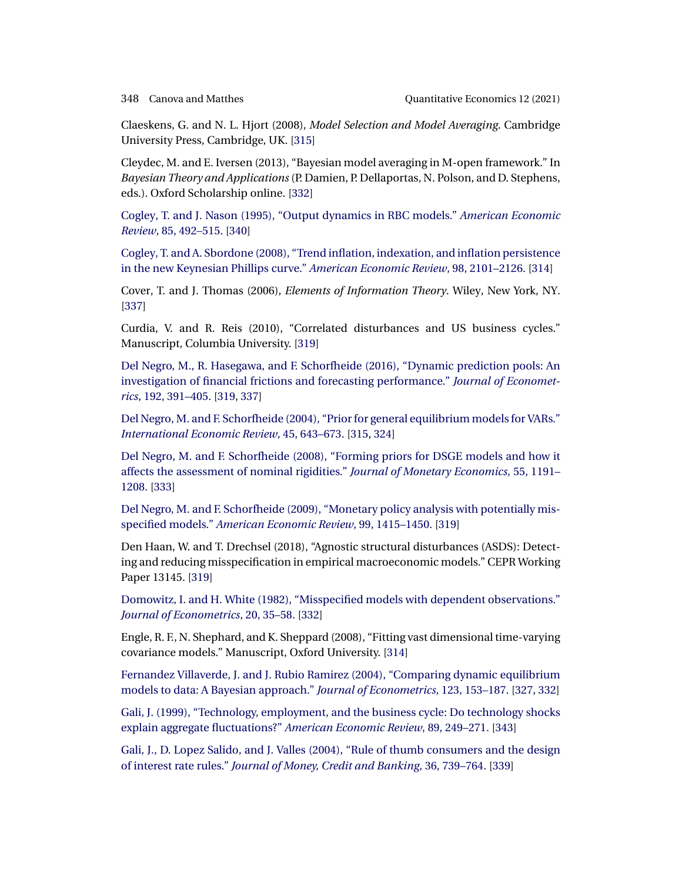<span id="page-35-0"></span>

Claeskens, G. and N. L. Hjort (2008), *Model Selection and Model Averaging*. Cambridge University Press, Cambridge, UK. [\[315\]](#page-2-0)

Cleydec, M. and E. Iversen (2013), "Bayesian model averaging in M-open framework." In *Bayesian Theory and Applications*(P. Damien, P. Dellaportas, N. Polson, and D. Stephens, eds.). Oxford Scholarship online. [\[332\]](#page-19-0)

[Cogley, T. and J. Nason \(1995\), "Output dynamics in RBC models."](http://www.e-publications.org/srv/qe/linkserver/openurl?rft_dat=bib:23/CogNas1995&rfe_id=urn:sici%2F1759-7323%282021%2912%3A2%3C313%3ADWMISM%3E2.0.CO%3B2-A) *American Economic Review*[, 85, 492–515.](http://www.e-publications.org/srv/qe/linkserver/openurl?rft_dat=bib:23/CogNas1995&rfe_id=urn:sici%2F1759-7323%282021%2912%3A2%3C313%3ADWMISM%3E2.0.CO%3B2-A) [\[340\]](#page-27-0)

[Cogley, T. and A. Sbordone \(2008\), "Trend inflation, indexation, and inflation persistence](http://www.e-publications.org/srv/qe/linkserver/openurl?rft_dat=bib:24/CogSbo2008&rfe_id=urn:sici%2F1759-7323%282021%2912%3A2%3C313%3ADWMISM%3E2.0.CO%3B2-A) [in the new Keynesian Phillips curve."](http://www.e-publications.org/srv/qe/linkserver/openurl?rft_dat=bib:24/CogSbo2008&rfe_id=urn:sici%2F1759-7323%282021%2912%3A2%3C313%3ADWMISM%3E2.0.CO%3B2-A) *American Economic Review*, 98, 2101–2126. [\[314\]](#page-1-0)

Cover, T. and J. Thomas (2006), *Elements of Information Theory*. Wiley, New York, NY. [\[337\]](#page-24-0)

Curdia, V. and R. Reis (2010), "Correlated disturbances and US business cycles." Manuscript, Columbia University. [\[319\]](#page-6-0)

[Del Negro, M., R. Hasegawa, and F. Schorfheide \(2016\), "Dynamic prediction pools: An](http://www.e-publications.org/srv/qe/linkserver/openurl?rft_dat=bib:27/Negetal2016&rfe_id=urn:sici%2F1759-7323%282021%2912%3A2%3C313%3ADWMISM%3E2.0.CO%3B2-A) [investigation of financial frictions and forecasting performance."](http://www.e-publications.org/srv/qe/linkserver/openurl?rft_dat=bib:27/Negetal2016&rfe_id=urn:sici%2F1759-7323%282021%2912%3A2%3C313%3ADWMISM%3E2.0.CO%3B2-A) *Journal of Econometrics*[, 192, 391–405.](http://www.e-publications.org/srv/qe/linkserver/openurl?rft_dat=bib:27/Negetal2016&rfe_id=urn:sici%2F1759-7323%282021%2912%3A2%3C313%3ADWMISM%3E2.0.CO%3B2-A) [\[319,](#page-6-0) [337\]](#page-24-0)

[Del Negro, M. and F. Schorfheide \(2004\), "Prior for general equilibrium models for VARs."](http://www.e-publications.org/srv/qe/linkserver/openurl?rft_dat=bib:28/NegSch2004&rfe_id=urn:sici%2F1759-7323%282021%2912%3A2%3C313%3ADWMISM%3E2.0.CO%3B2-A) *[International Economic Review](http://www.e-publications.org/srv/qe/linkserver/openurl?rft_dat=bib:28/NegSch2004&rfe_id=urn:sici%2F1759-7323%282021%2912%3A2%3C313%3ADWMISM%3E2.0.CO%3B2-A)*, 45, 643–673. [\[315,](#page-2-0) [324\]](#page-11-0)

[Del Negro, M. and F. Schorfheide \(2008\), "Forming priors for DSGE models and how it](http://www.e-publications.org/srv/qe/linkserver/openurl?rft_dat=bib:29/NegSch2008&rfe_id=urn:sici%2F1759-7323%282021%2912%3A2%3C313%3ADWMISM%3E2.0.CO%3B2-A) [affects the assessment of nominal rigidities."](http://www.e-publications.org/srv/qe/linkserver/openurl?rft_dat=bib:29/NegSch2008&rfe_id=urn:sici%2F1759-7323%282021%2912%3A2%3C313%3ADWMISM%3E2.0.CO%3B2-A) *Journal of Monetary Economics*, 55, 1191– [1208.](http://www.e-publications.org/srv/qe/linkserver/openurl?rft_dat=bib:29/NegSch2008&rfe_id=urn:sici%2F1759-7323%282021%2912%3A2%3C313%3ADWMISM%3E2.0.CO%3B2-A) [\[333\]](#page-20-0)

[Del Negro, M. and F. Schorfheide \(2009\), "Monetary policy analysis with potentially mis](http://www.e-publications.org/srv/qe/linkserver/openurl?rft_dat=bib:30/NegSch2009&rfe_id=urn:sici%2F1759-7323%282021%2912%3A2%3C313%3ADWMISM%3E2.0.CO%3B2-A)specified models." *[American Economic Review](http://www.e-publications.org/srv/qe/linkserver/openurl?rft_dat=bib:30/NegSch2009&rfe_id=urn:sici%2F1759-7323%282021%2912%3A2%3C313%3ADWMISM%3E2.0.CO%3B2-A)*, 99, 1415–1450. [\[319\]](#page-6-0)

Den Haan, W. and T. Drechsel (2018), "Agnostic structural disturbances (ASDS): Detecting and reducing misspecification in empirical macroeconomic models." CEPR Working Paper 13145. [\[319\]](#page-6-0)

[Domowitz, I. and H. White \(1982\), "Misspecified models with dependent observations."](http://www.e-publications.org/srv/qe/linkserver/openurl?rft_dat=bib:32/DomWhi1982&rfe_id=urn:sici%2F1759-7323%282021%2912%3A2%3C313%3ADWMISM%3E2.0.CO%3B2-A) *[Journal of Econometrics](http://www.e-publications.org/srv/qe/linkserver/openurl?rft_dat=bib:32/DomWhi1982&rfe_id=urn:sici%2F1759-7323%282021%2912%3A2%3C313%3ADWMISM%3E2.0.CO%3B2-A)*, 20, 35–58. [\[332\]](#page-19-0)

Engle, R. F., N. Shephard, and K. Sheppard (2008), "Fitting vast dimensional time-varying covariance models." Manuscript, Oxford University. [\[314\]](#page-1-0)

[Fernandez Villaverde, J. and J. Rubio Ramirez \(2004\), "Comparing dynamic equilibrium](http://www.e-publications.org/srv/qe/linkserver/openurl?rft_dat=bib:34/FerRub2004&rfe_id=urn:sici%2F1759-7323%282021%2912%3A2%3C313%3ADWMISM%3E2.0.CO%3B2-A) [models to data: A Bayesian approach."](http://www.e-publications.org/srv/qe/linkserver/openurl?rft_dat=bib:34/FerRub2004&rfe_id=urn:sici%2F1759-7323%282021%2912%3A2%3C313%3ADWMISM%3E2.0.CO%3B2-A) *Journal of Econometrics*, 123, 153–187. [\[327,](#page-14-0) [332\]](#page-19-0)

[Gali, J. \(1999\), "Technology, employment, and the business cycle: Do technology shocks](http://www.e-publications.org/srv/qe/linkserver/openurl?rft_dat=bib:35/Gal1999&rfe_id=urn:sici%2F1759-7323%282021%2912%3A2%3C313%3ADWMISM%3E2.0.CO%3B2-A) [explain aggregate fluctuations?"](http://www.e-publications.org/srv/qe/linkserver/openurl?rft_dat=bib:35/Gal1999&rfe_id=urn:sici%2F1759-7323%282021%2912%3A2%3C313%3ADWMISM%3E2.0.CO%3B2-A) *American Economic Review*, 89, 249–271. [\[343\]](#page-30-0)

[Gali, J., D. Lopez Salido, and J. Valles \(2004\), "Rule of thumb consumers and the design](http://www.e-publications.org/srv/qe/linkserver/openurl?rft_dat=bib:36/Galetal2004&rfe_id=urn:sici%2F1759-7323%282021%2912%3A2%3C313%3ADWMISM%3E2.0.CO%3B2-A) of interest rate rules." *[Journal of Money, Credit and Banking](http://www.e-publications.org/srv/qe/linkserver/openurl?rft_dat=bib:36/Galetal2004&rfe_id=urn:sici%2F1759-7323%282021%2912%3A2%3C313%3ADWMISM%3E2.0.CO%3B2-A)*, 36, 739–764. [\[339\]](#page-26-0)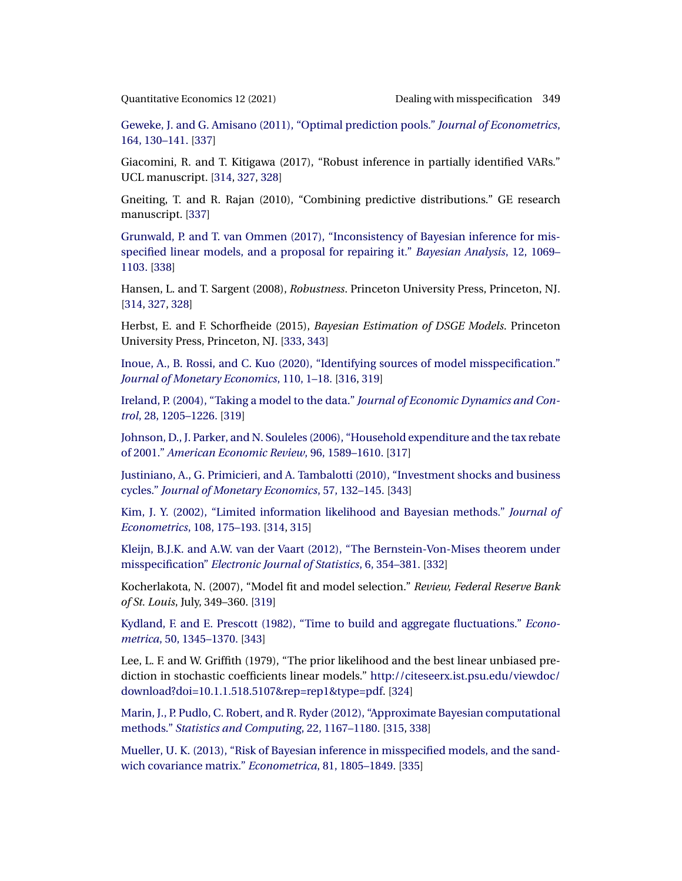<span id="page-36-0"></span>

[Geweke, J. and G. Amisano \(2011\), "Optimal prediction pools."](http://www.e-publications.org/srv/qe/linkserver/openurl?rft_dat=bib:37/GewAmi2011&rfe_id=urn:sici%2F1759-7323%282021%2912%3A2%3C313%3ADWMISM%3E2.0.CO%3B2-A) *Journal of Econometrics*, [164, 130–141.](http://www.e-publications.org/srv/qe/linkserver/openurl?rft_dat=bib:37/GewAmi2011&rfe_id=urn:sici%2F1759-7323%282021%2912%3A2%3C313%3ADWMISM%3E2.0.CO%3B2-A) [\[337\]](#page-24-0)

Giacomini, R. and T. Kitigawa (2017), "Robust inference in partially identified VARs." UCL manuscript. [\[314,](#page-1-0) [327,](#page-14-0) [328\]](#page-15-0)

Gneiting, T. and R. Rajan (2010), "Combining predictive distributions." GE research manuscript. [\[337\]](#page-24-0)

[Grunwald, P. and T. van Ommen \(2017\), "Inconsistency of Bayesian inference for mis](http://www.e-publications.org/srv/qe/linkserver/openurl?rft_dat=bib:40/GruOmm2017&rfe_id=urn:sici%2F1759-7323%282021%2912%3A2%3C313%3ADWMISM%3E2.0.CO%3B2-A)[specified linear models, and a proposal for repairing it."](http://www.e-publications.org/srv/qe/linkserver/openurl?rft_dat=bib:40/GruOmm2017&rfe_id=urn:sici%2F1759-7323%282021%2912%3A2%3C313%3ADWMISM%3E2.0.CO%3B2-A) *Bayesian Analysis*, 12, 1069– [1103.](http://www.e-publications.org/srv/qe/linkserver/openurl?rft_dat=bib:40/GruOmm2017&rfe_id=urn:sici%2F1759-7323%282021%2912%3A2%3C313%3ADWMISM%3E2.0.CO%3B2-A) [\[338\]](#page-25-0)

Hansen, L. and T. Sargent (2008), *Robustness*. Princeton University Press, Princeton, NJ. [\[314,](#page-1-0) [327,](#page-14-0) [328\]](#page-15-0)

Herbst, E. and F. Schorfheide (2015), *Bayesian Estimation of DSGE Models*. Princeton University Press, Princeton, NJ. [\[333,](#page-20-0) [343\]](#page-30-0)

[Inoue, A., B. Rossi, and C. Kuo \(2020\), "Identifying sources of model misspecification."](http://www.e-publications.org/srv/qe/linkserver/openurl?rft_dat=bib:43/Inoetal2017&rfe_id=urn:sici%2F1759-7323%282021%2912%3A2%3C313%3ADWMISM%3E2.0.CO%3B2-A) *[Journal of Monetary Economics](http://www.e-publications.org/srv/qe/linkserver/openurl?rft_dat=bib:43/Inoetal2017&rfe_id=urn:sici%2F1759-7323%282021%2912%3A2%3C313%3ADWMISM%3E2.0.CO%3B2-A)*, 110, 1–18. [\[316,](#page-3-0) [319\]](#page-6-0)

[Ireland, P. \(2004\), "Taking a model to the data."](http://www.e-publications.org/srv/qe/linkserver/openurl?rft_dat=bib:44/Ire2004&rfe_id=urn:sici%2F1759-7323%282021%2912%3A2%3C313%3ADWMISM%3E2.0.CO%3B2-A) *Journal of Economic Dynamics and Control*[, 28, 1205–1226.](http://www.e-publications.org/srv/qe/linkserver/openurl?rft_dat=bib:44/Ire2004&rfe_id=urn:sici%2F1759-7323%282021%2912%3A2%3C313%3ADWMISM%3E2.0.CO%3B2-A) [\[319\]](#page-6-0)

[Johnson, D., J. Parker, and N. Souleles \(2006\), "Household expenditure and the tax rebate](http://www.e-publications.org/srv/qe/linkserver/openurl?rft_dat=bib:45/Johetal2006&rfe_id=urn:sici%2F1759-7323%282021%2912%3A2%3C313%3ADWMISM%3E2.0.CO%3B2-A) of 2001." *[American Economic Review](http://www.e-publications.org/srv/qe/linkserver/openurl?rft_dat=bib:45/Johetal2006&rfe_id=urn:sici%2F1759-7323%282021%2912%3A2%3C313%3ADWMISM%3E2.0.CO%3B2-A)*, 96, 1589–1610. [\[317\]](#page-4-0)

[Justiniano, A., G. Primicieri, and A. Tambalotti \(2010\), "Investment shocks and business](http://www.e-publications.org/srv/qe/linkserver/openurl?rft_dat=bib:46/Jusetal2010&rfe_id=urn:sici%2F1759-7323%282021%2912%3A2%3C313%3ADWMISM%3E2.0.CO%3B2-A) cycles." *[Journal of Monetary Economics](http://www.e-publications.org/srv/qe/linkserver/openurl?rft_dat=bib:46/Jusetal2010&rfe_id=urn:sici%2F1759-7323%282021%2912%3A2%3C313%3ADWMISM%3E2.0.CO%3B2-A)*, 57, 132–145. [\[343\]](#page-30-0)

[Kim, J. Y. \(2002\), "Limited information likelihood and Bayesian methods."](http://www.e-publications.org/srv/qe/linkserver/openurl?rft_dat=bib:47/Kim2002&rfe_id=urn:sici%2F1759-7323%282021%2912%3A2%3C313%3ADWMISM%3E2.0.CO%3B2-A) *Journal of Econometrics*[, 108, 175–193.](http://www.e-publications.org/srv/qe/linkserver/openurl?rft_dat=bib:47/Kim2002&rfe_id=urn:sici%2F1759-7323%282021%2912%3A2%3C313%3ADWMISM%3E2.0.CO%3B2-A) [\[314,](#page-1-0) [315\]](#page-2-0)

[Kleijn, B.J.K. and A.W. van der Vaart \(2012\), "The Bernstein-Von-Mises theorem under](http://www.e-publications.org/srv/qe/linkserver/openurl?rft_dat=bib:48/KlVan12&rfe_id=urn:sici%2F1759-7323%282021%2912%3A2%3C313%3ADWMISM%3E2.0.CO%3B2-A) misspecification" *[Electronic Journal of Statistics](http://www.e-publications.org/srv/qe/linkserver/openurl?rft_dat=bib:48/KlVan12&rfe_id=urn:sici%2F1759-7323%282021%2912%3A2%3C313%3ADWMISM%3E2.0.CO%3B2-A)*, 6, 354–381. [\[332\]](#page-19-0)

Kocherlakota, N. (2007), "Model fit and model selection." *Review, Federal Reserve Bank of St. Louis*, July, 349–360. [\[319\]](#page-6-0)

[Kydland, F. and E. Prescott \(1982\), "Time to build and aggregate fluctuations."](http://www.e-publications.org/srv/qe/linkserver/openurl?rft_dat=bib:50/KydPre1982&rfe_id=urn:sici%2F1759-7323%282021%2912%3A2%3C313%3ADWMISM%3E2.0.CO%3B2-A) *Econometrica*[, 50, 1345–1370.](http://www.e-publications.org/srv/qe/linkserver/openurl?rft_dat=bib:50/KydPre1982&rfe_id=urn:sici%2F1759-7323%282021%2912%3A2%3C313%3ADWMISM%3E2.0.CO%3B2-A) [\[343\]](#page-30-0)

Lee, L. F. and W. Griffith (1979), "The prior likelihood and the best linear unbiased prediction in stochastic coefficients linear models." [http://citeseerx.ist.psu.edu/viewdoc/](http://citeseerx.ist.psu.edu/viewdoc/download?doi=10.1.1.518.5107&rep=rep1&type=pdf) [download?doi=10.1.1.518.5107&rep=rep1&type=pdf.](http://citeseerx.ist.psu.edu/viewdoc/download?doi=10.1.1.518.5107&rep=rep1&type=pdf) [\[324\]](#page-11-0)

[Marin, J., P. Pudlo, C. Robert, and R. Ryder \(2012\), "Approximate Bayesian computational](http://www.e-publications.org/srv/qe/linkserver/openurl?rft_dat=bib:52/Maretal2012&rfe_id=urn:sici%2F1759-7323%282021%2912%3A2%3C313%3ADWMISM%3E2.0.CO%3B2-A) methods." *[Statistics and Computing](http://www.e-publications.org/srv/qe/linkserver/openurl?rft_dat=bib:52/Maretal2012&rfe_id=urn:sici%2F1759-7323%282021%2912%3A2%3C313%3ADWMISM%3E2.0.CO%3B2-A)*, 22, 1167–1180. [\[315,](#page-2-0) [338\]](#page-25-0)

[Mueller, U. K. \(2013\), "Risk of Bayesian inference in misspecified models, and the sand](http://www.e-publications.org/srv/qe/linkserver/openurl?rft_dat=bib:53/Mue2013&rfe_id=urn:sici%2F1759-7323%282021%2912%3A2%3C313%3ADWMISM%3E2.0.CO%3B2-A)[wich covariance matrix."](http://www.e-publications.org/srv/qe/linkserver/openurl?rft_dat=bib:53/Mue2013&rfe_id=urn:sici%2F1759-7323%282021%2912%3A2%3C313%3ADWMISM%3E2.0.CO%3B2-A) *Econometrica*, 81, 1805–1849. [\[335\]](#page-22-0)